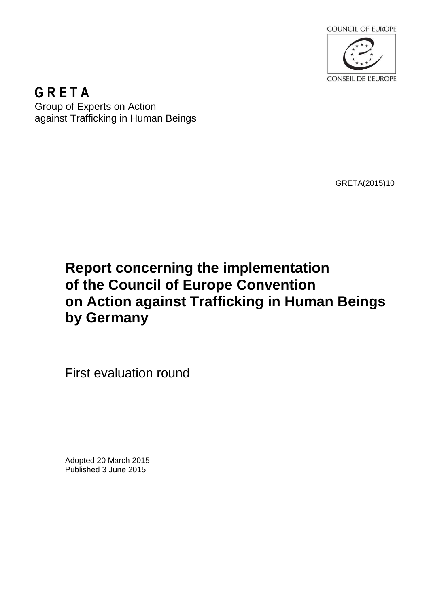

**G R E T A**  Group of Experts on Action against Trafficking in Human Beings

GRETA(2015)10

# **Report concerning the implementation of the Council of Europe Convention on Action against Trafficking in Human Beings by Germany**

First evaluation round

Adopted 20 March 2015 Published 3 June 2015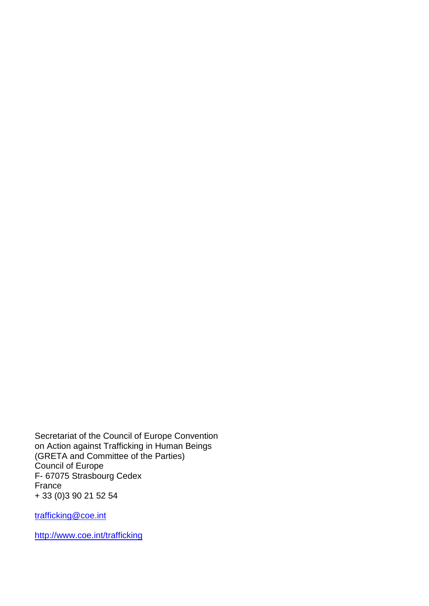Secretariat of the Council of Europe Convention on Action against Trafficking in Human Beings (GRETA and Committee of the Parties) Council of Europe F- 67075 Strasbourg Cedex France + 33 (0)3 90 21 52 54

trafficking@coe.int

http://www.coe.int/trafficking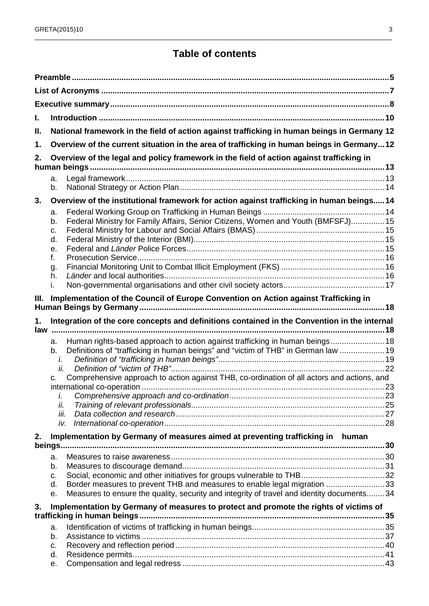## **Table of contents**

\_\_\_\_\_\_\_\_\_\_\_\_\_\_\_\_\_\_\_\_\_\_\_\_\_\_\_\_\_\_\_\_\_\_\_\_\_\_\_\_\_\_\_\_\_\_\_\_\_\_\_\_\_\_\_\_\_\_\_\_\_\_\_\_\_\_\_\_\_\_\_\_\_\_\_\_\_\_\_\_\_\_\_\_\_\_\_\_\_\_\_\_\_\_\_\_\_\_\_

| L.  |                                                                                                                                                                                                     |  |  |  |  |
|-----|-----------------------------------------------------------------------------------------------------------------------------------------------------------------------------------------------------|--|--|--|--|
| Ш.  | National framework in the field of action against trafficking in human beings in Germany 12                                                                                                         |  |  |  |  |
| 1.  | Overview of the current situation in the area of trafficking in human beings in Germany12                                                                                                           |  |  |  |  |
| 2.  | Overview of the legal and policy framework in the field of action against trafficking in                                                                                                            |  |  |  |  |
|     |                                                                                                                                                                                                     |  |  |  |  |
|     | a.<br>b.                                                                                                                                                                                            |  |  |  |  |
| 3.  | Overview of the institutional framework for action against trafficking in human beings14                                                                                                            |  |  |  |  |
|     | a.<br>Federal Ministry for Family Affairs, Senior Citizens, Women and Youth (BMFSFJ)15<br>b.<br>C.<br>d.<br>е.<br>f.<br>g.<br>h.<br>i.                                                              |  |  |  |  |
| Ш.  | Implementation of the Council of Europe Convention on Action against Trafficking in                                                                                                                 |  |  |  |  |
|     |                                                                                                                                                                                                     |  |  |  |  |
| 1.  | Integration of the core concepts and definitions contained in the Convention in the internal                                                                                                        |  |  |  |  |
| law | Human rights-based approach to action against trafficking in human beings18<br>a.<br>Definitions of "trafficking in human beings" and "victim of THB" in German law  19<br>b.                       |  |  |  |  |
|     | i.<br>ii.                                                                                                                                                                                           |  |  |  |  |
|     | Comprehensive approach to action against THB, co-ordination of all actors and actions, and<br>c.                                                                                                    |  |  |  |  |
|     |                                                                                                                                                                                                     |  |  |  |  |
|     | i.<br>ii.                                                                                                                                                                                           |  |  |  |  |
|     | iii.                                                                                                                                                                                                |  |  |  |  |
|     | iv.                                                                                                                                                                                                 |  |  |  |  |
| 2.  | Implementation by Germany of measures aimed at preventing trafficking in human                                                                                                                      |  |  |  |  |
|     |                                                                                                                                                                                                     |  |  |  |  |
|     | a.<br>b.<br>C.<br>Border measures to prevent THB and measures to enable legal migration 33<br>d.<br>Measures to ensure the quality, security and integrity of travel and identity documents34<br>е. |  |  |  |  |
| 3.  | Implementation by Germany of measures to protect and promote the rights of victims of                                                                                                               |  |  |  |  |
|     |                                                                                                                                                                                                     |  |  |  |  |
|     | a.                                                                                                                                                                                                  |  |  |  |  |
|     | b.                                                                                                                                                                                                  |  |  |  |  |
|     | C.<br>d.                                                                                                                                                                                            |  |  |  |  |
|     |                                                                                                                                                                                                     |  |  |  |  |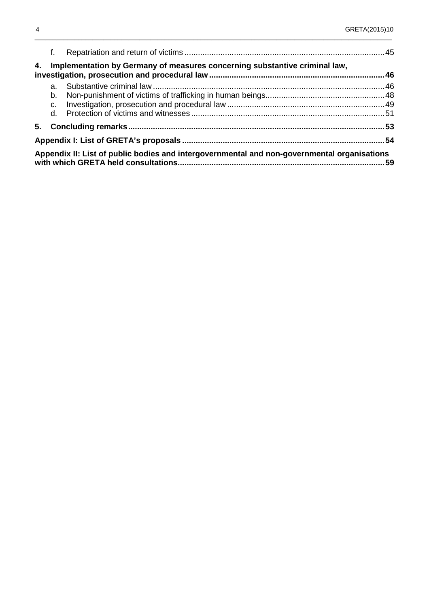|    | f.                                                                         |                                                                                             |     |  |  |  |
|----|----------------------------------------------------------------------------|---------------------------------------------------------------------------------------------|-----|--|--|--|
| 4. | Implementation by Germany of measures concerning substantive criminal law, |                                                                                             |     |  |  |  |
|    | a.                                                                         |                                                                                             |     |  |  |  |
|    | b.                                                                         |                                                                                             |     |  |  |  |
|    | C.                                                                         |                                                                                             |     |  |  |  |
|    | d.                                                                         |                                                                                             |     |  |  |  |
|    |                                                                            |                                                                                             |     |  |  |  |
|    |                                                                            |                                                                                             |     |  |  |  |
|    |                                                                            | Appendix II: List of public bodies and intergovernmental and non-governmental organisations | .59 |  |  |  |

\_\_\_\_\_\_\_\_\_\_\_\_\_\_\_\_\_\_\_\_\_\_\_\_\_\_\_\_\_\_\_\_\_\_\_\_\_\_\_\_\_\_\_\_\_\_\_\_\_\_\_\_\_\_\_\_\_\_\_\_\_\_\_\_\_\_\_\_\_\_\_\_\_\_\_\_\_\_\_\_\_\_\_\_\_\_\_\_\_\_\_\_\_\_\_\_\_\_\_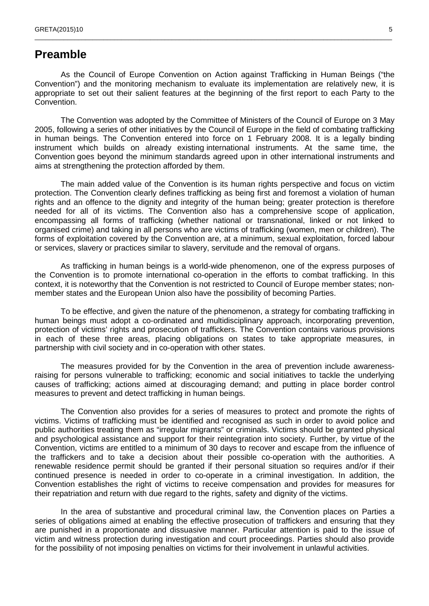### **Preamble**

As the Council of Europe Convention on Action against Trafficking in Human Beings ("the Convention") and the monitoring mechanism to evaluate its implementation are relatively new, it is appropriate to set out their salient features at the beginning of the first report to each Party to the Convention.

\_\_\_\_\_\_\_\_\_\_\_\_\_\_\_\_\_\_\_\_\_\_\_\_\_\_\_\_\_\_\_\_\_\_\_\_\_\_\_\_\_\_\_\_\_\_\_\_\_\_\_\_\_\_\_\_\_\_\_\_\_\_\_\_\_\_\_\_\_\_\_\_\_\_\_\_\_\_\_\_\_\_\_\_\_\_\_\_\_\_\_\_\_\_\_\_\_\_\_

The Convention was adopted by the Committee of Ministers of the Council of Europe on 3 May 2005, following a series of other initiatives by the Council of Europe in the field of combating trafficking in human beings. The Convention entered into force on 1 February 2008. It is a legally binding instrument which builds on already existing international instruments. At the same time, the Convention goes beyond the minimum standards agreed upon in other international instruments and aims at strengthening the protection afforded by them.

The main added value of the Convention is its human rights perspective and focus on victim protection. The Convention clearly defines trafficking as being first and foremost a violation of human rights and an offence to the dignity and integrity of the human being; greater protection is therefore needed for all of its victims. The Convention also has a comprehensive scope of application, encompassing all forms of trafficking (whether national or transnational, linked or not linked to organised crime) and taking in all persons who are victims of trafficking (women, men or children). The forms of exploitation covered by the Convention are, at a minimum, sexual exploitation, forced labour or services, slavery or practices similar to slavery, servitude and the removal of organs.

As trafficking in human beings is a world-wide phenomenon, one of the express purposes of the Convention is to promote international co-operation in the efforts to combat trafficking. In this context, it is noteworthy that the Convention is not restricted to Council of Europe member states; nonmember states and the European Union also have the possibility of becoming Parties.

To be effective, and given the nature of the phenomenon, a strategy for combating trafficking in human beings must adopt a co-ordinated and multidisciplinary approach, incorporating prevention, protection of victims' rights and prosecution of traffickers. The Convention contains various provisions in each of these three areas, placing obligations on states to take appropriate measures, in partnership with civil society and in co-operation with other states.

The measures provided for by the Convention in the area of prevention include awarenessraising for persons vulnerable to trafficking; economic and social initiatives to tackle the underlying causes of trafficking; actions aimed at discouraging demand; and putting in place border control measures to prevent and detect trafficking in human beings.

The Convention also provides for a series of measures to protect and promote the rights of victims. Victims of trafficking must be identified and recognised as such in order to avoid police and public authorities treating them as "irregular migrants" or criminals. Victims should be granted physical and psychological assistance and support for their reintegration into society. Further, by virtue of the Convention, victims are entitled to a minimum of 30 days to recover and escape from the influence of the traffickers and to take a decision about their possible co-operation with the authorities. A renewable residence permit should be granted if their personal situation so requires and/or if their continued presence is needed in order to co-operate in a criminal investigation. In addition, the Convention establishes the right of victims to receive compensation and provides for measures for their repatriation and return with due regard to the rights, safety and dignity of the victims.

In the area of substantive and procedural criminal law, the Convention places on Parties a series of obligations aimed at enabling the effective prosecution of traffickers and ensuring that they are punished in a proportionate and dissuasive manner. Particular attention is paid to the issue of victim and witness protection during investigation and court proceedings. Parties should also provide for the possibility of not imposing penalties on victims for their involvement in unlawful activities.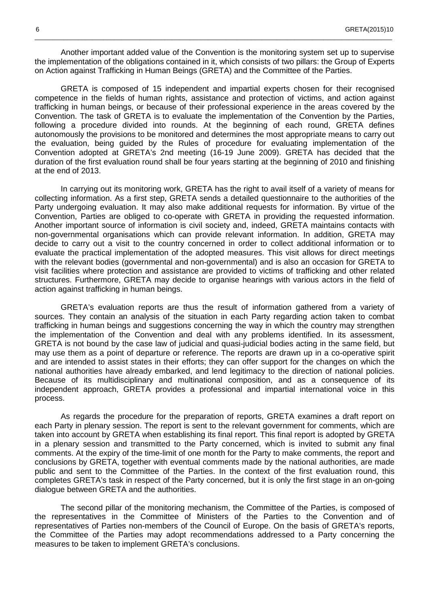Another important added value of the Convention is the monitoring system set up to supervise the implementation of the obligations contained in it, which consists of two pillars: the Group of Experts on Action against Trafficking in Human Beings (GRETA) and the Committee of the Parties.

\_\_\_\_\_\_\_\_\_\_\_\_\_\_\_\_\_\_\_\_\_\_\_\_\_\_\_\_\_\_\_\_\_\_\_\_\_\_\_\_\_\_\_\_\_\_\_\_\_\_\_\_\_\_\_\_\_\_\_\_\_\_\_\_\_\_\_\_\_\_\_\_\_\_\_\_\_\_\_\_\_\_\_\_\_\_\_\_\_\_\_\_\_\_\_\_\_\_\_

GRETA is composed of 15 independent and impartial experts chosen for their recognised competence in the fields of human rights, assistance and protection of victims, and action against trafficking in human beings, or because of their professional experience in the areas covered by the Convention. The task of GRETA is to evaluate the implementation of the Convention by the Parties, following a procedure divided into rounds. At the beginning of each round, GRETA defines autonomously the provisions to be monitored and determines the most appropriate means to carry out the evaluation, being guided by the Rules of procedure for evaluating implementation of the Convention adopted at GRETA's 2nd meeting (16-19 June 2009). GRETA has decided that the duration of the first evaluation round shall be four years starting at the beginning of 2010 and finishing at the end of 2013.

In carrying out its monitoring work, GRETA has the right to avail itself of a variety of means for collecting information. As a first step, GRETA sends a detailed questionnaire to the authorities of the Party undergoing evaluation. It may also make additional requests for information. By virtue of the Convention, Parties are obliged to co-operate with GRETA in providing the requested information. Another important source of information is civil society and, indeed, GRETA maintains contacts with non-governmental organisations which can provide relevant information. In addition, GRETA may decide to carry out a visit to the country concerned in order to collect additional information or to evaluate the practical implementation of the adopted measures. This visit allows for direct meetings with the relevant bodies (governmental and non-governmental) and is also an occasion for GRETA to visit facilities where protection and assistance are provided to victims of trafficking and other related structures. Furthermore, GRETA may decide to organise hearings with various actors in the field of action against trafficking in human beings.

GRETA's evaluation reports are thus the result of information gathered from a variety of sources. They contain an analysis of the situation in each Party regarding action taken to combat trafficking in human beings and suggestions concerning the way in which the country may strengthen the implementation of the Convention and deal with any problems identified. In its assessment, GRETA is not bound by the case law of judicial and quasi-judicial bodies acting in the same field, but may use them as a point of departure or reference. The reports are drawn up in a co-operative spirit and are intended to assist states in their efforts; they can offer support for the changes on which the national authorities have already embarked, and lend legitimacy to the direction of national policies. Because of its multidisciplinary and multinational composition, and as a consequence of its independent approach, GRETA provides a professional and impartial international voice in this process.

As regards the procedure for the preparation of reports, GRETA examines a draft report on each Party in plenary session. The report is sent to the relevant government for comments, which are taken into account by GRETA when establishing its final report. This final report is adopted by GRETA in a plenary session and transmitted to the Party concerned, which is invited to submit any final comments. At the expiry of the time-limit of one month for the Party to make comments, the report and conclusions by GRETA, together with eventual comments made by the national authorities, are made public and sent to the Committee of the Parties. In the context of the first evaluation round, this completes GRETA's task in respect of the Party concerned, but it is only the first stage in an on-going dialogue between GRETA and the authorities.

The second pillar of the monitoring mechanism, the Committee of the Parties, is composed of the representatives in the Committee of Ministers of the Parties to the Convention and of representatives of Parties non-members of the Council of Europe. On the basis of GRETA's reports, the Committee of the Parties may adopt recommendations addressed to a Party concerning the measures to be taken to implement GRETA's conclusions.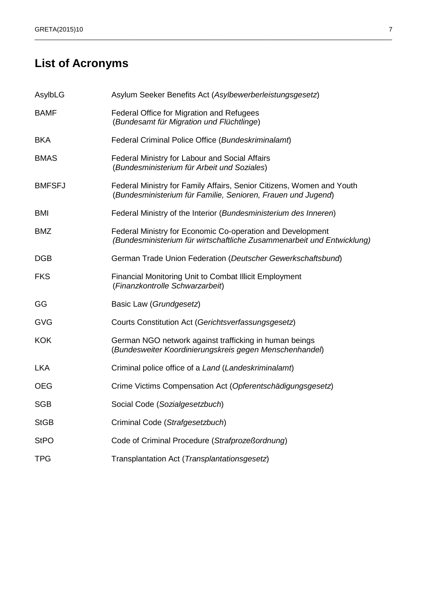## **List of Acronyms**

| AsylbLG       | Asylum Seeker Benefits Act (Asylbewerberleistungsgesetz)                                                                              |
|---------------|---------------------------------------------------------------------------------------------------------------------------------------|
| <b>BAMF</b>   | Federal Office for Migration and Refugees<br>(Bundesamt für Migration und Flüchtlinge)                                                |
| <b>BKA</b>    | Federal Criminal Police Office (Bundeskriminalamt)                                                                                    |
| <b>BMAS</b>   | Federal Ministry for Labour and Social Affairs<br>(Bundesministerium für Arbeit und Soziales)                                         |
| <b>BMFSFJ</b> | Federal Ministry for Family Affairs, Senior Citizens, Women and Youth<br>(Bundesministerium für Familie, Senioren, Frauen und Jugend) |
| <b>BMI</b>    | Federal Ministry of the Interior (Bundesministerium des Inneren)                                                                      |
| <b>BMZ</b>    | Federal Ministry for Economic Co-operation and Development<br>(Bundesministerium für wirtschaftliche Zusammenarbeit und Entwicklung)  |
| <b>DGB</b>    | German Trade Union Federation (Deutscher Gewerkschaftsbund)                                                                           |
| <b>FKS</b>    | Financial Monitoring Unit to Combat Illicit Employment<br>(Finanzkontrolle Schwarzarbeit)                                             |
| GG            | Basic Law (Grundgesetz)                                                                                                               |
| <b>GVG</b>    | Courts Constitution Act (Gerichtsverfassungsgesetz)                                                                                   |
| <b>KOK</b>    | German NGO network against trafficking in human beings<br>(Bundesweiter Koordinierungskreis gegen Menschenhandel)                     |
| <b>LKA</b>    | Criminal police office of a Land (Landeskriminalamt)                                                                                  |
| <b>OEG</b>    | Crime Victims Compensation Act (Opferentschädigungsgesetz)                                                                            |
| <b>SGB</b>    | Social Code (Sozialgesetzbuch)                                                                                                        |
| <b>StGB</b>   | Criminal Code (Strafgesetzbuch)                                                                                                       |
| <b>StPO</b>   | Code of Criminal Procedure (Strafprozeßordnung)                                                                                       |
| <b>TPG</b>    | Transplantation Act (Transplantationsgesetz)                                                                                          |

\_\_\_\_\_\_\_\_\_\_\_\_\_\_\_\_\_\_\_\_\_\_\_\_\_\_\_\_\_\_\_\_\_\_\_\_\_\_\_\_\_\_\_\_\_\_\_\_\_\_\_\_\_\_\_\_\_\_\_\_\_\_\_\_\_\_\_\_\_\_\_\_\_\_\_\_\_\_\_\_\_\_\_\_\_\_\_\_\_\_\_\_\_\_\_\_\_\_\_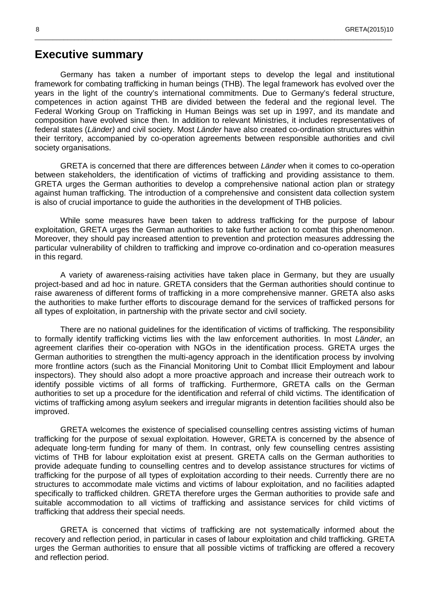### **Executive summary**

Germany has taken a number of important steps to develop the legal and institutional framework for combating trafficking in human beings (THB). The legal framework has evolved over the years in the light of the country's international commitments. Due to Germany's federal structure, competences in action against THB are divided between the federal and the regional level. The Federal Working Group on Trafficking in Human Beings was set up in 1997, and its mandate and composition have evolved since then. In addition to relevant Ministries, it includes representatives of federal states (Länder) and civil society. Most Länder have also created co-ordination structures within their territory, accompanied by co-operation agreements between responsible authorities and civil society organisations.

\_\_\_\_\_\_\_\_\_\_\_\_\_\_\_\_\_\_\_\_\_\_\_\_\_\_\_\_\_\_\_\_\_\_\_\_\_\_\_\_\_\_\_\_\_\_\_\_\_\_\_\_\_\_\_\_\_\_\_\_\_\_\_\_\_\_\_\_\_\_\_\_\_\_\_\_\_\_\_\_\_\_\_\_\_\_\_\_\_\_\_\_\_\_\_\_\_\_\_

GRETA is concerned that there are differences between *Länder* when it comes to co-operation between stakeholders, the identification of victims of trafficking and providing assistance to them. GRETA urges the German authorities to develop a comprehensive national action plan or strategy against human trafficking. The introduction of a comprehensive and consistent data collection system is also of crucial importance to guide the authorities in the development of THB policies.

While some measures have been taken to address trafficking for the purpose of labour exploitation, GRETA urges the German authorities to take further action to combat this phenomenon. Moreover, they should pay increased attention to prevention and protection measures addressing the particular vulnerability of children to trafficking and improve co-ordination and co-operation measures in this regard.

A variety of awareness-raising activities have taken place in Germany, but they are usually project-based and ad hoc in nature. GRETA considers that the German authorities should continue to raise awareness of different forms of trafficking in a more comprehensive manner. GRETA also asks the authorities to make further efforts to discourage demand for the services of trafficked persons for all types of exploitation, in partnership with the private sector and civil society.

There are no national guidelines for the identification of victims of trafficking. The responsibility to formally identify trafficking victims lies with the law enforcement authorities. In most Länder, an agreement clarifies their co-operation with NGOs in the identification process. GRETA urges the German authorities to strengthen the multi-agency approach in the identification process by involving more frontline actors (such as the Financial Monitoring Unit to Combat Illicit Employment and labour inspectors). They should also adopt a more proactive approach and increase their outreach work to identify possible victims of all forms of trafficking. Furthermore, GRETA calls on the German authorities to set up a procedure for the identification and referral of child victims. The identification of victims of trafficking among asylum seekers and irregular migrants in detention facilities should also be improved.

GRETA welcomes the existence of specialised counselling centres assisting victims of human trafficking for the purpose of sexual exploitation. However, GRETA is concerned by the absence of adequate long-term funding for many of them. In contrast, only few counselling centres assisting victims of THB for labour exploitation exist at present. GRETA calls on the German authorities to provide adequate funding to counselling centres and to develop assistance structures for victims of trafficking for the purpose of all types of exploitation according to their needs. Currently there are no structures to accommodate male victims and victims of labour exploitation, and no facilities adapted specifically to trafficked children. GRETA therefore urges the German authorities to provide safe and suitable accommodation to all victims of trafficking and assistance services for child victims of trafficking that address their special needs.

GRETA is concerned that victims of trafficking are not systematically informed about the recovery and reflection period, in particular in cases of labour exploitation and child trafficking. GRETA urges the German authorities to ensure that all possible victims of trafficking are offered a recovery and reflection period.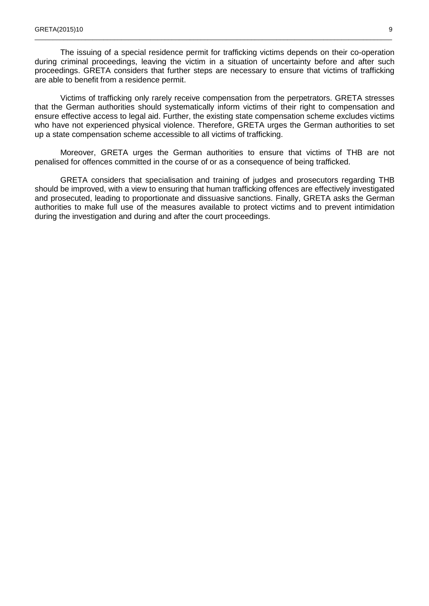The issuing of a special residence permit for trafficking victims depends on their co-operation during criminal proceedings, leaving the victim in a situation of uncertainty before and after such proceedings. GRETA considers that further steps are necessary to ensure that victims of trafficking are able to benefit from a residence permit.

\_\_\_\_\_\_\_\_\_\_\_\_\_\_\_\_\_\_\_\_\_\_\_\_\_\_\_\_\_\_\_\_\_\_\_\_\_\_\_\_\_\_\_\_\_\_\_\_\_\_\_\_\_\_\_\_\_\_\_\_\_\_\_\_\_\_\_\_\_\_\_\_\_\_\_\_\_\_\_\_\_\_\_\_\_\_\_\_\_\_\_\_\_\_\_\_\_\_\_

Victims of trafficking only rarely receive compensation from the perpetrators. GRETA stresses that the German authorities should systematically inform victims of their right to compensation and ensure effective access to legal aid. Further, the existing state compensation scheme excludes victims who have not experienced physical violence. Therefore, GRETA urges the German authorities to set up a state compensation scheme accessible to all victims of trafficking.

Moreover, GRETA urges the German authorities to ensure that victims of THB are not penalised for offences committed in the course of or as a consequence of being trafficked.

GRETA considers that specialisation and training of judges and prosecutors regarding THB should be improved, with a view to ensuring that human trafficking offences are effectively investigated and prosecuted, leading to proportionate and dissuasive sanctions. Finally, GRETA asks the German authorities to make full use of the measures available to protect victims and to prevent intimidation during the investigation and during and after the court proceedings.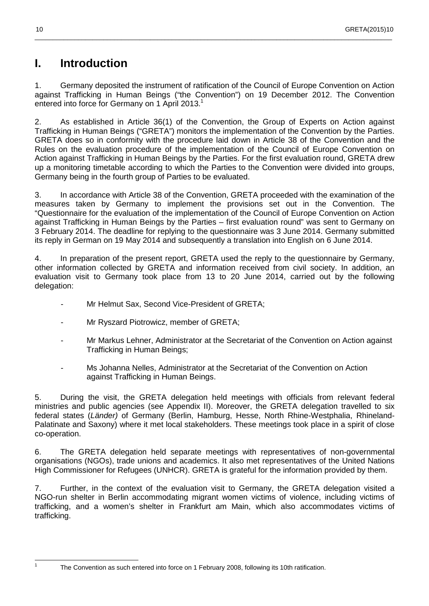## **I. Introduction**

1. Germany deposited the instrument of ratification of the Council of Europe Convention on Action against Trafficking in Human Beings ("the Convention") on 19 December 2012. The Convention entered into force for Germany on 1 April 2013.<sup>1</sup>

\_\_\_\_\_\_\_\_\_\_\_\_\_\_\_\_\_\_\_\_\_\_\_\_\_\_\_\_\_\_\_\_\_\_\_\_\_\_\_\_\_\_\_\_\_\_\_\_\_\_\_\_\_\_\_\_\_\_\_\_\_\_\_\_\_\_\_\_\_\_\_\_\_\_\_\_\_\_\_\_\_\_\_\_\_\_\_\_\_\_\_\_\_\_\_\_\_\_\_

2. As established in Article 36(1) of the Convention, the Group of Experts on Action against Trafficking in Human Beings ("GRETA") monitors the implementation of the Convention by the Parties. GRETA does so in conformity with the procedure laid down in Article 38 of the Convention and the Rules on the evaluation procedure of the implementation of the Council of Europe Convention on Action against Trafficking in Human Beings by the Parties. For the first evaluation round, GRETA drew up a monitoring timetable according to which the Parties to the Convention were divided into groups, Germany being in the fourth group of Parties to be evaluated.

3. In accordance with Article 38 of the Convention, GRETA proceeded with the examination of the measures taken by Germany to implement the provisions set out in the Convention. The "Questionnaire for the evaluation of the implementation of the Council of Europe Convention on Action against Trafficking in Human Beings by the Parties – first evaluation round" was sent to Germany on 3 February 2014. The deadline for replying to the questionnaire was 3 June 2014. Germany submitted its reply in German on 19 May 2014 and subsequently a translation into English on 6 June 2014.

4. In preparation of the present report, GRETA used the reply to the questionnaire by Germany, other information collected by GRETA and information received from civil society. In addition, an evaluation visit to Germany took place from 13 to 20 June 2014, carried out by the following delegation:

- Mr Helmut Sax, Second Vice-President of GRETA;
- Mr Ryszard Piotrowicz, member of GRETA;
- Mr Markus Lehner, Administrator at the Secretariat of the Convention on Action against Trafficking in Human Beings;
- Ms Johanna Nelles, Administrator at the Secretariat of the Convention on Action against Trafficking in Human Beings.

5. During the visit, the GRETA delegation held meetings with officials from relevant federal ministries and public agencies (see Appendix II). Moreover, the GRETA delegation travelled to six federal states (Länder) of Germany (Berlin, Hamburg, Hesse, North Rhine-Westphalia, Rhineland-Palatinate and Saxony) where it met local stakeholders. These meetings took place in a spirit of close co-operation.

6. The GRETA delegation held separate meetings with representatives of non-governmental organisations (NGOs), trade unions and academics. It also met representatives of the United Nations High Commissioner for Refugees (UNHCR). GRETA is grateful for the information provided by them.

7. Further, in the context of the evaluation visit to Germany, the GRETA delegation visited a NGO-run shelter in Berlin accommodating migrant women victims of violence, including victims of trafficking, and a women's shelter in Frankfurt am Main, which also accommodates victims of trafficking.

 $\frac{1}{1}$ 

The Convention as such entered into force on 1 February 2008, following its 10th ratification.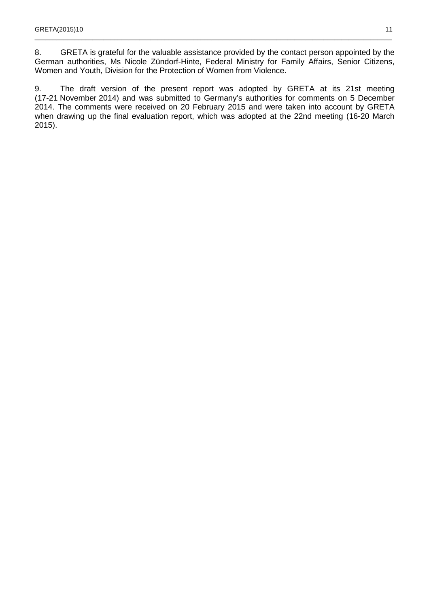8. GRETA is grateful for the valuable assistance provided by the contact person appointed by the German authorities, Ms Nicole Zündorf-Hinte, Federal Ministry for Family Affairs, Senior Citizens, Women and Youth, Division for the Protection of Women from Violence.

\_\_\_\_\_\_\_\_\_\_\_\_\_\_\_\_\_\_\_\_\_\_\_\_\_\_\_\_\_\_\_\_\_\_\_\_\_\_\_\_\_\_\_\_\_\_\_\_\_\_\_\_\_\_\_\_\_\_\_\_\_\_\_\_\_\_\_\_\_\_\_\_\_\_\_\_\_\_\_\_\_\_\_\_\_\_\_\_\_\_\_\_\_\_\_\_\_\_\_

9. The draft version of the present report was adopted by GRETA at its 21st meeting (17-21 November 2014) and was submitted to Germany's authorities for comments on 5 December 2014. The comments were received on 20 February 2015 and were taken into account by GRETA when drawing up the final evaluation report, which was adopted at the 22nd meeting (16-20 March 2015).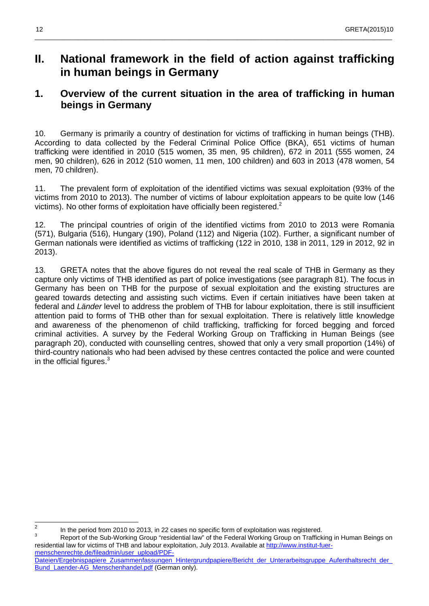## **II. National framework in the field of action against trafficking in human beings in Germany**

\_\_\_\_\_\_\_\_\_\_\_\_\_\_\_\_\_\_\_\_\_\_\_\_\_\_\_\_\_\_\_\_\_\_\_\_\_\_\_\_\_\_\_\_\_\_\_\_\_\_\_\_\_\_\_\_\_\_\_\_\_\_\_\_\_\_\_\_\_\_\_\_\_\_\_\_\_\_\_\_\_\_\_\_\_\_\_\_\_\_\_\_\_\_\_\_\_\_\_

## **1. Overview of the current situation in the area of trafficking in human beings in Germany**

10. Germany is primarily a country of destination for victims of trafficking in human beings (THB). According to data collected by the Federal Criminal Police Office (BKA), 651 victims of human trafficking were identified in 2010 (515 women, 35 men, 95 children), 672 in 2011 (555 women, 24 men, 90 children), 626 in 2012 (510 women, 11 men, 100 children) and 603 in 2013 (478 women, 54 men, 70 children).

11. The prevalent form of exploitation of the identified victims was sexual exploitation (93% of the victims from 2010 to 2013). The number of victims of labour exploitation appears to be quite low (146 victims). No other forms of exploitation have officially been registered.<sup>2</sup>

12. The principal countries of origin of the identified victims from 2010 to 2013 were Romania (571), Bulgaria (516), Hungary (190), Poland (112) and Nigeria (102). Further, a significant number of German nationals were identified as victims of trafficking (122 in 2010, 138 in 2011, 129 in 2012, 92 in 2013).

13. GRETA notes that the above figures do not reveal the real scale of THB in Germany as they capture only victims of THB identified as part of police investigations (see paragraph 81). The focus in Germany has been on THB for the purpose of sexual exploitation and the existing structures are geared towards detecting and assisting such victims. Even if certain initiatives have been taken at federal and Länder level to address the problem of THB for labour exploitation, there is still insufficient attention paid to forms of THB other than for sexual exploitation. There is relatively little knowledge and awareness of the phenomenon of child trafficking, trafficking for forced begging and forced criminal activities. A survey by the Federal Working Group on Trafficking in Human Beings (see paragraph 20), conducted with counselling centres, showed that only a very small proportion (14%) of third-country nationals who had been advised by these centres contacted the police and were counted in the official figures. $3$ 

<sup>&</sup>lt;sup>2</sup> In the period from 2010 to 2013, in 22 cases no specific form of exploitation was registered.

<sup>3</sup> Report of the Sub-Working Group "residential law" of the Federal Working Group on Trafficking in Human Beings on residential law for victims of THB and labour exploitation, July 2013. Available at http://www.institut-fuermenschenrechte.de/fileadmin/user\_upload/PDF-

Dateien/Ergebnispapiere\_Zusammenfassungen\_Hintergrundpapiere/Bericht\_der\_Unterarbeitsgruppe\_Aufenthaltsrecht\_der Bund Laender-AG Menschenhandel.pdf (German only).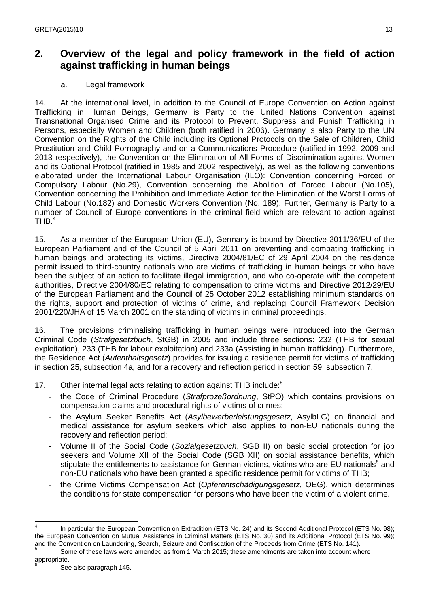## **2. Overview of the legal and policy framework in the field of action against trafficking in human beings**

\_\_\_\_\_\_\_\_\_\_\_\_\_\_\_\_\_\_\_\_\_\_\_\_\_\_\_\_\_\_\_\_\_\_\_\_\_\_\_\_\_\_\_\_\_\_\_\_\_\_\_\_\_\_\_\_\_\_\_\_\_\_\_\_\_\_\_\_\_\_\_\_\_\_\_\_\_\_\_\_\_\_\_\_\_\_\_\_\_\_\_\_\_\_\_\_\_\_\_

### a. Legal framework

14. At the international level, in addition to the Council of Europe Convention on Action against Trafficking in Human Beings, Germany is Party to the United Nations Convention against Transnational Organised Crime and its Protocol to Prevent, Suppress and Punish Trafficking in Persons, especially Women and Children (both ratified in 2006). Germany is also Party to the UN Convention on the Rights of the Child including its Optional Protocols on the Sale of Children, Child Prostitution and Child Pornography and on a Communications Procedure (ratified in 1992, 2009 and 2013 respectively), the Convention on the Elimination of All Forms of Discrimination against Women and its Optional Protocol (ratified in 1985 and 2002 respectively), as well as the following conventions elaborated under the International Labour Organisation (ILO): Convention concerning Forced or Compulsory Labour (No.29), Convention concerning the Abolition of Forced Labour (No.105), Convention concerning the Prohibition and Immediate Action for the Elimination of the Worst Forms of Child Labour (No.182) and Domestic Workers Convention (No. 189). Further, Germany is Party to a number of Council of Europe conventions in the criminal field which are relevant to action against  $THB.<sup>4</sup>$ 

15. As a member of the European Union (EU), Germany is bound by Directive 2011/36/EU of the European Parliament and of the Council of 5 April 2011 on preventing and combating trafficking in human beings and protecting its victims, Directive 2004/81/EC of 29 April 2004 on the residence permit issued to third-country nationals who are victims of trafficking in human beings or who have been the subject of an action to facilitate illegal immigration, and who co-operate with the competent authorities, Directive 2004/80/EC relating to compensation to crime victims and Directive 2012/29/EU of the European Parliament and the Council of 25 October 2012 establishing minimum standards on the rights, support and protection of victims of crime, and replacing Council Framework Decision 2001/220/JHA of 15 March 2001 on the standing of victims in criminal proceedings.

16. The provisions criminalising trafficking in human beings were introduced into the German Criminal Code (Strafgesetzbuch, StGB) in 2005 and include three sections: 232 (THB for sexual exploitation), 233 (THB for labour exploitation) and 233a (Assisting in human trafficking). Furthermore, the Residence Act (Aufenthaltsgesetz) provides for issuing a residence permit for victims of trafficking in section 25, subsection 4a, and for a recovery and reflection period in section 59, subsection 7.

17. Other internal legal acts relating to action against THB include:<sup>5</sup>

- the Code of Criminal Procedure (Strafprozeßordnung, StPO) which contains provisions on compensation claims and procedural rights of victims of crimes;
- the Asylum Seeker Benefits Act (Asylbewerberleistungsgesetz, AsylbLG) on financial and medical assistance for asylum seekers which also applies to non-EU nationals during the recovery and reflection period;
- Volume II of the Social Code (Sozialgesetzbuch, SGB II) on basic social protection for job seekers and Volume XII of the Social Code (SGB XII) on social assistance benefits, which stipulate the entitlements to assistance for German victims, victims who are EU-nationals<sup>6</sup> and non-EU nationals who have been granted a specific residence permit for victims of THB;
- the Crime Victims Compensation Act (Opferentschädigungsgesetz, OEG), which determines the conditions for state compensation for persons who have been the victim of a violent crime.

 $\frac{1}{4}$  In particular the European Convention on Extradition (ETS No. 24) and its Second Additional Protocol (ETS No. 98); the European Convention on Mutual Assistance in Criminal Matters (ETS No. 30) and its Additional Protocol (ETS No. 99); and the Convention on Laundering, Search, Seizure and Confiscation of the Proceeds from Crime (ETS No. 141).<br>5

Some of these laws were amended as from 1 March 2015; these amendments are taken into account where appropriate.

See also paragraph 145.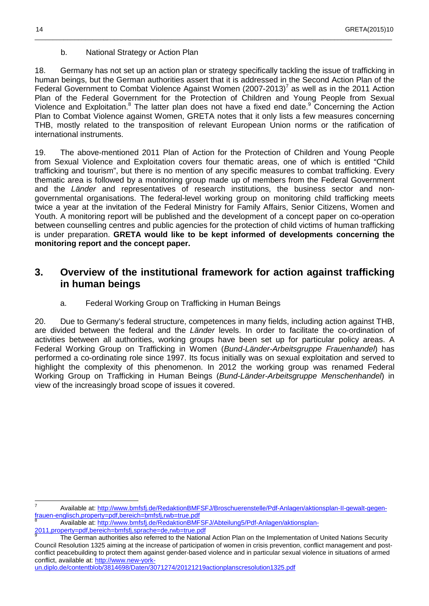b. National Strategy or Action Plan

18. Germany has not set up an action plan or strategy specifically tackling the issue of trafficking in human beings, but the German authorities assert that it is addressed in the Second Action Plan of the Federal Government to Combat Violence Against Women  $(2007-2013)^7$  as well as in the 2011 Action Plan of the Federal Government for the Protection of Children and Young People from Sexual Violence and Exploitation.<sup>8</sup> The latter plan does not have a fixed end date.<sup>9</sup> Concerning the Action Plan to Combat Violence against Women, GRETA notes that it only lists a few measures concerning THB, mostly related to the transposition of relevant European Union norms or the ratification of international instruments.

\_\_\_\_\_\_\_\_\_\_\_\_\_\_\_\_\_\_\_\_\_\_\_\_\_\_\_\_\_\_\_\_\_\_\_\_\_\_\_\_\_\_\_\_\_\_\_\_\_\_\_\_\_\_\_\_\_\_\_\_\_\_\_\_\_\_\_\_\_\_\_\_\_\_\_\_\_\_\_\_\_\_\_\_\_\_\_\_\_\_\_\_\_\_\_\_\_\_\_

19. The above-mentioned 2011 Plan of Action for the Protection of Children and Young People from Sexual Violence and Exploitation covers four thematic areas, one of which is entitled "Child trafficking and tourism", but there is no mention of any specific measures to combat trafficking. Every thematic area is followed by a monitoring group made up of members from the Federal Government and the Länder and representatives of research institutions, the business sector and nongovernmental organisations. The federal-level working group on monitoring child trafficking meets twice a year at the invitation of the Federal Ministry for Family Affairs, Senior Citizens, Women and Youth. A monitoring report will be published and the development of a concept paper on co-operation between counselling centres and public agencies for the protection of child victims of human trafficking is under preparation. **GRETA would like to be kept informed of developments concerning the monitoring report and the concept paper.**

## **3. Overview of the institutional framework for action against trafficking in human beings**

a. Federal Working Group on Trafficking in Human Beings

20. Due to Germany's federal structure, competences in many fields, including action against THB, are divided between the federal and the Länder levels. In order to facilitate the co-ordination of activities between all authorities, working groups have been set up for particular policy areas. A Federal Working Group on Trafficking in Women (Bund-Länder-Arbeitsgruppe Frauenhandel) has performed a co-ordinating role since 1997. Its focus initially was on sexual exploitation and served to highlight the complexity of this phenomenon. In 2012 the working group was renamed Federal Working Group on Trafficking in Human Beings (Bund-Länder-Arbeitsgruppe Menschenhandel) in view of the increasingly broad scope of issues it covered.

8 Available at: http://www.bmfsfj.de/RedaktionBMFSFJ/Abteilung5/Pdf-Anlagen/aktionsplan-

2011,property=pdf,bereich=bmfsfj,sprache=de,rwb=true.pdf 9

 7 Available at: http://www.bmfsfj.de/RedaktionBMFSFJ/Broschuerenstelle/Pdf-Anlagen/aktionsplan-II-gewalt-gegenfrauen-englisch,property=pdf,bereich=bmfsfj,rwb=true.pdf

The German authorities also referred to the National Action Plan on the Implementation of United Nations Security Council Resolution 1325 aiming at the increase of participation of women in crisis prevention, conflict management and postconflict peacebuilding to protect them against gender-based violence and in particular sexual violence in situations of armed conflict, available at: http://www.new-york-

un.diplo.de/contentblob/3814698/Daten/3071274/20121219actionplanscresolution1325.pdf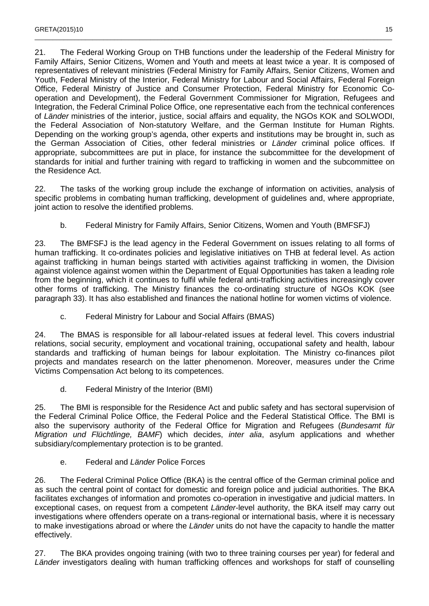21. The Federal Working Group on THB functions under the leadership of the Federal Ministry for Family Affairs, Senior Citizens, Women and Youth and meets at least twice a year. It is composed of representatives of relevant ministries (Federal Ministry for Family Affairs, Senior Citizens, Women and Youth, Federal Ministry of the Interior, Federal Ministry for Labour and Social Affairs, Federal Foreign Office, Federal Ministry of Justice and Consumer Protection, Federal Ministry for Economic Cooperation and Development), the Federal Government Commissioner for Migration, Refugees and Integration, the Federal Criminal Police Office, one representative each from the technical conferences of Länder ministries of the interior, justice, social affairs and equality, the NGOs KOK and SOLWODI, the Federal Association of Non-statutory Welfare, and the German Institute for Human Rights. Depending on the working group's agenda, other experts and institutions may be brought in, such as the German Association of Cities, other federal ministries or Länder criminal police offices. If appropriate, subcommittees are put in place, for instance the subcommittee for the development of standards for initial and further training with regard to trafficking in women and the subcommittee on the Residence Act.

\_\_\_\_\_\_\_\_\_\_\_\_\_\_\_\_\_\_\_\_\_\_\_\_\_\_\_\_\_\_\_\_\_\_\_\_\_\_\_\_\_\_\_\_\_\_\_\_\_\_\_\_\_\_\_\_\_\_\_\_\_\_\_\_\_\_\_\_\_\_\_\_\_\_\_\_\_\_\_\_\_\_\_\_\_\_\_\_\_\_\_\_\_\_\_\_\_\_\_

22. The tasks of the working group include the exchange of information on activities, analysis of specific problems in combating human trafficking, development of guidelines and, where appropriate, joint action to resolve the identified problems.

b. Federal Ministry for Family Affairs, Senior Citizens, Women and Youth (BMFSFJ)

23. The BMFSFJ is the lead agency in the Federal Government on issues relating to all forms of human trafficking. It co-ordinates policies and legislative initiatives on THB at federal level. As action against trafficking in human beings started with activities against trafficking in women, the Division against violence against women within the Department of Equal Opportunities has taken a leading role from the beginning, which it continues to fulfil while federal anti-trafficking activities increasingly cover other forms of trafficking. The Ministry finances the co-ordinating structure of NGOs KOK (see paragraph 33). It has also established and finances the national hotline for women victims of violence.

c. Federal Ministry for Labour and Social Affairs (BMAS)

24. The BMAS is responsible for all labour-related issues at federal level. This covers industrial relations, social security, employment and vocational training, occupational safety and health, labour standards and trafficking of human beings for labour exploitation. The Ministry co-finances pilot projects and mandates research on the latter phenomenon. Moreover, measures under the Crime Victims Compensation Act belong to its competences.

d. Federal Ministry of the Interior (BMI)

25. The BMI is responsible for the Residence Act and public safety and has sectoral supervision of the Federal Criminal Police Office, the Federal Police and the Federal Statistical Office. The BMI is also the supervisory authority of the Federal Office for Migration and Refugees (Bundesamt für Migration und Flüchtlinge, BAMF) which decides, inter alia, asylum applications and whether subsidiary/complementary protection is to be granted.

e. Federal and Länder Police Forces

26. The Federal Criminal Police Office (BKA) is the central office of the German criminal police and as such the central point of contact for domestic and foreign police and judicial authorities. The BKA facilitates exchanges of information and promotes co-operation in investigative and judicial matters. In exceptional cases, on request from a competent Länder-level authority, the BKA itself may carry out investigations where offenders operate on a trans-regional or international basis, where it is necessary to make investigations abroad or where the Länder units do not have the capacity to handle the matter effectively.

27. The BKA provides ongoing training (with two to three training courses per year) for federal and Länder investigators dealing with human trafficking offences and workshops for staff of counselling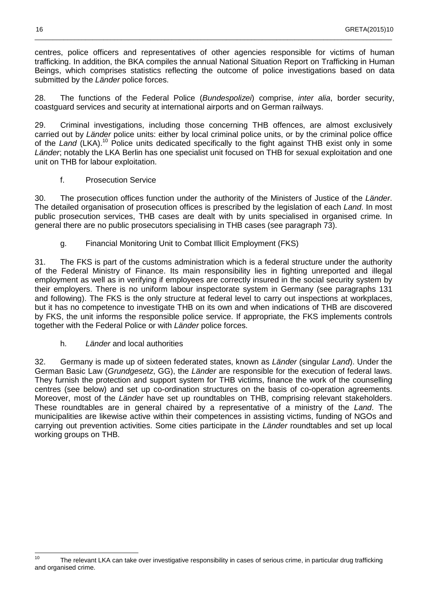centres, police officers and representatives of other agencies responsible for victims of human trafficking. In addition, the BKA compiles the annual National Situation Report on Trafficking in Human Beings, which comprises statistics reflecting the outcome of police investigations based on data submitted by the Länder police forces.

\_\_\_\_\_\_\_\_\_\_\_\_\_\_\_\_\_\_\_\_\_\_\_\_\_\_\_\_\_\_\_\_\_\_\_\_\_\_\_\_\_\_\_\_\_\_\_\_\_\_\_\_\_\_\_\_\_\_\_\_\_\_\_\_\_\_\_\_\_\_\_\_\_\_\_\_\_\_\_\_\_\_\_\_\_\_\_\_\_\_\_\_\_\_\_\_\_\_\_

28. The functions of the Federal Police (Bundespolizei) comprise, inter alia, border security, coastguard services and security at international airports and on German railways.

29. Criminal investigations, including those concerning THB offences, are almost exclusively carried out by Länder police units: either by local criminal police units, or by the criminal police office of the Land (LKA).<sup>10</sup> Police units dedicated specifically to the fight against THB exist only in some Länder; notably the LKA Berlin has one specialist unit focused on THB for sexual exploitation and one unit on THB for labour exploitation.

f. Prosecution Service

30. The prosecution offices function under the authority of the Ministers of Justice of the Länder. The detailed organisation of prosecution offices is prescribed by the legislation of each Land. In most public prosecution services, THB cases are dealt with by units specialised in organised crime. In general there are no public prosecutors specialising in THB cases (see paragraph 73).

g. Financial Monitoring Unit to Combat Illicit Employment (FKS)

31. The FKS is part of the customs administration which is a federal structure under the authority of the Federal Ministry of Finance. Its main responsibility lies in fighting unreported and illegal employment as well as in verifying if employees are correctly insured in the social security system by their employers. There is no uniform labour inspectorate system in Germany (see paragraphs 131 and following). The FKS is the only structure at federal level to carry out inspections at workplaces, but it has no competence to investigate THB on its own and when indications of THB are discovered by FKS, the unit informs the responsible police service. If appropriate, the FKS implements controls together with the Federal Police or with Länder police forces.

h. Länder and local authorities

32. Germany is made up of sixteen federated states, known as Länder (singular Land). Under the German Basic Law (Grundgesetz, GG), the Länder are responsible for the execution of federal laws. They furnish the protection and support system for THB victims, finance the work of the counselling centres (see below) and set up co-ordination structures on the basis of co-operation agreements. Moreover, most of the Länder have set up roundtables on THB, comprising relevant stakeholders. These roundtables are in general chaired by a representative of a ministry of the Land. The municipalities are likewise active within their competences in assisting victims, funding of NGOs and carrying out prevention activities. Some cities participate in the Länder roundtables and set up local working groups on THB.

 $10$ The relevant LKA can take over investigative responsibility in cases of serious crime, in particular drug trafficking and organised crime.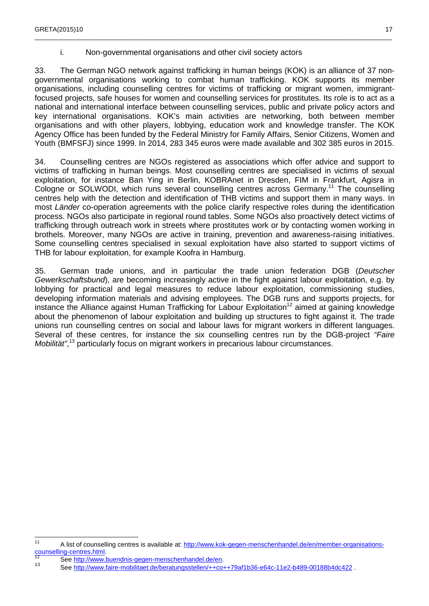#### i. Non-governmental organisations and other civil society actors

33. The German NGO network against trafficking in human beings (KOK) is an alliance of 37 nongovernmental organisations working to combat human trafficking. KOK supports its member organisations, including counselling centres for victims of trafficking or migrant women, immigrantfocused projects, safe houses for women and counselling services for prostitutes. Its role is to act as a national and international interface between counselling services, public and private policy actors and key international organisations. KOK's main activities are networking, both between member organisations and with other players, lobbying, education work and knowledge transfer. The KOK Agency Office has been funded by the Federal Ministry for Family Affairs, Senior Citizens, Women and Youth (BMFSFJ) since 1999. In 2014, 283 345 euros were made available and 302 385 euros in 2015.

\_\_\_\_\_\_\_\_\_\_\_\_\_\_\_\_\_\_\_\_\_\_\_\_\_\_\_\_\_\_\_\_\_\_\_\_\_\_\_\_\_\_\_\_\_\_\_\_\_\_\_\_\_\_\_\_\_\_\_\_\_\_\_\_\_\_\_\_\_\_\_\_\_\_\_\_\_\_\_\_\_\_\_\_\_\_\_\_\_\_\_\_\_\_\_\_\_\_\_

34. Counselling centres are NGOs registered as associations which offer advice and support to victims of trafficking in human beings. Most counselling centres are specialised in victims of sexual exploitation, for instance Ban Ying in Berlin, KOBRAnet in Dresden, FIM in Frankfurt, Agisra in Cologne or SOLWODI, which runs several counselling centres across Germany.<sup>11</sup> The counselling centres help with the detection and identification of THB victims and support them in many ways. In most Länder co-operation agreements with the police clarify respective roles during the identification process. NGOs also participate in regional round tables. Some NGOs also proactively detect victims of trafficking through outreach work in streets where prostitutes work or by contacting women working in brothels. Moreover, many NGOs are active in training, prevention and awareness-raising initiatives. Some counselling centres specialised in sexual exploitation have also started to support victims of THB for labour exploitation, for example Koofra in Hamburg.

35. German trade unions, and in particular the trade union federation DGB (Deutscher Gewerkschaftsbund), are becoming increasingly active in the fight against labour exploitation, e.g. by lobbying for practical and legal measures to reduce labour exploitation, commissioning studies, developing information materials and advising employees. The DGB runs and supports projects, for instance the Alliance against Human Trafficking for Labour Exploitation<sup>12</sup> aimed at gaining knowledge about the phenomenon of labour exploitation and building up structures to fight against it. The trade unions run counselling centres on social and labour laws for migrant workers in different languages. Several of these centres, for instance the six counselling centres run by the DGB-project "Faire" Mobilität",<sup>13</sup> particularly focus on migrant workers in precarious labour circumstances.

 $11$ A list of counselling centres is available at: http://www.kok-gegen-menschenhandel.de/en/member-organisationscounselling-centres.html.

See http://www.buendnis-gegen-menschenhandel.de/en. 13

See http://www.faire-mobilitaet.de/beratungsstellen/++co++79af1b36-e64c-11e2-b489-00188b4dc422 .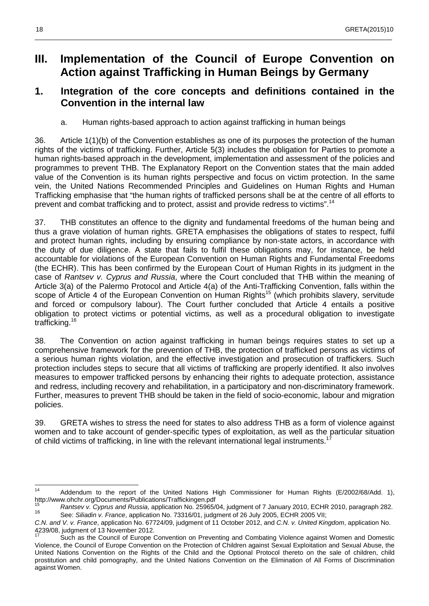## **III. Implementation of the Council of Europe Convention on Action against Trafficking in Human Beings by Germany**

\_\_\_\_\_\_\_\_\_\_\_\_\_\_\_\_\_\_\_\_\_\_\_\_\_\_\_\_\_\_\_\_\_\_\_\_\_\_\_\_\_\_\_\_\_\_\_\_\_\_\_\_\_\_\_\_\_\_\_\_\_\_\_\_\_\_\_\_\_\_\_\_\_\_\_\_\_\_\_\_\_\_\_\_\_\_\_\_\_\_\_\_\_\_\_\_\_\_\_

## **1. Integration of the core concepts and definitions contained in the Convention in the internal law**

a. Human rights-based approach to action against trafficking in human beings

36. Article 1(1)(b) of the Convention establishes as one of its purposes the protection of the human rights of the victims of trafficking. Further, Article 5(3) includes the obligation for Parties to promote a human rights-based approach in the development, implementation and assessment of the policies and programmes to prevent THB. The Explanatory Report on the Convention states that the main added value of the Convention is its human rights perspective and focus on victim protection. In the same vein, the United Nations Recommended Principles and Guidelines on Human Rights and Human Trafficking emphasise that "the human rights of trafficked persons shall be at the centre of all efforts to prevent and combat trafficking and to protect, assist and provide redress to victims".<sup>14</sup>

37. THB constitutes an offence to the dignity and fundamental freedoms of the human being and thus a grave violation of human rights. GRETA emphasises the obligations of states to respect, fulfil and protect human rights, including by ensuring compliance by non-state actors, in accordance with the duty of due diligence. A state that fails to fulfil these obligations may, for instance, be held accountable for violations of the European Convention on Human Rights and Fundamental Freedoms (the ECHR). This has been confirmed by the European Court of Human Rights in its judgment in the case of Rantsev v. Cyprus and Russia, where the Court concluded that THB within the meaning of Article 3(a) of the Palermo Protocol and Article 4(a) of the Anti-Trafficking Convention, falls within the scope of Article 4 of the European Convention on Human Rights<sup>15</sup> (which prohibits slavery, servitude and forced or compulsory labour). The Court further concluded that Article 4 entails a positive obligation to protect victims or potential victims, as well as a procedural obligation to investigate trafficking.<sup>16</sup>

38. The Convention on action against trafficking in human beings requires states to set up a comprehensive framework for the prevention of THB, the protection of trafficked persons as victims of a serious human rights violation, and the effective investigation and prosecution of traffickers. Such protection includes steps to secure that all victims of trafficking are properly identified. It also involves measures to empower trafficked persons by enhancing their rights to adequate protection, assistance and redress, including recovery and rehabilitation, in a participatory and non-discriminatory framework. Further, measures to prevent THB should be taken in the field of socio-economic, labour and migration policies.

39. GRETA wishes to stress the need for states to also address THB as a form of violence against women and to take account of gender-specific types of exploitation, as well as the particular situation of child victims of trafficking, in line with the relevant international legal instruments.<sup>1</sup>

 $14$ <sup>14</sup> Addendum to the report of the United Nations High Commissioner for Human Rights (E/2002/68/Add. 1), http://www.ohchr.org/Documents/Publications/Traffickingen.pdf<br><sup>15</sup> Pentasy v. Cunrue and Pupeia application Na. 35065/

Rantsev v. Cyprus and Russia, application No. 25965/04, judgment of 7 January 2010, ECHR 2010, paragraph 282. 16 See: Siliadin v. France, application No. 73316/01, judgment of 26 July 2005, ECHR 2005 VII;

C.N. and V. v. France, application No. 67724/09, judgment of 11 October 2012, and C.N. v. United Kingdom, application No. 4239/08, judgment of 13 November 2012.

Such as the Council of Europe Convention on Preventing and Combating Violence against Women and Domestic Violence, the Council of Europe Convention on the Protection of Children against Sexual Exploitation and Sexual Abuse, the United Nations Convention on the Rights of the Child and the Optional Protocol thereto on the sale of children, child prostitution and child pornography, and the United Nations Convention on the Elimination of All Forms of Discrimination against Women.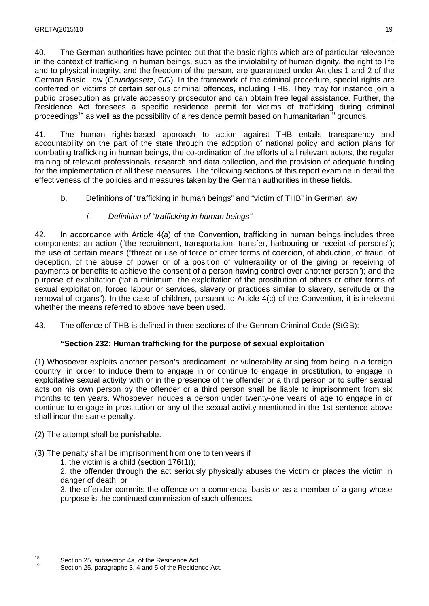40. The German authorities have pointed out that the basic rights which are of particular relevance in the context of trafficking in human beings, such as the inviolability of human dignity, the right to life and to physical integrity, and the freedom of the person, are guaranteed under Articles 1 and 2 of the German Basic Law (Grundgesetz, GG). In the framework of the criminal procedure, special rights are conferred on victims of certain serious criminal offences, including THB. They may for instance join a public prosecution as private accessory prosecutor and can obtain free legal assistance. Further, the Residence Act foresees a specific residence permit for victims of trafficking during criminal proceedings<sup>18</sup> as well as the possibility of a residence permit based on humanitarian<sup>19</sup> grounds.

41. The human rights-based approach to action against THB entails transparency and accountability on the part of the state through the adoption of national policy and action plans for combating trafficking in human beings, the co-ordination of the efforts of all relevant actors, the regular training of relevant professionals, research and data collection, and the provision of adequate funding for the implementation of all these measures. The following sections of this report examine in detail the effectiveness of the policies and measures taken by the German authorities in these fields.

b. Definitions of "trafficking in human beings" and "victim of THB" in German law

#### i. Definition of "trafficking in human beings"

42. In accordance with Article 4(a) of the Convention, trafficking in human beings includes three components: an action ("the recruitment, transportation, transfer, harbouring or receipt of persons"); the use of certain means ("threat or use of force or other forms of coercion, of abduction, of fraud, of deception, of the abuse of power or of a position of vulnerability or of the giving or receiving of payments or benefits to achieve the consent of a person having control over another person"); and the purpose of exploitation ("at a minimum, the exploitation of the prostitution of others or other forms of sexual exploitation, forced labour or services, slavery or practices similar to slavery, servitude or the removal of organs"). In the case of children, pursuant to Article 4(c) of the Convention, it is irrelevant whether the means referred to above have been used.

43. The offence of THB is defined in three sections of the German Criminal Code (StGB):

#### **"Section 232: Human trafficking for the purpose of sexual exploitation**

(1) Whosoever exploits another person's predicament, or vulnerability arising from being in a foreign country, in order to induce them to engage in or continue to engage in prostitution, to engage in exploitative sexual activity with or in the presence of the offender or a third person or to suffer sexual acts on his own person by the offender or a third person shall be liable to imprisonment from six months to ten years. Whosoever induces a person under twenty-one years of age to engage in or continue to engage in prostitution or any of the sexual activity mentioned in the 1st sentence above shall incur the same penalty.

- (2) The attempt shall be punishable.
- (3) The penalty shall be imprisonment from one to ten years if
	- 1. the victim is a child (section 176(1));

2. the offender through the act seriously physically abuses the victim or places the victim in danger of death; or

3. the offender commits the offence on a commercial basis or as a member of a gang whose purpose is the continued commission of such offences.

 $18$ <sup>18</sup> Section 25, subsection 4a, of the Residence Act.

Section 25, paragraphs 3, 4 and 5 of the Residence Act.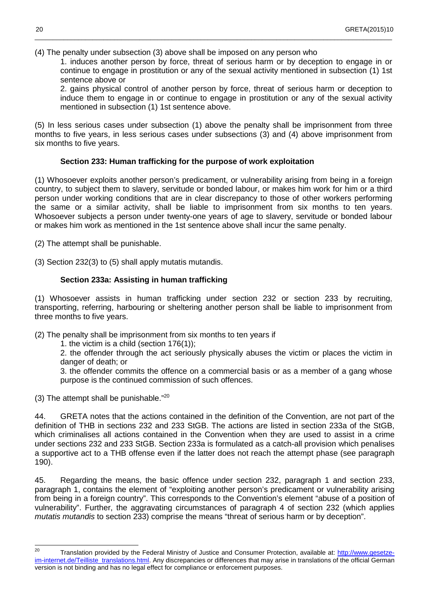(4) The penalty under subsection (3) above shall be imposed on any person who

1. induces another person by force, threat of serious harm or by deception to engage in or continue to engage in prostitution or any of the sexual activity mentioned in subsection (1) 1st sentence above or

\_\_\_\_\_\_\_\_\_\_\_\_\_\_\_\_\_\_\_\_\_\_\_\_\_\_\_\_\_\_\_\_\_\_\_\_\_\_\_\_\_\_\_\_\_\_\_\_\_\_\_\_\_\_\_\_\_\_\_\_\_\_\_\_\_\_\_\_\_\_\_\_\_\_\_\_\_\_\_\_\_\_\_\_\_\_\_\_\_\_\_\_\_\_\_\_\_\_\_

2. gains physical control of another person by force, threat of serious harm or deception to induce them to engage in or continue to engage in prostitution or any of the sexual activity mentioned in subsection (1) 1st sentence above.

(5) In less serious cases under subsection (1) above the penalty shall be imprisonment from three months to five years, in less serious cases under subsections (3) and (4) above imprisonment from six months to five years.

#### **Section 233: Human trafficking for the purpose of work exploitation**

(1) Whosoever exploits another person's predicament, or vulnerability arising from being in a foreign country, to subject them to slavery, servitude or bonded labour, or makes him work for him or a third person under working conditions that are in clear discrepancy to those of other workers performing the same or a similar activity, shall be liable to imprisonment from six months to ten years. Whosoever subjects a person under twenty-one years of age to slavery, servitude or bonded labour or makes him work as mentioned in the 1st sentence above shall incur the same penalty.

(2) The attempt shall be punishable.

(3) Section 232(3) to (5) shall apply mutatis mutandis.

#### **Section 233a: Assisting in human trafficking**

(1) Whosoever assists in human trafficking under section 232 or section 233 by recruiting, transporting, referring, harbouring or sheltering another person shall be liable to imprisonment from three months to five years.

(2) The penalty shall be imprisonment from six months to ten years if

1. the victim is a child (section 176(1));

2. the offender through the act seriously physically abuses the victim or places the victim in danger of death; or

3. the offender commits the offence on a commercial basis or as a member of a gang whose purpose is the continued commission of such offences.

(3) The attempt shall be punishable. $"^{20}$ 

44. GRETA notes that the actions contained in the definition of the Convention, are not part of the definition of THB in sections 232 and 233 StGB. The actions are listed in section 233a of the StGB, which criminalises all actions contained in the Convention when they are used to assist in a crime under sections 232 and 233 StGB. Section 233a is formulated as a catch-all provision which penalises a supportive act to a THB offense even if the latter does not reach the attempt phase (see paragraph 190).

45. Regarding the means, the basic offence under section 232, paragraph 1 and section 233, paragraph 1, contains the element of "exploiting another person's predicament or vulnerability arising from being in a foreign country". This corresponds to the Convention's element "abuse of a position of vulnerability". Further, the aggravating circumstances of paragraph 4 of section 232 (which applies mutatis mutandis to section 233) comprise the means "threat of serious harm or by deception".

 $20$ Translation provided by the Federal Ministry of Justice and Consumer Protection, available at: http://www.gesetzeim-internet.de/Teilliste\_translations.html. Any discrepancies or differences that may arise in translations of the official German version is not binding and has no legal effect for compliance or enforcement purposes.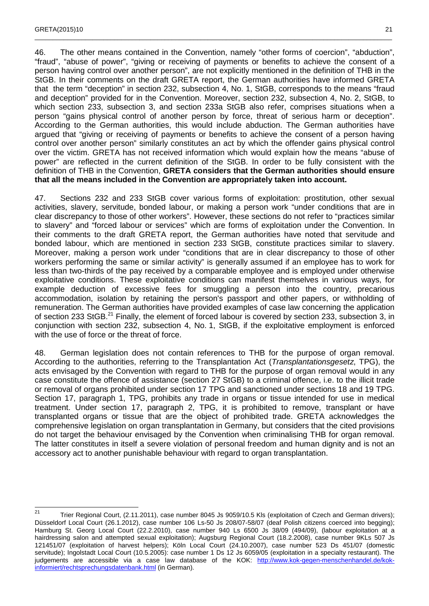46. The other means contained in the Convention, namely "other forms of coercion", "abduction", "fraud", "abuse of power", "giving or receiving of payments or benefits to achieve the consent of a person having control over another person", are not explicitly mentioned in the definition of THB in the StGB. In their comments on the draft GRETA report, the German authorities have informed GRETA that the term "deception" in section 232, subsection 4, No. 1, StGB, corresponds to the means "fraud and deception" provided for in the Convention. Moreover, section 232, subsection 4, No. 2, StGB, to which section 233, subsection 3, and section 233a StGB also refer, comprises situations when a person "gains physical control of another person by force, threat of serious harm or deception". According to the German authorities, this would include abduction. The German authorities have argued that "giving or receiving of payments or benefits to achieve the consent of a person having control over another person" similarly constitutes an act by which the offender gains physical control over the victim. GRETA has not received information which would explain how the means "abuse of power" are reflected in the current definition of the StGB. In order to be fully consistent with the definition of THB in the Convention, **GRETA considers that the German authorities should ensure that all the means included in the Convention are appropriately taken into account.** 

\_\_\_\_\_\_\_\_\_\_\_\_\_\_\_\_\_\_\_\_\_\_\_\_\_\_\_\_\_\_\_\_\_\_\_\_\_\_\_\_\_\_\_\_\_\_\_\_\_\_\_\_\_\_\_\_\_\_\_\_\_\_\_\_\_\_\_\_\_\_\_\_\_\_\_\_\_\_\_\_\_\_\_\_\_\_\_\_\_\_\_\_\_\_\_\_\_\_\_

47. Sections 232 and 233 StGB cover various forms of exploitation: prostitution, other sexual activities, slavery, servitude, bonded labour, or making a person work "under conditions that are in clear discrepancy to those of other workers". However, these sections do not refer to "practices similar to slavery" and "forced labour or services" which are forms of exploitation under the Convention. In their comments to the draft GRETA report, the German authorities have noted that servitude and bonded labour, which are mentioned in section 233 StGB, constitute practices similar to slavery. Moreover, making a person work under "conditions that are in clear discrepancy to those of other workers performing the same or similar activity" is generally assumed if an employee has to work for less than two-thirds of the pay received by a comparable employee and is employed under otherwise exploitative conditions. These exploitative conditions can manifest themselves in various ways, for example deduction of excessive fees for smuggling a person into the country, precarious accommodation, isolation by retaining the person's passport and other papers, or withholding of remuneration. The German authorities have provided examples of case law concerning the application of section 233 StGB.<sup>21</sup> Finally, the element of forced labour is covered by section 233, subsection 3, in conjunction with section 232, subsection 4, No. 1, StGB, if the exploitative employment is enforced with the use of force or the threat of force.

48. German legislation does not contain references to THB for the purpose of organ removal. According to the authorities, referring to the Transplantation Act (Transplantationsgesetz, TPG), the acts envisaged by the Convention with regard to THB for the purpose of organ removal would in any case constitute the offence of assistance (section 27 StGB) to a criminal offence, i.e. to the illicit trade or removal of organs prohibited under section 17 TPG and sanctioned under sections 18 and 19 TPG. Section 17, paragraph 1, TPG, prohibits any trade in organs or tissue intended for use in medical treatment. Under section 17, paragraph 2, TPG, it is prohibited to remove, transplant or have transplanted organs or tissue that are the object of prohibited trade. GRETA acknowledges the comprehensive legislation on organ transplantation in Germany, but considers that the cited provisions do not target the behaviour envisaged by the Convention when criminalising THB for organ removal. The latter constitutes in itself a severe violation of personal freedom and human dignity and is not an accessory act to another punishable behaviour with regard to organ transplantation.

 $\frac{1}{21}$  Trier Regional Court, (2.11.2011), case number 8045 Js 9059/10.5 Kls (exploitation of Czech and German drivers); Düsseldorf Local Court (26.1.2012), case number 106 Ls-50 Js 208/07-58/07 (deaf Polish citizens coerced into begging); Hamburg St. Georg Local Court (22.2.2010), case number 940 Ls 6500 Js 38/09 (494/09), (labour exploitation at a hairdressing salon and attempted sexual exploitation); Augsburg Regional Court (18.2.2008), case number 9KLs 507 Js 121451/07 (exploitation of harvest helpers); Köln Local Court (24.10.2007), case number 523 Ds 451/07 (domestic servitude); Ingolstadt Local Court (10.5.2005): case number 1 Ds 12 Js 6059/05 (exploitation in a specialty restaurant). The judgements are accessible via a case law database of the KOK: http://www.kok-gegen-menschenhandel.de/kokinformiert/rechtsprechungsdatenbank.html (in German).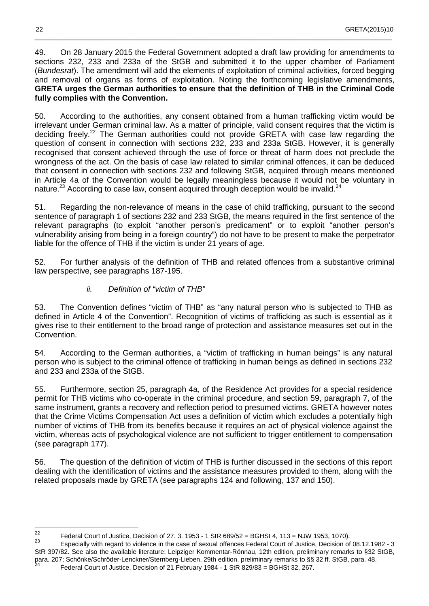49. On 28 January 2015 the Federal Government adopted a draft law providing for amendments to sections 232, 233 and 233a of the StGB and submitted it to the upper chamber of Parliament (Bundesrat). The amendment will add the elements of exploitation of criminal activities, forced begging and removal of organs as forms of exploitation. Noting the forthcoming legislative amendments, **GRETA urges the German authorities to ensure that the definition of THB in the Criminal Code fully complies with the Convention.**

\_\_\_\_\_\_\_\_\_\_\_\_\_\_\_\_\_\_\_\_\_\_\_\_\_\_\_\_\_\_\_\_\_\_\_\_\_\_\_\_\_\_\_\_\_\_\_\_\_\_\_\_\_\_\_\_\_\_\_\_\_\_\_\_\_\_\_\_\_\_\_\_\_\_\_\_\_\_\_\_\_\_\_\_\_\_\_\_\_\_\_\_\_\_\_\_\_\_\_

50. According to the authorities, any consent obtained from a human trafficking victim would be irrelevant under German criminal law. As a matter of principle, valid consent requires that the victim is deciding freely.<sup>22</sup> The German authorities could not provide GRETA with case law regarding the question of consent in connection with sections 232, 233 and 233a StGB. However, it is generally recognised that consent achieved through the use of force or threat of harm does not preclude the wrongness of the act. On the basis of case law related to similar criminal offences, it can be deduced that consent in connection with sections 232 and following StGB, acquired through means mentioned in Article 4a of the Convention would be legally meaningless because it would not be voluntary in nature.<sup>23</sup> According to case law, consent acquired through deception would be invalid.<sup>24</sup>

51. Regarding the non-relevance of means in the case of child trafficking, pursuant to the second sentence of paragraph 1 of sections 232 and 233 StGB, the means required in the first sentence of the relevant paragraphs (to exploit "another person's predicament" or to exploit "another person's vulnerability arising from being in a foreign country") do not have to be present to make the perpetrator liable for the offence of THB if the victim is under 21 years of age.

52. For further analysis of the definition of THB and related offences from a substantive criminal law perspective, see paragraphs 187-195.

#### ii. Definition of "victim of THB"

53. The Convention defines "victim of THB" as "any natural person who is subjected to THB as defined in Article 4 of the Convention". Recognition of victims of trafficking as such is essential as it gives rise to their entitlement to the broad range of protection and assistance measures set out in the Convention.

54. According to the German authorities, a "victim of trafficking in human beings" is any natural person who is subject to the criminal offence of trafficking in human beings as defined in sections 232 and 233 and 233a of the StGB.

55. Furthermore, section 25, paragraph 4a, of the Residence Act provides for a special residence permit for THB victims who co-operate in the criminal procedure, and section 59, paragraph 7, of the same instrument, grants a recovery and reflection period to presumed victims. GRETA however notes that the Crime Victims Compensation Act uses a definition of victim which excludes a potentially high number of victims of THB from its benefits because it requires an act of physical violence against the victim, whereas acts of psychological violence are not sufficient to trigger entitlement to compensation (see paragraph 177).

56. The question of the definition of victim of THB is further discussed in the sections of this report dealing with the identification of victims and the assistance measures provided to them, along with the related proposals made by GRETA (see paragraphs 124 and following, 137 and 150).

<sup>22</sup> <sup>22</sup> Federal Court of Justice, Decision of 27. 3. 1953 - 1 StR 689/52 = BGHSt 4, 113 = NJW 1953, 1070).

<sup>23</sup> Especially with regard to violence in the case of sexual offences Federal Court of Justice, Decision of 08.12.1982 - 3 StR 397/82. See also the available literature: Leipziger Kommentar-Rönnau, 12th edition, preliminary remarks to §32 StGB, para. 207; Schönke/Schröder-Lenckner/Sternberg-Lieben, 29th edition, preliminary remarks to §§ 32 ff. StGB, para. 48.<br><sup>24</sup> Federal Ceurt of Justice, Desigion of 34 February 1984, 1 StB 830/83 - BCHSt 33, 367. Federal Court of Justice, Decision of 21 February 1984 - 1 StR 829/83 = BGHSt 32, 267.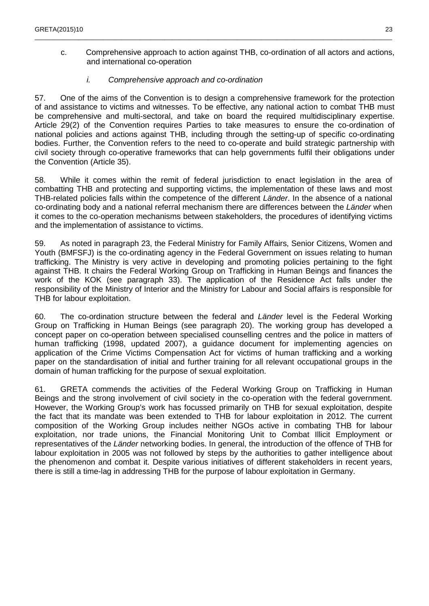c. Comprehensive approach to action against THB, co-ordination of all actors and actions, and international co-operation

\_\_\_\_\_\_\_\_\_\_\_\_\_\_\_\_\_\_\_\_\_\_\_\_\_\_\_\_\_\_\_\_\_\_\_\_\_\_\_\_\_\_\_\_\_\_\_\_\_\_\_\_\_\_\_\_\_\_\_\_\_\_\_\_\_\_\_\_\_\_\_\_\_\_\_\_\_\_\_\_\_\_\_\_\_\_\_\_\_\_\_\_\_\_\_\_\_\_\_

#### i. Comprehensive approach and co-ordination

57. One of the aims of the Convention is to design a comprehensive framework for the protection of and assistance to victims and witnesses. To be effective, any national action to combat THB must be comprehensive and multi-sectoral, and take on board the required multidisciplinary expertise. Article 29(2) of the Convention requires Parties to take measures to ensure the co-ordination of national policies and actions against THB, including through the setting-up of specific co-ordinating bodies. Further, the Convention refers to the need to co-operate and build strategic partnership with civil society through co-operative frameworks that can help governments fulfil their obligations under the Convention (Article 35).

58. While it comes within the remit of federal jurisdiction to enact legislation in the area of combatting THB and protecting and supporting victims, the implementation of these laws and most THB-related policies falls within the competence of the different *Länder*. In the absence of a national co-ordinating body and a national referral mechanism there are differences between the Länder when it comes to the co-operation mechanisms between stakeholders, the procedures of identifying victims and the implementation of assistance to victims.

59. As noted in paragraph 23, the Federal Ministry for Family Affairs, Senior Citizens, Women and Youth (BMFSFJ) is the co-ordinating agency in the Federal Government on issues relating to human trafficking. The Ministry is very active in developing and promoting policies pertaining to the fight against THB. It chairs the Federal Working Group on Trafficking in Human Beings and finances the work of the KOK (see paragraph 33). The application of the Residence Act falls under the responsibility of the Ministry of Interior and the Ministry for Labour and Social affairs is responsible for THB for labour exploitation.

60. The co-ordination structure between the federal and Länder level is the Federal Working Group on Trafficking in Human Beings (see paragraph 20). The working group has developed a concept paper on co-operation between specialised counselling centres and the police in matters of human trafficking (1998, updated 2007), a guidance document for implementing agencies on application of the Crime Victims Compensation Act for victims of human trafficking and a working paper on the standardisation of initial and further training for all relevant occupational groups in the domain of human trafficking for the purpose of sexual exploitation.

61. GRETA commends the activities of the Federal Working Group on Trafficking in Human Beings and the strong involvement of civil society in the co-operation with the federal government. However, the Working Group's work has focussed primarily on THB for sexual exploitation, despite the fact that its mandate was been extended to THB for labour exploitation in 2012. The current composition of the Working Group includes neither NGOs active in combating THB for labour exploitation, nor trade unions, the Financial Monitoring Unit to Combat Illicit Employment or representatives of the Länder networking bodies. In general, the introduction of the offence of THB for labour exploitation in 2005 was not followed by steps by the authorities to gather intelligence about the phenomenon and combat it. Despite various initiatives of different stakeholders in recent years, there is still a time-lag in addressing THB for the purpose of labour exploitation in Germany.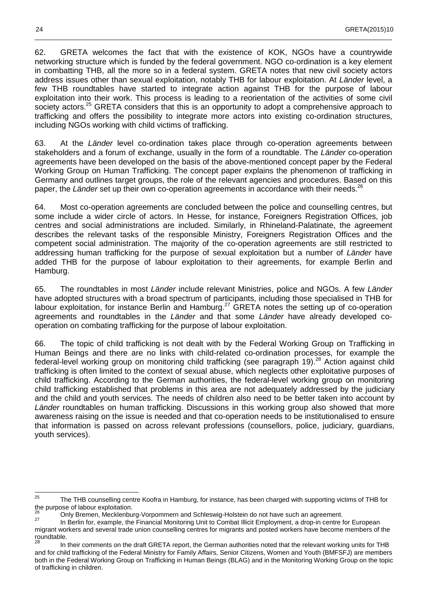62. GRETA welcomes the fact that with the existence of KOK, NGOs have a countrywide networking structure which is funded by the federal government. NGO co-ordination is a key element in combatting THB, all the more so in a federal system. GRETA notes that new civil society actors address issues other than sexual exploitation, notably THB for labour exploitation. At Länder level, a few THB roundtables have started to integrate action against THB for the purpose of labour exploitation into their work. This process is leading to a reorientation of the activities of some civil society actors.<sup>25</sup> GRETA considers that this is an opportunity to adopt a comprehensive approach to trafficking and offers the possibility to integrate more actors into existing co-ordination structures, including NGOs working with child victims of trafficking.

\_\_\_\_\_\_\_\_\_\_\_\_\_\_\_\_\_\_\_\_\_\_\_\_\_\_\_\_\_\_\_\_\_\_\_\_\_\_\_\_\_\_\_\_\_\_\_\_\_\_\_\_\_\_\_\_\_\_\_\_\_\_\_\_\_\_\_\_\_\_\_\_\_\_\_\_\_\_\_\_\_\_\_\_\_\_\_\_\_\_\_\_\_\_\_\_\_\_\_

63. At the Länder level co-ordination takes place through co-operation agreements between stakeholders and a forum of exchange, usually in the form of a roundtable. The Länder co-operation agreements have been developed on the basis of the above-mentioned concept paper by the Federal Working Group on Human Trafficking. The concept paper explains the phenomenon of trafficking in Germany and outlines target groups, the role of the relevant agencies and procedures. Based on this paper, the Länder set up their own co-operation agreements in accordance with their needs.<sup>26</sup>

64. Most co-operation agreements are concluded between the police and counselling centres, but some include a wider circle of actors. In Hesse, for instance, Foreigners Registration Offices, job centres and social administrations are included. Similarly, in Rhineland-Palatinate, the agreement describes the relevant tasks of the responsible Ministry, Foreigners Registration Offices and the competent social administration. The majority of the co-operation agreements are still restricted to addressing human trafficking for the purpose of sexual exploitation but a number of Länder have added THB for the purpose of labour exploitation to their agreements, for example Berlin and Hamburg.

65. The roundtables in most Länder include relevant Ministries, police and NGOs. A few Länder have adopted structures with a broad spectrum of participants, including those specialised in THB for labour exploitation, for instance Berlin and Hamburg.<sup>27</sup> GRETA notes the setting up of co-operation agreements and roundtables in the Länder and that some Länder have already developed cooperation on combating trafficking for the purpose of labour exploitation.

66. The topic of child trafficking is not dealt with by the Federal Working Group on Trafficking in Human Beings and there are no links with child-related co-ordination processes, for example the federal-level working group on monitoring child trafficking (see paragraph 19).<sup>28</sup> Action against child trafficking is often limited to the context of sexual abuse, which neglects other exploitative purposes of child trafficking. According to the German authorities, the federal-level working group on monitoring child trafficking established that problems in this area are not adequately addressed by the judiciary and the child and youth services. The needs of children also need to be better taken into account by Länder roundtables on human trafficking. Discussions in this working group also showed that more awareness raising on the issue is needed and that co-operation needs to be institutionalised to ensure that information is passed on across relevant professions (counsellors, police, judiciary, guardians, youth services).

 $25$ <sup>25</sup> The THB counselling centre Koofra in Hamburg, for instance, has been charged with supporting victims of THB for the purpose of labour exploitation.

<sup>&</sup>lt;sup>26</sup> Only Bremen, Mecklenburg-Vorpommern and Schleswig-Holstein do not have such an agreement.

In Berlin for, example, the Financial Monitoring Unit to Combat Illicit Employment, a drop-in centre for European migrant workers and several trade union counselling centres for migrants and posted workers have become members of the roundtable.<br><sup>28</sup>

In their comments on the draft GRETA report, the German authorities noted that the relevant working units for THB and for child trafficking of the Federal Ministry for Family Affairs, Senior Citizens, Women and Youth (BMFSFJ) are members both in the Federal Working Group on Trafficking in Human Beings (BLAG) and in the Monitoring Working Group on the topic of trafficking in children.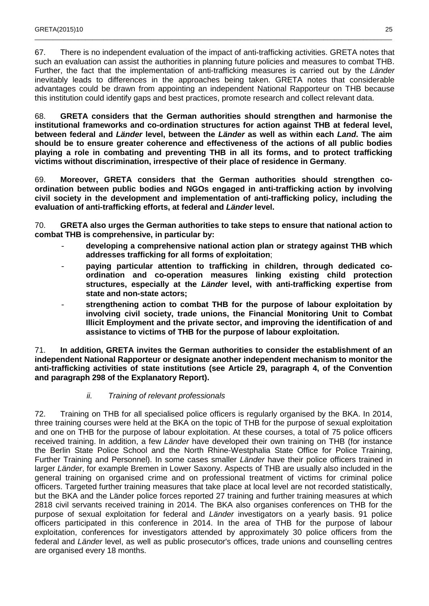67. There is no independent evaluation of the impact of anti-trafficking activities. GRETA notes that such an evaluation can assist the authorities in planning future policies and measures to combat THB. Further, the fact that the implementation of anti-trafficking measures is carried out by the Länder inevitably leads to differences in the approaches being taken. GRETA notes that considerable advantages could be drawn from appointing an independent National Rapporteur on THB because this institution could identify gaps and best practices, promote research and collect relevant data.

\_\_\_\_\_\_\_\_\_\_\_\_\_\_\_\_\_\_\_\_\_\_\_\_\_\_\_\_\_\_\_\_\_\_\_\_\_\_\_\_\_\_\_\_\_\_\_\_\_\_\_\_\_\_\_\_\_\_\_\_\_\_\_\_\_\_\_\_\_\_\_\_\_\_\_\_\_\_\_\_\_\_\_\_\_\_\_\_\_\_\_\_\_\_\_\_\_\_\_

68. **GRETA considers that the German authorities should strengthen and harmonise the institutional frameworks and co-ordination structures for action against THB at federal level, between federal and Länder level, between the Länder as well as within each Land. The aim should be to ensure greater coherence and effectiveness of the actions of all public bodies playing a role in combating and preventing THB in all its forms, and to protect trafficking victims without discrimination, irrespective of their place of residence in Germany**.

69. **Moreover, GRETA considers that the German authorities should strengthen coordination between public bodies and NGOs engaged in anti-trafficking action by involving civil society in the development and implementation of anti-trafficking policy, including the evaluation of anti-trafficking efforts, at federal and Länder level.** 

70. **GRETA also urges the German authorities to take steps to ensure that national action to combat THB is comprehensive, in particular by:** 

- **developing a comprehensive national action plan or strategy against THB which addresses trafficking for all forms of exploitation**;
- **paying particular attention to trafficking in children, through dedicated coordination and co-operation measures linking existing child protection structures, especially at the Länder level, with anti-trafficking expertise from state and non-state actors;**
- **strengthening action to combat THB for the purpose of labour exploitation by involving civil society, trade unions, the Financial Monitoring Unit to Combat Illicit Employment and the private sector, and improving the identification of and assistance to victims of THB for the purpose of labour exploitation.**

71. **In addition, GRETA invites the German authorities to consider the establishment of an independent National Rapporteur or designate another independent mechanism to monitor the anti-trafficking activities of state institutions (see Article 29, paragraph 4, of the Convention and paragraph 298 of the Explanatory Report).** 

ii. Training of relevant professionals

72. Training on THB for all specialised police officers is regularly organised by the BKA. In 2014, three training courses were held at the BKA on the topic of THB for the purpose of sexual exploitation and one on THB for the purpose of labour exploitation. At these courses, a total of 75 police officers received training. In addition, a few Länder have developed their own training on THB (for instance the Berlin State Police School and the North Rhine-Westphalia State Office for Police Training, Further Training and Personnel). In some cases smaller Länder have their police officers trained in larger Länder, for example Bremen in Lower Saxony. Aspects of THB are usually also included in the general training on organised crime and on professional treatment of victims for criminal police officers. Targeted further training measures that take place at local level are not recorded statistically, but the BKA and the Länder police forces reported 27 training and further training measures at which 2818 civil servants received training in 2014. The BKA also organises conferences on THB for the purpose of sexual exploitation for federal and Länder investigators on a yearly basis. 91 police officers participated in this conference in 2014. In the area of THB for the purpose of labour exploitation, conferences for investigators attended by approximately 30 police officers from the federal and Länder level, as well as public prosecutor's offices, trade unions and counselling centres are organised every 18 months.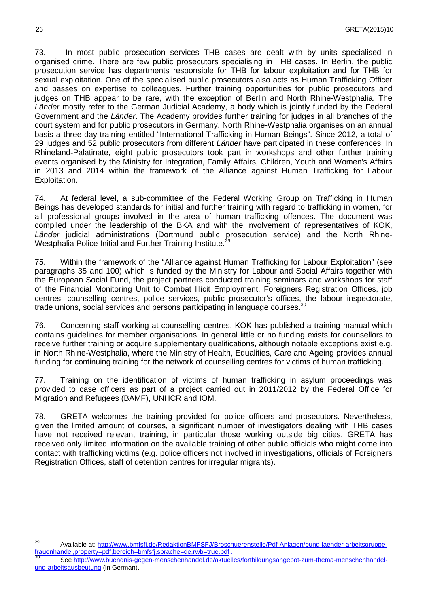73. In most public prosecution services THB cases are dealt with by units specialised in organised crime. There are few public prosecutors specialising in THB cases. In Berlin, the public prosecution service has departments responsible for THB for labour exploitation and for THB for sexual exploitation. One of the specialised public prosecutors also acts as Human Trafficking Officer and passes on expertise to colleagues. Further training opportunities for public prosecutors and judges on THB appear to be rare, with the exception of Berlin and North Rhine-Westphalia. The Länder mostly refer to the German Judicial Academy, a body which is jointly funded by the Federal Government and the Länder. The Academy provides further training for judges in all branches of the court system and for public prosecutors in Germany. North Rhine-Westphalia organises on an annual basis a three-day training entitled "International Trafficking in Human Beings". Since 2012, a total of 29 judges and 52 public prosecutors from different Länder have participated in these conferences. In Rhineland-Palatinate, eight public prosecutors took part in workshops and other further training events organised by the Ministry for Integration, Family Affairs, Children, Youth and Women's Affairs in 2013 and 2014 within the framework of the Alliance against Human Trafficking for Labour Exploitation.

\_\_\_\_\_\_\_\_\_\_\_\_\_\_\_\_\_\_\_\_\_\_\_\_\_\_\_\_\_\_\_\_\_\_\_\_\_\_\_\_\_\_\_\_\_\_\_\_\_\_\_\_\_\_\_\_\_\_\_\_\_\_\_\_\_\_\_\_\_\_\_\_\_\_\_\_\_\_\_\_\_\_\_\_\_\_\_\_\_\_\_\_\_\_\_\_\_\_\_

74. At federal level, a sub-committee of the Federal Working Group on Trafficking in Human Beings has developed standards for initial and further training with regard to trafficking in women, for all professional groups involved in the area of human trafficking offences. The document was compiled under the leadership of the BKA and with the involvement of representatives of KOK, Länder judicial administrations (Dortmund public prosecution service) and the North Rhine-Westphalia Police Initial and Further Training Institute.<sup>2</sup>

75. Within the framework of the "Alliance against Human Trafficking for Labour Exploitation" (see paragraphs 35 and 100) which is funded by the Ministry for Labour and Social Affairs together with the European Social Fund, the project partners conducted training seminars and workshops for staff of the Financial Monitoring Unit to Combat Illicit Employment, Foreigners Registration Offices, job centres, counselling centres, police services, public prosecutor's offices, the labour inspectorate, trade unions, social services and persons participating in language courses.<sup>30</sup>

76. Concerning staff working at counselling centres, KOK has published a training manual which contains guidelines for member organisations. In general little or no funding exists for counsellors to receive further training or acquire supplementary qualifications, although notable exceptions exist e.g. in North Rhine-Westphalia, where the Ministry of Health, Equalities, Care and Ageing provides annual funding for continuing training for the network of counselling centres for victims of human trafficking.

77. Training on the identification of victims of human trafficking in asylum proceedings was provided to case officers as part of a project carried out in 2011/2012 by the Federal Office for Migration and Refugees (BAMF), UNHCR and IOM.

78. GRETA welcomes the training provided for police officers and prosecutors. Nevertheless, given the limited amount of courses, a significant number of investigators dealing with THB cases have not received relevant training, in particular those working outside big cities. GRETA has received only limited information on the available training of other public officials who might come into contact with trafficking victims (e.g. police officers not involved in investigations, officials of Foreigners Registration Offices, staff of detention centres for irregular migrants).

 $29$ <sup>29</sup> Available at: http://www.bmfsfj.de/RedaktionBMFSFJ/Broschuerenstelle/Pdf-Anlagen/bund-laender-arbeitsgruppefrauenhandel,property=pdf,bereich=bmfsfj,sprache=de,rwb=true.pdf .

<sup>30</sup> See http://www.buendnis-gegen-menschenhandel.de/aktuelles/fortbildungsangebot-zum-thema-menschenhandelund-arbeitsausbeutung (in German).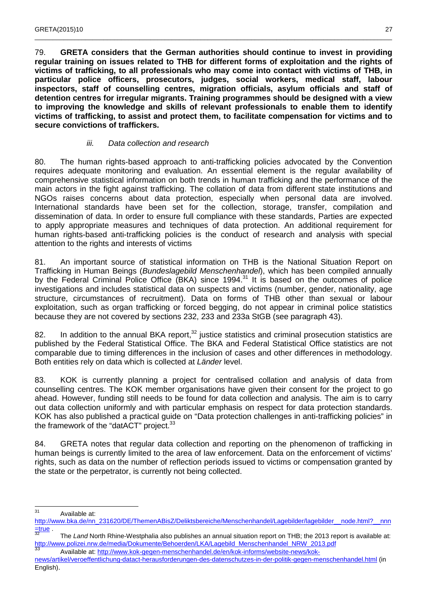79. **GRETA considers that the German authorities should continue to invest in providing regular training on issues related to THB for different forms of exploitation and the rights of victims of trafficking, to all professionals who may come into contact with victims of THB, in particular police officers, prosecutors, judges, social workers, medical staff, labour inspectors, staff of counselling centres, migration officials, asylum officials and staff of detention centres for irregular migrants. Training programmes should be designed with a view to improving the knowledge and skills of relevant professionals to enable them to identify victims of trafficking, to assist and protect them, to facilitate compensation for victims and to secure convictions of traffickers.**

\_\_\_\_\_\_\_\_\_\_\_\_\_\_\_\_\_\_\_\_\_\_\_\_\_\_\_\_\_\_\_\_\_\_\_\_\_\_\_\_\_\_\_\_\_\_\_\_\_\_\_\_\_\_\_\_\_\_\_\_\_\_\_\_\_\_\_\_\_\_\_\_\_\_\_\_\_\_\_\_\_\_\_\_\_\_\_\_\_\_\_\_\_\_\_\_\_\_\_

#### iii. Data collection and research

80. The human rights-based approach to anti-trafficking policies advocated by the Convention requires adequate monitoring and evaluation. An essential element is the regular availability of comprehensive statistical information on both trends in human trafficking and the performance of the main actors in the fight against trafficking. The collation of data from different state institutions and NGOs raises concerns about data protection, especially when personal data are involved. International standards have been set for the collection, storage, transfer, compilation and dissemination of data. In order to ensure full compliance with these standards, Parties are expected to apply appropriate measures and techniques of data protection. An additional requirement for human rights-based anti-trafficking policies is the conduct of research and analysis with special attention to the rights and interests of victims

81. An important source of statistical information on THB is the National Situation Report on Trafficking in Human Beings (Bundeslagebild Menschenhandel), which has been compiled annually by the Federal Criminal Police Office (BKA) since 1994.<sup>31</sup> It is based on the outcomes of police investigations and includes statistical data on suspects and victims (number, gender, nationality, age structure, circumstances of recruitment). Data on forms of THB other than sexual or labour exploitation, such as organ trafficking or forced begging, do not appear in criminal police statistics because they are not covered by sections 232, 233 and 233a StGB (see paragraph 43).

82. In addition to the annual BKA report, $32$  justice statistics and criminal prosecution statistics are published by the Federal Statistical Office. The BKA and Federal Statistical Office statistics are not comparable due to timing differences in the inclusion of cases and other differences in methodology. Both entities rely on data which is collected at Länder level.

83. KOK is currently planning a project for centralised collation and analysis of data from counselling centres. The KOK member organisations have given their consent for the project to go ahead. However, funding still needs to be found for data collection and analysis. The aim is to carry out data collection uniformly and with particular emphasis on respect for data protection standards. KOK has also published a practical guide on "Data protection challenges in anti-trafficking policies" in the framework of the "datACT" project.<sup>33</sup>

84. GRETA notes that regular data collection and reporting on the phenomenon of trafficking in human beings is currently limited to the area of law enforcement. Data on the enforcement of victims' rights, such as data on the number of reflection periods issued to victims or compensation granted by the state or the perpetrator, is currently not being collected.

 $31$ Available at:

http://www.bka.de/nn\_231620/DE/ThemenABisZ/Deliktsbereiche/Menschenhandel/Lagebilder/lagebilder\_\_node.html?\_\_nnn  $\frac{1}{32}$  rue

The Land North Rhine-Westphalia also publishes an annual situation report on THB; the 2013 report is available at: http://www.polizei.nrw.de/media/Dokumente/Behoerden/LKA/Lagebild\_Menschenhandel\_NRW\_2013.pdf<br>33 Aveilable at http://www.let/speeg-menschendel.de/on/let/inferme/website.news/let/s

Available at: http://www.kok-gegen-menschenhandel.de/en/kok-informs/website-news/koknews/artikel/veroeffentlichung-datact-herausforderungen-des-datenschutzes-in-der-politik-gegen-menschenhandel.html (in English).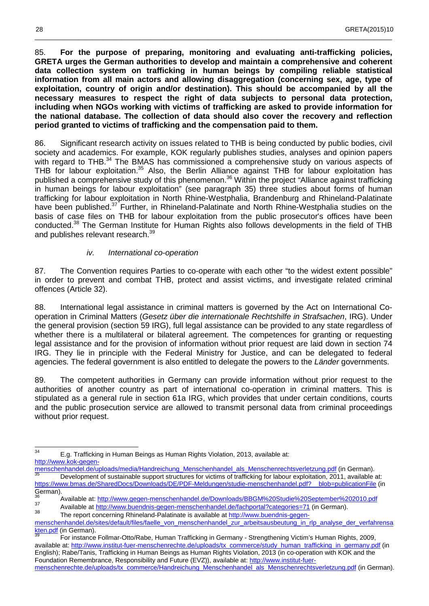85. **For the purpose of preparing, monitoring and evaluating anti-trafficking policies, GRETA urges the German authorities to develop and maintain a comprehensive and coherent data collection system on trafficking in human beings by compiling reliable statistical information from all main actors and allowing disaggregation (concerning sex, age, type of exploitation, country of origin and/or destination). This should be accompanied by all the necessary measures to respect the right of data subjects to personal data protection, including when NGOs working with victims of trafficking are asked to provide information for the national database. The collection of data should also cover the recovery and reflection period granted to victims of trafficking and the compensation paid to them.**

\_\_\_\_\_\_\_\_\_\_\_\_\_\_\_\_\_\_\_\_\_\_\_\_\_\_\_\_\_\_\_\_\_\_\_\_\_\_\_\_\_\_\_\_\_\_\_\_\_\_\_\_\_\_\_\_\_\_\_\_\_\_\_\_\_\_\_\_\_\_\_\_\_\_\_\_\_\_\_\_\_\_\_\_\_\_\_\_\_\_\_\_\_\_\_\_\_\_\_

86. Significant research activity on issues related to THB is being conducted by public bodies, civil society and academics. For example, KOK regularly publishes studies, analyses and opinion papers with regard to THB.<sup>34</sup> The BMAS has commissioned a comprehensive study on various aspects of THB for labour exploitation.<sup>35</sup> Also, the Berlin Alliance against THB for labour exploitation has published a comprehensive study of this phenomenon.<sup>36</sup> Within the project "Alliance against trafficking in human beings for labour exploitation" (see paragraph 35) three studies about forms of human trafficking for labour exploitation in North Rhine-Westphalia, Brandenburg and Rhineland-Palatinate have been published.<sup>37</sup> Further, in Rhineland-Palatinate and North Rhine-Westphalia studies on the basis of case files on THB for labour exploitation from the public prosecutor's offices have been conducted.<sup>38</sup> The German Institute for Human Rights also follows developments in the field of THB and publishes relevant research.<sup>39</sup>

#### iv. International co-operation

87. The Convention requires Parties to co-operate with each other "to the widest extent possible" in order to prevent and combat THB, protect and assist victims, and investigate related criminal offences (Article 32).

88. International legal assistance in criminal matters is governed by the Act on International Cooperation in Criminal Matters (Gesetz über die internationale Rechtshilfe in Strafsachen, IRG). Under the general provision (section 59 IRG), full legal assistance can be provided to any state regardless of whether there is a multilateral or bilateral agreement. The competences for granting or requesting legal assistance and for the provision of information without prior request are laid down in section 74 IRG. They lie in principle with the Federal Ministry for Justice, and can be delegated to federal agencies. The federal government is also entitled to delegate the powers to the Länder governments.

89. The competent authorities in Germany can provide information without prior request to the authorities of another country as part of international co-operation in criminal matters. This is stipulated as a general rule in section 61a IRG, which provides that under certain conditions, courts and the public prosecution service are allowed to transmit personal data from criminal proceedings without prior request.

<sup>34</sup> <sup>34</sup> E.g. Trafficking in Human Beings as Human Rights Violation, 2013, available at: http://www.kok-gegen-

menschenhandel.de/uploads/media/Handreichung\_Menschenhandel\_als\_Menschenrechtsverletzung.pdf (in German). Development of sustainable support structures for victims of trafficking for labour exploitation, 2011, available at: https://www.bmas.de/SharedDocs/Downloads/DE/PDF-Meldungen/studie-menschenhandel.pdf?\_\_blob=publicationFile (in German).

<sup>36</sup> Available at: http://www.gegen-menschenhandel.de/Downloads/BBGM%20Studie%20September%202010.pdf 37

Available at http://www.buendnis-gegen-menschenhandel.de/fachportal?categories=71 (in German). 38

The report concerning Rhineland-Palatinate is available at http://www.buendnis-gegen-

menschenhandel.de/sites/default/files/faelle\_von\_menschenhandel\_zur\_arbeitsausbeutung\_in\_rlp\_analyse\_der\_verfahrensa kten.pdf (in German).

<sup>39</sup> For instance Follmar-Otto/Rabe, Human Trafficking in Germany - Strengthening Victim's Human Rights, 2009, available at: http://www.institut-fuer-menschenrechte.de/uploads/tx\_commerce/study\_human\_trafficking\_in\_germany.pdf (in English); Rabe/Tanis, Trafficking in Human Beings as Human Rights Violation, 2013 (in co-operation with KOK and the Foundation Remembrance, Responsibility and Future (EVZ)), available at: http://www.institut-fuermenschenrechte.de/uploads/tx\_commerce/Handreichung\_Menschenhandel\_als\_Menschenrechtsverletzung.pdf (in German).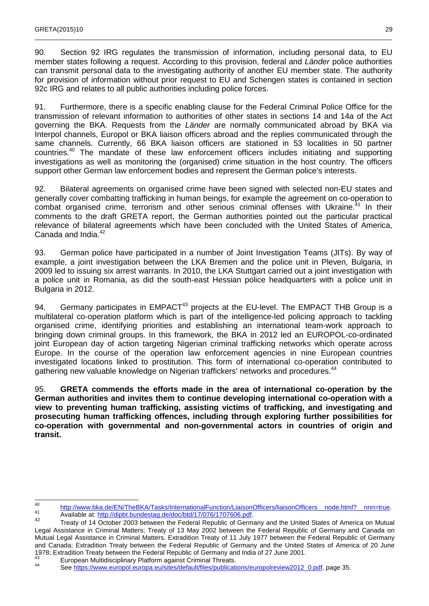90. Section 92 IRG regulates the transmission of information, including personal data, to EU member states following a request. According to this provision, federal and Länder police authorities can transmit personal data to the investigating authority of another EU member state. The authority for provision of information without prior request to EU and Schengen states is contained in section 92c IRG and relates to all public authorities including police forces.

\_\_\_\_\_\_\_\_\_\_\_\_\_\_\_\_\_\_\_\_\_\_\_\_\_\_\_\_\_\_\_\_\_\_\_\_\_\_\_\_\_\_\_\_\_\_\_\_\_\_\_\_\_\_\_\_\_\_\_\_\_\_\_\_\_\_\_\_\_\_\_\_\_\_\_\_\_\_\_\_\_\_\_\_\_\_\_\_\_\_\_\_\_\_\_\_\_\_\_

91. Furthermore, there is a specific enabling clause for the Federal Criminal Police Office for the transmission of relevant information to authorities of other states in sections 14 and 14a of the Act governing the BKA. Requests from the Länder are normally communicated abroad by BKA via Interpol channels, Europol or BKA liaison officers abroad and the replies communicated through the same channels. Currently, 66 BKA liaison officers are stationed in 53 localities in 50 partner countries.<sup>40</sup> The mandate of these law enforcement officers includes initiating and supporting investigations as well as monitoring the (organised) crime situation in the host country. The officers support other German law enforcement bodies and represent the German police's interests.

92. Bilateral agreements on organised crime have been signed with selected non-EU states and generally cover combatting trafficking in human beings, for example the agreement on co-operation to combat organised crime, terrorism and other serious criminal offenses with Ukraine.<sup>41</sup> In their comments to the draft GRETA report, the German authorities pointed out the particular practical relevance of bilateral agreements which have been concluded with the United States of America, Canada and India.<sup>42</sup>

93. German police have participated in a number of Joint Investigation Teams (JITs). By way of example, a joint investigation between the LKA Bremen and the police unit in Pleven, Bulgaria, in 2009 led to issuing six arrest warrants. In 2010, the LKA Stuttgart carried out a joint investigation with a police unit in Romania, as did the south-east Hessian police headquarters with a police unit in Bulgaria in 2012.

94. Germany participates in EMPACT<sup>43</sup> projects at the EU-level. The EMPACT THB Group is a multilateral co-operation platform which is part of the intelligence-led policing approach to tackling organised crime, identifying priorities and establishing an international team-work approach to bringing down criminal groups. In this framework, the BKA in 2012 led an EUROPOL-co-ordinated joint European day of action targeting Nigerian criminal trafficking networks which operate across Europe. In the course of the operation law enforcement agencies in nine European countries investigated locations linked to prostitution. This form of international co-operation contributed to gathering new valuable knowledge on Nigerian traffickers' networks and procedures.<sup>44</sup>

95. **GRETA commends the efforts made in the area of international co-operation by the German authorities and invites them to continue developing international co-operation with a view to preventing human trafficking, assisting victims of trafficking, and investigating and prosecuting human trafficking offences, including through exploring further possibilities for co-operation with governmental and non-governmental actors in countries of origin and transit.** 

 $\frac{1}{40}$ 40 http://www.bka.de/EN/TheBKA/Tasks/InternationalFunction/LiaisonOfficers/liaisonOfficers\_node.html?\_\_nnn=true.

Available at: http://dipbt.bundestag.de/doc/btd/17/076/1707606.pdf. 42

Treaty of 14 October 2003 between the Federal Republic of Germany and the United States of America on Mutual Legal Assistance in Criminal Matters; Treaty of 13 May 2002 between the Federal Republic of Germany and Canada on Mutual Legal Assistance in Criminal Matters. Extradition Treaty of 11 July 1977 between the Federal Republic of Germany and Canada; Extradition Treaty between the Federal Republic of Germany and the United States of America of 20 June 1978; Extradition Treaty between the Federal Republic of Germany and India of 27 June 2001.

<sup>&</sup>lt;sup>43</sup> European Multidisciplinary Platform against Criminal Threats.

See https://www.europol.europa.eu/sites/default/files/publications/europolreview2012\_0.pdf, page 35.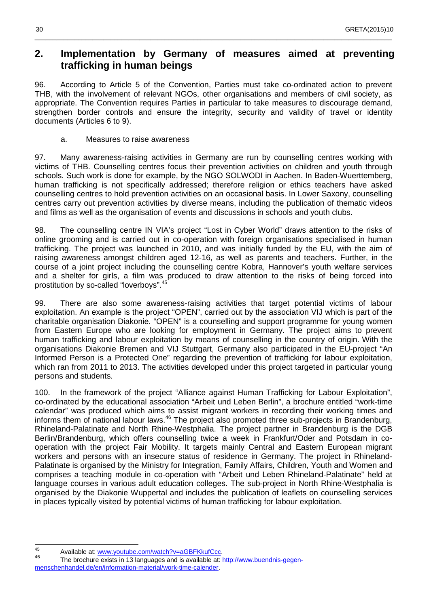## **2. Implementation by Germany of measures aimed at preventing trafficking in human beings**

\_\_\_\_\_\_\_\_\_\_\_\_\_\_\_\_\_\_\_\_\_\_\_\_\_\_\_\_\_\_\_\_\_\_\_\_\_\_\_\_\_\_\_\_\_\_\_\_\_\_\_\_\_\_\_\_\_\_\_\_\_\_\_\_\_\_\_\_\_\_\_\_\_\_\_\_\_\_\_\_\_\_\_\_\_\_\_\_\_\_\_\_\_\_\_\_\_\_\_

96. According to Article 5 of the Convention, Parties must take co-ordinated action to prevent THB, with the involvement of relevant NGOs, other organisations and members of civil society, as appropriate. The Convention requires Parties in particular to take measures to discourage demand, strengthen border controls and ensure the integrity, security and validity of travel or identity documents (Articles 6 to 9).

a. Measures to raise awareness

97. Many awareness-raising activities in Germany are run by counselling centres working with victims of THB. Counselling centres focus their prevention activities on children and youth through schools. Such work is done for example, by the NGO SOLWODI in Aachen. In Baden-Wuerttemberg, human trafficking is not specifically addressed; therefore religion or ethics teachers have asked counselling centres to hold prevention activities on an occasional basis. In Lower Saxony, counselling centres carry out prevention activities by diverse means, including the publication of thematic videos and films as well as the organisation of events and discussions in schools and youth clubs.

98. The counselling centre IN VIA's project "Lost in Cyber World" draws attention to the risks of online grooming and is carried out in co-operation with foreign organisations specialised in human trafficking. The project was launched in 2010, and was initially funded by the EU, with the aim of raising awareness amongst children aged 12-16, as well as parents and teachers. Further, in the course of a joint project including the counselling centre Kobra, Hannover's youth welfare services and a shelter for girls, a film was produced to draw attention to the risks of being forced into prostitution by so-called "loverboys".<sup>45</sup>

99. There are also some awareness-raising activities that target potential victims of labour exploitation. An example is the project "OPEN", carried out by the association VIJ which is part of the charitable organisation Diakonie. "OPEN" is a counselling and support programme for young women from Eastern Europe who are looking for employment in Germany. The project aims to prevent human trafficking and labour exploitation by means of counselling in the country of origin. With the organisations Diakonie Bremen and VIJ Stuttgart, Germany also participated in the EU-project "An Informed Person is a Protected One" regarding the prevention of trafficking for labour exploitation, which ran from 2011 to 2013. The activities developed under this project targeted in particular young persons and students.

100. In the framework of the project "Alliance against Human Trafficking for Labour Exploitation", co-ordinated by the educational association "Arbeit und Leben Berlin", a brochure entitled "work-time calendar" was produced which aims to assist migrant workers in recording their working times and informs them of national labour laws.<sup>46</sup> The project also promoted three sub-projects in Brandenburg, Rhineland-Palatinate and North Rhine-Westphalia. The project partner in Brandenburg is the DGB Berlin/Brandenburg, which offers counselling twice a week in Frankfurt/Oder and Potsdam in cooperation with the project Fair Mobility. It targets mainly Central and Eastern European migrant workers and persons with an insecure status of residence in Germany. The project in Rhineland-Palatinate is organised by the Ministry for Integration, Family Affairs, Children, Youth and Women and comprises a teaching module in co-operation with "Arbeit und Leben Rhineland-Palatinate" held at language courses in various adult education colleges. The sub-project in North Rhine-Westphalia is organised by the Diakonie Wuppertal and includes the publication of leaflets on counselling services in places typically visited by potential victims of human trafficking for labour exploitation.

 $45$ Available at: www.youtube.com/watch?v=aGBFKkufCcc.

<sup>46</sup> The brochure exists in 13 languages and is available at: http://www.buendnis-gegenmenschenhandel.de/en/information-material/work-time-calender.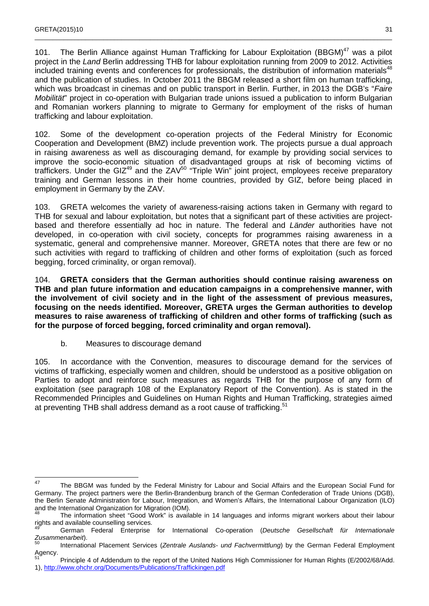101. The Berlin Alliance against Human Trafficking for Labour Exploitation (BBGM)<sup>47</sup> was a pilot project in the Land Berlin addressing THB for labour exploitation running from 2009 to 2012. Activities included training events and conferences for professionals, the distribution of information materials<sup>48</sup> and the publication of studies. In October 2011 the BBGM released a short film on human trafficking, which was broadcast in cinemas and on public transport in Berlin. Further, in 2013 the DGB's "Faire Mobilität" project in co-operation with Bulgarian trade unions issued a publication to inform Bulgarian and Romanian workers planning to migrate to Germany for employment of the risks of human trafficking and labour exploitation.

\_\_\_\_\_\_\_\_\_\_\_\_\_\_\_\_\_\_\_\_\_\_\_\_\_\_\_\_\_\_\_\_\_\_\_\_\_\_\_\_\_\_\_\_\_\_\_\_\_\_\_\_\_\_\_\_\_\_\_\_\_\_\_\_\_\_\_\_\_\_\_\_\_\_\_\_\_\_\_\_\_\_\_\_\_\_\_\_\_\_\_\_\_\_\_\_\_\_\_

102. Some of the development co-operation projects of the Federal Ministry for Economic Cooperation and Development (BMZ) include prevention work. The projects pursue a dual approach in raising awareness as well as discouraging demand, for example by providing social services to improve the socio-economic situation of disadvantaged groups at risk of becoming victims of traffickers. Under the GIZ<sup>49</sup> and the ZAV<sup>50</sup> "Triple Win" joint project, employees receive preparatory training and German lessons in their home countries, provided by GIZ, before being placed in employment in Germany by the ZAV.

103. GRETA welcomes the variety of awareness-raising actions taken in Germany with regard to THB for sexual and labour exploitation, but notes that a significant part of these activities are projectbased and therefore essentially ad hoc in nature. The federal and *Länder* authorities have not developed, in co-operation with civil society, concepts for programmes raising awareness in a systematic, general and comprehensive manner. Moreover, GRETA notes that there are few or no such activities with regard to trafficking of children and other forms of exploitation (such as forced begging, forced criminality, or organ removal).

104. **GRETA considers that the German authorities should continue raising awareness on THB and plan future information and education campaigns in a comprehensive manner, with the involvement of civil society and in the light of the assessment of previous measures, focusing on the needs identified. Moreover, GRETA urges the German authorities to develop measures to raise awareness of trafficking of children and other forms of trafficking (such as for the purpose of forced begging, forced criminality and organ removal).** 

b. Measures to discourage demand

105. In accordance with the Convention, measures to discourage demand for the services of victims of trafficking, especially women and children, should be understood as a positive obligation on Parties to adopt and reinforce such measures as regards THB for the purpose of any form of exploitation (see paragraph 108 of the Explanatory Report of the Convention). As is stated in the Recommended Principles and Guidelines on Human Rights and Human Trafficking, strategies aimed at preventing THB shall address demand as a root cause of trafficking.<sup>51</sup>

<sup>&</sup>lt;u>-</u><br>47 The BBGM was funded by the Federal Ministry for Labour and Social Affairs and the European Social Fund for Germany. The project partners were the Berlin-Brandenburg branch of the German Confederation of Trade Unions (DGB), the Berlin Senate Administration for Labour, Integration, and Women's Affairs, the International Labour Organization (ILO) and the International Organization for Migration (IOM).

<sup>48</sup> The information sheet "Good Work" is available in 14 languages and informs migrant workers about their labour rights and available counselling services.

German Federal Enterprise for International Co-operation (Deutsche Gesellschaft für Internationale Zusammenarbeit).

International Placement Services (Zentrale Auslands- und Fachvermittlung) by the German Federal Employment Agency

<sup>51</sup> Principle 4 of Addendum to the report of the United Nations High Commissioner for Human Rights (E/2002/68/Add. 1), http://www.ohchr.org/Documents/Publications/Traffickingen.pdf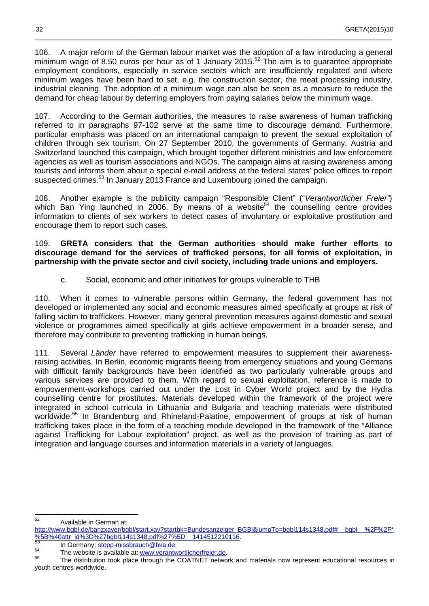106. A major reform of the German labour market was the adoption of a law introducing a general minimum wage of 8.50 euros per hour as of 1 January 2015.<sup>52</sup> The aim is to guarantee appropriate employment conditions, especially in service sectors which are insufficiently regulated and where minimum wages have been hard to set, e.g. the construction sector, the meat processing industry, industrial cleaning. The adoption of a minimum wage can also be seen as a measure to reduce the demand for cheap labour by deterring employers from paying salaries below the minimum wage.

\_\_\_\_\_\_\_\_\_\_\_\_\_\_\_\_\_\_\_\_\_\_\_\_\_\_\_\_\_\_\_\_\_\_\_\_\_\_\_\_\_\_\_\_\_\_\_\_\_\_\_\_\_\_\_\_\_\_\_\_\_\_\_\_\_\_\_\_\_\_\_\_\_\_\_\_\_\_\_\_\_\_\_\_\_\_\_\_\_\_\_\_\_\_\_\_\_\_\_

107. According to the German authorities, the measures to raise awareness of human trafficking referred to in paragraphs 97-102 serve at the same time to discourage demand. Furthermore, particular emphasis was placed on an international campaign to prevent the sexual exploitation of children through sex tourism. On 27 September 2010, the governments of Germany, Austria and Switzerland launched this campaign, which brought together different ministries and law enforcement agencies as well as tourism associations and NGOs. The campaign aims at raising awareness among tourists and informs them about a special e-mail address at the federal states' police offices to report suspected crimes.<sup>53</sup> In January 2013 France and Luxembourg joined the campaign.

108. Another example is the publicity campaign "Responsible Client" ("Verantwortlicher Freier") which Ban Ying launched in 2006. By means of a website<sup>54</sup> the counselling centre provides information to clients of sex workers to detect cases of involuntary or exploitative prostitution and encourage them to report such cases.

109. **GRETA considers that the German authorities should make further efforts to discourage demand for the services of trafficked persons, for all forms of exploitation, in partnership with the private sector and civil society, including trade unions and employers.** 

c. Social, economic and other initiatives for groups vulnerable to THB

110. When it comes to vulnerable persons within Germany, the federal government has not developed or implemented any social and economic measures aimed specifically at groups at risk of falling victim to traffickers. However, many general prevention measures against domestic and sexual violence or programmes aimed specifically at girls achieve empowerment in a broader sense, and therefore may contribute to preventing trafficking in human beings.

111. Several Länder have referred to empowerment measures to supplement their awarenessraising activities. In Berlin, economic migrants fleeing from emergency situations and young Germans with difficult family backgrounds have been identified as two particularly vulnerable groups and various services are provided to them. With regard to sexual exploitation, reference is made to empowerment-workshops carried out under the Lost in Cyber World project and by the Hydra counselling centre for prostitutes. Materials developed within the framework of the project were integrated in school curricula in Lithuania and Bulgaria and teaching materials were distributed worldwide.<sup>55</sup> In Brandenburg and Rhineland-Palatine, empowerment of groups at risk of human trafficking takes place in the form of a teaching module developed in the framework of the "Alliance against Trafficking for Labour exploitation" project, as well as the provision of training as part of integration and language courses and information materials in a variety of languages.

<sup>52</sup> Available in German at:

http://www.bgbl.de/banzxaver/bgbl/start.xav?startbk=Bundesanzeiger\_BGBl&jumpTo=bgbl114s1348.pdf#\_\_bgbl\_\_%2F%2F\* %5B%40attr\_id%3D%27bgbl114s1348.pdf%27%5D\_\_1414512210116.

<sup>&</sup>lt;sup>53</sup> In Germany: **stopp-missbrauch@bka.de** 

 $55$  The website is available at: www.verantwortlicherfreier.de.

<sup>55</sup> The distribution took place through the COATNET network and materials now represent educational resources in youth centres worldwide.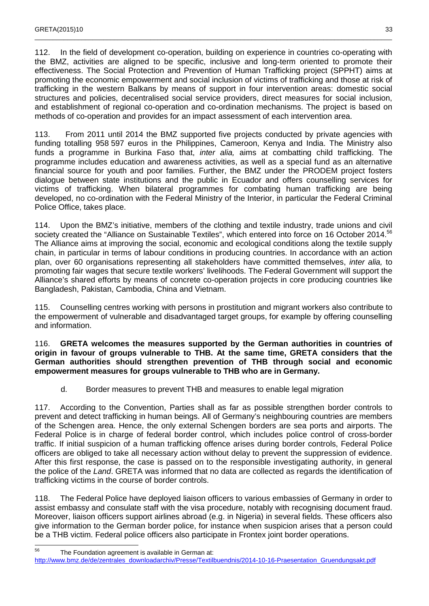112. In the field of development co-operation, building on experience in countries co-operating with the BMZ, activities are aligned to be specific, inclusive and long-term oriented to promote their effectiveness. The Social Protection and Prevention of Human Trafficking project (SPPHT) aims at promoting the economic empowerment and social inclusion of victims of trafficking and those at risk of trafficking in the western Balkans by means of support in four intervention areas: domestic social structures and policies, decentralised social service providers, direct measures for social inclusion, and establishment of regional co-operation and co-ordination mechanisms. The project is based on methods of co-operation and provides for an impact assessment of each intervention area.

\_\_\_\_\_\_\_\_\_\_\_\_\_\_\_\_\_\_\_\_\_\_\_\_\_\_\_\_\_\_\_\_\_\_\_\_\_\_\_\_\_\_\_\_\_\_\_\_\_\_\_\_\_\_\_\_\_\_\_\_\_\_\_\_\_\_\_\_\_\_\_\_\_\_\_\_\_\_\_\_\_\_\_\_\_\_\_\_\_\_\_\_\_\_\_\_\_\_\_

113. From 2011 until 2014 the BMZ supported five projects conducted by private agencies with funding totalling 958 597 euros in the Philippines, Cameroon, Kenya and India. The Ministry also funds a programme in Burkina Faso that, *inter alia*, aims at combatting child trafficking. The programme includes education and awareness activities, as well as a special fund as an alternative financial source for youth and poor families. Further, the BMZ under the PRODEM project fosters dialogue between state institutions and the public in Ecuador and offers counselling services for victims of trafficking. When bilateral programmes for combating human trafficking are being developed, no co-ordination with the Federal Ministry of the Interior, in particular the Federal Criminal Police Office, takes place.

114. Upon the BMZ's initiative, members of the clothing and textile industry, trade unions and civil society created the "Alliance on Sustainable Textiles", which entered into force on 16 October 2014.<sup>56</sup> The Alliance aims at improving the social, economic and ecological conditions along the textile supply chain, in particular in terms of labour conditions in producing countries. In accordance with an action plan, over 60 organisations representing all stakeholders have committed themselves, inter alia, to promoting fair wages that secure textile workers' livelihoods. The Federal Government will support the Alliance's shared efforts by means of concrete co-operation projects in core producing countries like Bangladesh, Pakistan, Cambodia, China and Vietnam.

115. Counselling centres working with persons in prostitution and migrant workers also contribute to the empowerment of vulnerable and disadvantaged target groups, for example by offering counselling and information.

116. **GRETA welcomes the measures supported by the German authorities in countries of origin in favour of groups vulnerable to THB. At the same time, GRETA considers that the German authorities should strengthen prevention of THB through social and economic empowerment measures for groups vulnerable to THB who are in Germany.**

d. Border measures to prevent THB and measures to enable legal migration

117. According to the Convention, Parties shall as far as possible strengthen border controls to prevent and detect trafficking in human beings. All of Germany's neighbouring countries are members of the Schengen area. Hence, the only external Schengen borders are sea ports and airports. The Federal Police is in charge of federal border control, which includes police control of cross-border traffic. If initial suspicion of a human trafficking offence arises during border controls, Federal Police officers are obliged to take all necessary action without delay to prevent the suppression of evidence. After this first response, the case is passed on to the responsible investigating authority, in general the police of the Land. GRETA was informed that no data are collected as regards the identification of trafficking victims in the course of border controls.

118. The Federal Police have deployed liaison officers to various embassies of Germany in order to assist embassy and consulate staff with the visa procedure, notably with recognising document fraud. Moreover, liaison officers support airlines abroad (e.g. in Nigeria) in several fields. These officers also give information to the German border police, for instance when suspicion arises that a person could be a THB victim. Federal police officers also participate in Frontex joint border operations.

<sup>56</sup> The Foundation agreement is available in German at: http://www.bmz.de/de/zentrales\_downloadarchiv/Presse/Textilbuendnis/2014-10-16-Praesentation\_Gruendungsakt.pdf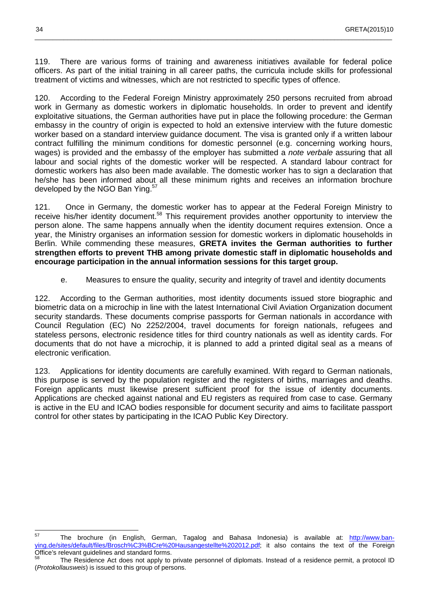119. There are various forms of training and awareness initiatives available for federal police officers. As part of the initial training in all career paths, the curricula include skills for professional treatment of victims and witnesses, which are not restricted to specific types of offence.

\_\_\_\_\_\_\_\_\_\_\_\_\_\_\_\_\_\_\_\_\_\_\_\_\_\_\_\_\_\_\_\_\_\_\_\_\_\_\_\_\_\_\_\_\_\_\_\_\_\_\_\_\_\_\_\_\_\_\_\_\_\_\_\_\_\_\_\_\_\_\_\_\_\_\_\_\_\_\_\_\_\_\_\_\_\_\_\_\_\_\_\_\_\_\_\_\_\_\_

120. According to the Federal Foreign Ministry approximately 250 persons recruited from abroad work in Germany as domestic workers in diplomatic households. In order to prevent and identify exploitative situations, the German authorities have put in place the following procedure: the German embassy in the country of origin is expected to hold an extensive interview with the future domestic worker based on a standard interview guidance document. The visa is granted only if a written labour contract fulfilling the minimum conditions for domestic personnel (e.g. concerning working hours, wages) is provided and the embassy of the employer has submitted a note verbale assuring that all labour and social rights of the domestic worker will be respected. A standard labour contract for domestic workers has also been made available. The domestic worker has to sign a declaration that he/she has been informed about all these minimum rights and receives an information brochure developed by the NGO Ban Ying.<sup>57</sup>

121. Once in Germany, the domestic worker has to appear at the Federal Foreign Ministry to receive his/her identity document.<sup>58</sup> This requirement provides another opportunity to interview the person alone. The same happens annually when the identity document requires extension. Once a year, the Ministry organises an information session for domestic workers in diplomatic households in Berlin. While commending these measures, **GRETA invites the German authorities to further strengthen efforts to prevent THB among private domestic staff in diplomatic households and encourage participation in the annual information sessions for this target group.**

e. Measures to ensure the quality, security and integrity of travel and identity documents

122. According to the German authorities, most identity documents issued store biographic and biometric data on a microchip in line with the latest International Civil Aviation Organization document security standards. These documents comprise passports for German nationals in accordance with Council Regulation (EC) No 2252/2004, travel documents for foreign nationals, refugees and stateless persons, electronic residence titles for third country nationals as well as identity cards. For documents that do not have a microchip, it is planned to add a printed digital seal as a means of electronic verification.

123. Applications for identity documents are carefully examined. With regard to German nationals, this purpose is served by the population register and the registers of births, marriages and deaths. Foreign applicants must likewise present sufficient proof for the issue of identity documents. Applications are checked against national and EU registers as required from case to case. Germany is active in the EU and ICAO bodies responsible for document security and aims to facilitate passport control for other states by participating in the ICAO Public Key Directory.

<sup>57</sup> The brochure (in English, German, Tagalog and Bahasa Indonesia) is available at: http://www.banying.de/sites/default/files/Brosch%C3%BCre%20Hausangestellte%202012.pdf; it also contains the text of the Foreign Office's relevant guidelines and standard forms.

The Residence Act does not apply to private personnel of diplomats. Instead of a residence permit, a protocol ID (Protokollausweis) is issued to this group of persons.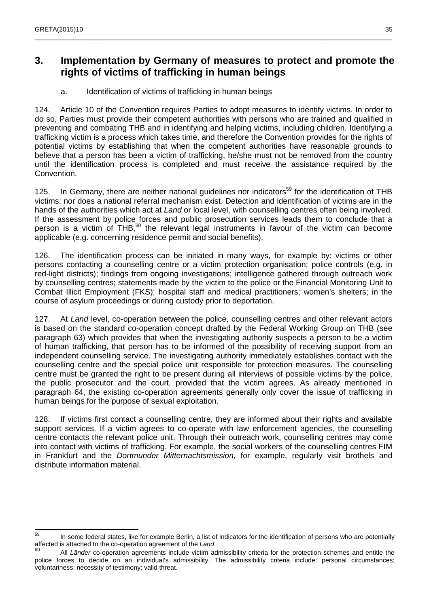## **3. Implementation by Germany of measures to protect and promote the rights of victims of trafficking in human beings**

\_\_\_\_\_\_\_\_\_\_\_\_\_\_\_\_\_\_\_\_\_\_\_\_\_\_\_\_\_\_\_\_\_\_\_\_\_\_\_\_\_\_\_\_\_\_\_\_\_\_\_\_\_\_\_\_\_\_\_\_\_\_\_\_\_\_\_\_\_\_\_\_\_\_\_\_\_\_\_\_\_\_\_\_\_\_\_\_\_\_\_\_\_\_\_\_\_\_\_

a. Identification of victims of trafficking in human beings

124. Article 10 of the Convention requires Parties to adopt measures to identify victims. In order to do so, Parties must provide their competent authorities with persons who are trained and qualified in preventing and combating THB and in identifying and helping victims, including children. Identifying a trafficking victim is a process which takes time, and therefore the Convention provides for the rights of potential victims by establishing that when the competent authorities have reasonable grounds to believe that a person has been a victim of trafficking, he/she must not be removed from the country until the identification process is completed and must receive the assistance required by the Convention.

125. In Germany, there are neither national quidelines nor indicators<sup>59</sup> for the identification of THB victims; nor does a national referral mechanism exist. Detection and identification of victims are in the hands of the authorities which act at *Land* or local level, with counselling centres often being involved. If the assessment by police forces and public prosecution services leads them to conclude that a person is a victim of THB, $^{60}$  the relevant legal instruments in favour of the victim can become applicable (e.g. concerning residence permit and social benefits).

126. The identification process can be initiated in many ways, for example by: victims or other persons contacting a counselling centre or a victim protection organisation; police controls (e.g. in red-light districts); findings from ongoing investigations; intelligence gathered through outreach work by counselling centres; statements made by the victim to the police or the Financial Monitoring Unit to Combat Illicit Employment (FKS); hospital staff and medical practitioners; women's shelters; in the course of asylum proceedings or during custody prior to deportation.

127. At Land level, co-operation between the police, counselling centres and other relevant actors is based on the standard co-operation concept drafted by the Federal Working Group on THB (see paragraph 63) which provides that when the investigating authority suspects a person to be a victim of human trafficking, that person has to be informed of the possibility of receiving support from an independent counselling service. The investigating authority immediately establishes contact with the counselling centre and the special police unit responsible for protection measures. The counselling centre must be granted the right to be present during all interviews of possible victims by the police, the public prosecutor and the court, provided that the victim agrees. As already mentioned in paragraph 64, the existing co-operation agreements generally only cover the issue of trafficking in human beings for the purpose of sexual exploitation.

128. If victims first contact a counselling centre, they are informed about their rights and available support services. If a victim agrees to co-operate with law enforcement agencies, the counselling centre contacts the relevant police unit. Through their outreach work, counselling centres may come into contact with victims of trafficking. For example, the social workers of the counselling centres FIM in Frankfurt and the *Dortmunder Mitternachtsmission*, for example, regularly visit brothels and distribute information material.

 $50$ In some federal states, like for example Berlin, a list of indicators for the identification of persons who are potentially affected is attached to the co-operation agreement of the Land.<br><sup>60</sup>

All Länder co-operation agreements include victim admissibility criteria for the protection schemes and entitle the police forces to decide on an individual's admissibility. The admissibility criteria include: personal circumstances; voluntariness; necessity of testimony; valid threat.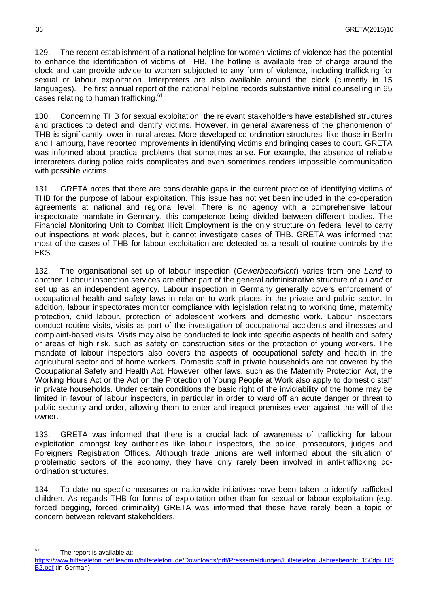129. The recent establishment of a national helpline for women victims of violence has the potential to enhance the identification of victims of THB. The hotline is available free of charge around the clock and can provide advice to women subjected to any form of violence, including trafficking for sexual or labour exploitation. Interpreters are also available around the clock (currently in 15 languages). The first annual report of the national helpline records substantive initial counselling in 65 cases relating to human trafficking.<sup>61</sup>

\_\_\_\_\_\_\_\_\_\_\_\_\_\_\_\_\_\_\_\_\_\_\_\_\_\_\_\_\_\_\_\_\_\_\_\_\_\_\_\_\_\_\_\_\_\_\_\_\_\_\_\_\_\_\_\_\_\_\_\_\_\_\_\_\_\_\_\_\_\_\_\_\_\_\_\_\_\_\_\_\_\_\_\_\_\_\_\_\_\_\_\_\_\_\_\_\_\_\_

130. Concerning THB for sexual exploitation, the relevant stakeholders have established structures and practices to detect and identify victims. However, in general awareness of the phenomenon of THB is significantly lower in rural areas. More developed co-ordination structures, like those in Berlin and Hamburg, have reported improvements in identifying victims and bringing cases to court. GRETA was informed about practical problems that sometimes arise. For example, the absence of reliable interpreters during police raids complicates and even sometimes renders impossible communication with possible victims.

131. GRETA notes that there are considerable gaps in the current practice of identifying victims of THB for the purpose of labour exploitation. This issue has not yet been included in the co-operation agreements at national and regional level. There is no agency with a comprehensive labour inspectorate mandate in Germany, this competence being divided between different bodies. The Financial Monitoring Unit to Combat Illicit Employment is the only structure on federal level to carry out inspections at work places, but it cannot investigate cases of THB. GRETA was informed that most of the cases of THB for labour exploitation are detected as a result of routine controls by the FKS.

132. The organisational set up of labour inspection (Gewerbeaufsicht) varies from one Land to another. Labour inspection services are either part of the general administrative structure of a Land or set up as an independent agency. Labour inspection in Germany generally covers enforcement of occupational health and safety laws in relation to work places in the private and public sector. In addition, labour inspectorates monitor compliance with legislation relating to working time, maternity protection, child labour, protection of adolescent workers and domestic work. Labour inspectors conduct routine visits, visits as part of the investigation of occupational accidents and illnesses and complaint-based visits. Visits may also be conducted to look into specific aspects of health and safety or areas of high risk, such as safety on construction sites or the protection of young workers. The mandate of labour inspectors also covers the aspects of occupational safety and health in the agricultural sector and of home workers. Domestic staff in private households are not covered by the Occupational Safety and Health Act. However, other laws, such as the Maternity Protection Act, the Working Hours Act or the Act on the Protection of Young People at Work also apply to domestic staff in private households. Under certain conditions the basic right of the inviolability of the home may be limited in favour of labour inspectors, in particular in order to ward off an acute danger or threat to public security and order, allowing them to enter and inspect premises even against the will of the owner.

133. GRETA was informed that there is a crucial lack of awareness of trafficking for labour exploitation amongst key authorities like labour inspectors, the police, prosecutors, judges and Foreigners Registration Offices. Although trade unions are well informed about the situation of problematic sectors of the economy, they have only rarely been involved in anti-trafficking coordination structures.

134. To date no specific measures or nationwide initiatives have been taken to identify trafficked children. As regards THB for forms of exploitation other than for sexual or labour exploitation (e.g. forced begging, forced criminality) GRETA was informed that these have rarely been a topic of concern between relevant stakeholders.

<sup>61</sup> The report is available at:

https://www.hilfetelefon.de/fileadmin/hilfetelefon\_de/Downloads/pdf/Pressemeldungen/Hilfetelefon\_Jahresbericht\_150dpi\_US B2.pdf (in German).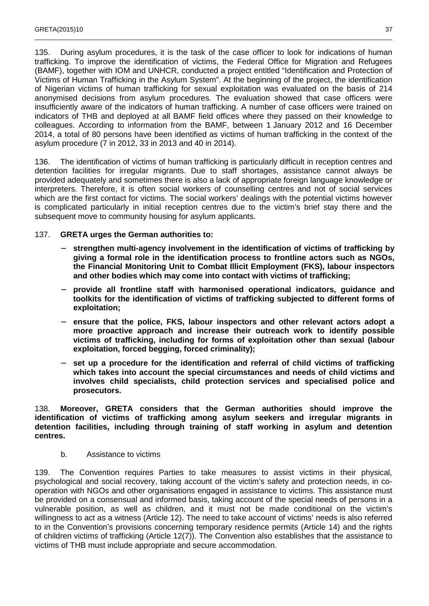135. During asylum procedures, it is the task of the case officer to look for indications of human trafficking. To improve the identification of victims, the Federal Office for Migration and Refugees (BAMF), together with IOM and UNHCR, conducted a project entitled "Identification and Protection of Victims of Human Trafficking in the Asylum System". At the beginning of the project, the identification of Nigerian victims of human trafficking for sexual exploitation was evaluated on the basis of 214 anonymised decisions from asylum procedures. The evaluation showed that case officers were insufficiently aware of the indicators of human trafficking. A number of case officers were trained on indicators of THB and deployed at all BAMF field offices where they passed on their knowledge to colleagues. According to information from the BAMF, between 1 January 2012 and 16 December 2014, a total of 80 persons have been identified as victims of human trafficking in the context of the asylum procedure (7 in 2012, 33 in 2013 and 40 in 2014).

\_\_\_\_\_\_\_\_\_\_\_\_\_\_\_\_\_\_\_\_\_\_\_\_\_\_\_\_\_\_\_\_\_\_\_\_\_\_\_\_\_\_\_\_\_\_\_\_\_\_\_\_\_\_\_\_\_\_\_\_\_\_\_\_\_\_\_\_\_\_\_\_\_\_\_\_\_\_\_\_\_\_\_\_\_\_\_\_\_\_\_\_\_\_\_\_\_\_\_

136. The identification of victims of human trafficking is particularly difficult in reception centres and detention facilities for irregular migrants. Due to staff shortages, assistance cannot always be provided adequately and sometimes there is also a lack of appropriate foreign language knowledge or interpreters. Therefore, it is often social workers of counselling centres and not of social services which are the first contact for victims. The social workers' dealings with the potential victims however is complicated particularly in initial reception centres due to the victim's brief stay there and the subsequent move to community housing for asylum applicants.

#### 137. **GRETA urges the German authorities to:**

- − **strengthen multi-agency involvement in the identification of victims of trafficking by giving a formal role in the identification process to frontline actors such as NGOs, the Financial Monitoring Unit to Combat Illicit Employment (FKS), labour inspectors and other bodies which may come into contact with victims of trafficking;**
- − **provide all frontline staff with harmonised operational indicators, guidance and toolkits for the identification of victims of trafficking subjected to different forms of exploitation;**
- ensure that the police, FKS, labour inspectors and other relevant actors adopt a **more proactive approach and increase their outreach work to identify possible victims of trafficking, including for forms of exploitation other than sexual (labour exploitation, forced begging, forced criminality);**
- − **set up a procedure for the identification and referral of child victims of trafficking which takes into account the special circumstances and needs of child victims and involves child specialists, child protection services and specialised police and prosecutors.**

138. **Moreover, GRETA considers that the German authorities should improve the identification of victims of trafficking among asylum seekers and irregular migrants in detention facilities, including through training of staff working in asylum and detention centres.**

b. Assistance to victims

139. The Convention requires Parties to take measures to assist victims in their physical, psychological and social recovery, taking account of the victim's safety and protection needs, in cooperation with NGOs and other organisations engaged in assistance to victims. This assistance must be provided on a consensual and informed basis, taking account of the special needs of persons in a vulnerable position, as well as children, and it must not be made conditional on the victim's willingness to act as a witness (Article 12). The need to take account of victims' needs is also referred to in the Convention's provisions concerning temporary residence permits (Article 14) and the rights of children victims of trafficking (Article 12(7)). The Convention also establishes that the assistance to victims of THB must include appropriate and secure accommodation.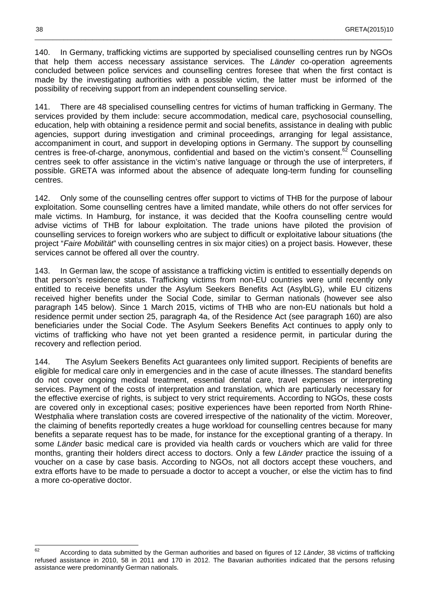140. In Germany, trafficking victims are supported by specialised counselling centres run by NGOs that help them access necessary assistance services. The Länder co-operation agreements concluded between police services and counselling centres foresee that when the first contact is made by the investigating authorities with a possible victim, the latter must be informed of the possibility of receiving support from an independent counselling service.

\_\_\_\_\_\_\_\_\_\_\_\_\_\_\_\_\_\_\_\_\_\_\_\_\_\_\_\_\_\_\_\_\_\_\_\_\_\_\_\_\_\_\_\_\_\_\_\_\_\_\_\_\_\_\_\_\_\_\_\_\_\_\_\_\_\_\_\_\_\_\_\_\_\_\_\_\_\_\_\_\_\_\_\_\_\_\_\_\_\_\_\_\_\_\_\_\_\_\_

141. There are 48 specialised counselling centres for victims of human trafficking in Germany. The services provided by them include: secure accommodation, medical care, psychosocial counselling, education, help with obtaining a residence permit and social benefits, assistance in dealing with public agencies, support during investigation and criminal proceedings, arranging for legal assistance, accompaniment in court, and support in developing options in Germany. The support by counselling centres is free-of-charge, anonymous, confidential and based on the victim's consent.<sup>62</sup> Counselling centres seek to offer assistance in the victim's native language or through the use of interpreters, if possible. GRETA was informed about the absence of adequate long-term funding for counselling centres.

142. Only some of the counselling centres offer support to victims of THB for the purpose of labour exploitation. Some counselling centres have a limited mandate, while others do not offer services for male victims. In Hamburg, for instance, it was decided that the Koofra counselling centre would advise victims of THB for labour exploitation. The trade unions have piloted the provision of counselling services to foreign workers who are subject to difficult or exploitative labour situations (the project "Faire Mobilität" with counselling centres in six major cities) on a project basis. However, these services cannot be offered all over the country.

143. In German law, the scope of assistance a trafficking victim is entitled to essentially depends on that person's residence status. Trafficking victims from non-EU countries were until recently only entitled to receive benefits under the Asylum Seekers Benefits Act (AsylbLG), while EU citizens received higher benefits under the Social Code, similar to German nationals (however see also paragraph 145 below). Since 1 March 2015, victims of THB who are non-EU nationals but hold a residence permit under section 25, paragraph 4a, of the Residence Act (see paragraph 160) are also beneficiaries under the Social Code. The Asylum Seekers Benefits Act continues to apply only to victims of trafficking who have not yet been granted a residence permit, in particular during the recovery and reflection period.

144. The Asylum Seekers Benefits Act guarantees only limited support. Recipients of benefits are eligible for medical care only in emergencies and in the case of acute illnesses. The standard benefits do not cover ongoing medical treatment, essential dental care, travel expenses or interpreting services. Payment of the costs of interpretation and translation, which are particularly necessary for the effective exercise of rights, is subject to very strict requirements. According to NGOs, these costs are covered only in exceptional cases; positive experiences have been reported from North Rhine-Westphalia where translation costs are covered irrespective of the nationality of the victim. Moreover, the claiming of benefits reportedly creates a huge workload for counselling centres because for many benefits a separate request has to be made, for instance for the exceptional granting of a therapy. In some Länder basic medical care is provided via health cards or vouchers which are valid for three months, granting their holders direct access to doctors. Only a few Länder practice the issuing of a voucher on a case by case basis. According to NGOs, not all doctors accept these vouchers, and extra efforts have to be made to persuade a doctor to accept a voucher, or else the victim has to find a more co-operative doctor.

<sup>62</sup> According to data submitted by the German authorities and based on figures of 12 Länder, 38 victims of trafficking refused assistance in 2010, 58 in 2011 and 170 in 2012. The Bavarian authorities indicated that the persons refusing assistance were predominantly German nationals.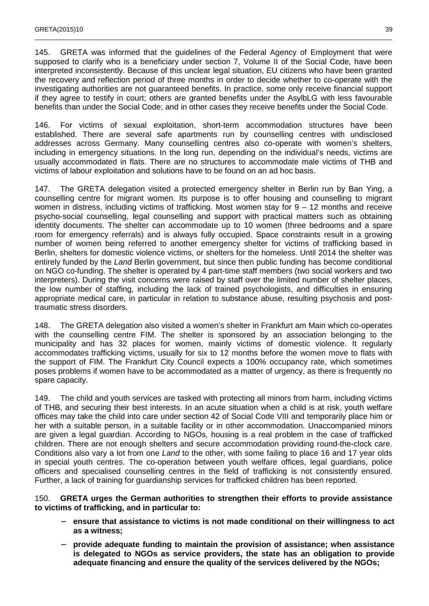145. GRETA was informed that the guidelines of the Federal Agency of Employment that were supposed to clarify who is a beneficiary under section 7, Volume II of the Social Code, have been interpreted inconsistently. Because of this unclear legal situation, EU citizens who have been granted the recovery and reflection period of three months in order to decide whether to co-operate with the investigating authorities are not guaranteed benefits. In practice, some only receive financial support if they agree to testify in court; others are granted benefits under the AsylbLG with less favourable benefits than under the Social Code; and in other cases they receive benefits under the Social Code.

\_\_\_\_\_\_\_\_\_\_\_\_\_\_\_\_\_\_\_\_\_\_\_\_\_\_\_\_\_\_\_\_\_\_\_\_\_\_\_\_\_\_\_\_\_\_\_\_\_\_\_\_\_\_\_\_\_\_\_\_\_\_\_\_\_\_\_\_\_\_\_\_\_\_\_\_\_\_\_\_\_\_\_\_\_\_\_\_\_\_\_\_\_\_\_\_\_\_\_

146. For victims of sexual exploitation, short-term accommodation structures have been established. There are several safe apartments run by counselling centres with undisclosed addresses across Germany. Many counselling centres also co-operate with women's shelters, including in emergency situations. In the long run, depending on the individual's needs, victims are usually accommodated in flats. There are no structures to accommodate male victims of THB and victims of labour exploitation and solutions have to be found on an ad hoc basis.

147. The GRETA delegation visited a protected emergency shelter in Berlin run by Ban Ying, a counselling centre for migrant women. Its purpose is to offer housing and counselling to migrant women in distress, including victims of trafficking. Most women stay for 9 – 12 months and receive psycho-social counselling, legal counselling and support with practical matters such as obtaining identity documents. The shelter can accommodate up to 10 women (three bedrooms and a spare room for emergency referrals) and is always fully occupied. Space constraints result in a growing number of women being referred to another emergency shelter for victims of trafficking based in Berlin, shelters for domestic violence victims, or shelters for the homeless. Until 2014 the shelter was entirely funded by the Land Berlin government, but since then public funding has become conditional on NGO co-funding. The shelter is operated by 4 part-time staff members (two social workers and two interpreters). During the visit concerns were raised by staff over the limited number of shelter places, the low number of staffing, including the lack of trained psychologists, and difficulties in ensuring appropriate medical care, in particular in relation to substance abuse, resulting psychosis and posttraumatic stress disorders.

148. The GRETA delegation also visited a women's shelter in Frankfurt am Main which co-operates with the counselling centre FIM. The shelter is sponsored by an association belonging to the municipality and has 32 places for women, mainly victims of domestic violence. It regularly accommodates trafficking victims, usually for six to 12 months before the women move to flats with the support of FIM. The Frankfurt City Council expects a 100% occupancy rate, which sometimes poses problems if women have to be accommodated as a matter of urgency, as there is frequently no spare capacity.

149. The child and youth services are tasked with protecting all minors from harm, including victims of THB, and securing their best interests. In an acute situation when a child is at risk, youth welfare offices may take the child into care under section 42 of Social Code VIII and temporarily place him or her with a suitable person, in a suitable facility or in other accommodation. Unaccompanied minors are given a legal guardian. According to NGOs, housing is a real problem in the case of trafficked children. There are not enough shelters and secure accommodation providing round-the-clock care. Conditions also vary a lot from one Land to the other, with some failing to place 16 and 17 year olds in special youth centres. The co-operation between youth welfare offices, legal guardians, police officers and specialised counselling centres in the field of trafficking is not consistently ensured. Further, a lack of training for guardianship services for trafficked children has been reported.

150. **GRETA urges the German authorities to strengthen their efforts to provide assistance to victims of trafficking, and in particular to:** 

- − **ensure that assistance to victims is not made conditional on their willingness to act as a witness;**
- − **provide adequate funding to maintain the provision of assistance; when assistance is delegated to NGOs as service providers, the state has an obligation to provide adequate financing and ensure the quality of the services delivered by the NGOs;**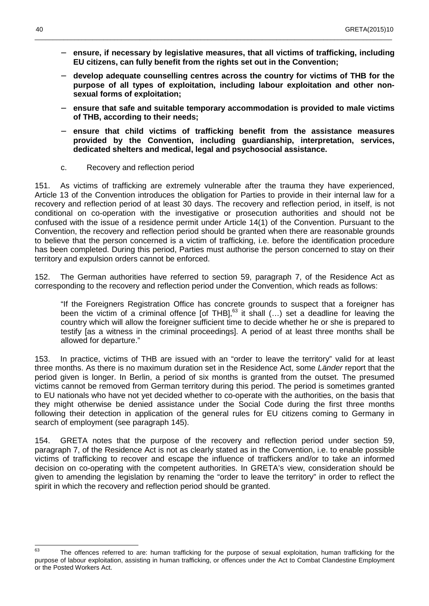− **ensure, if necessary by legislative measures, that all victims of trafficking, including EU citizens, can fully benefit from the rights set out in the Convention;** 

\_\_\_\_\_\_\_\_\_\_\_\_\_\_\_\_\_\_\_\_\_\_\_\_\_\_\_\_\_\_\_\_\_\_\_\_\_\_\_\_\_\_\_\_\_\_\_\_\_\_\_\_\_\_\_\_\_\_\_\_\_\_\_\_\_\_\_\_\_\_\_\_\_\_\_\_\_\_\_\_\_\_\_\_\_\_\_\_\_\_\_\_\_\_\_\_\_\_\_

- − **develop adequate counselling centres across the country for victims of THB for the purpose of all types of exploitation, including labour exploitation and other nonsexual forms of exploitation;**
- − **ensure that safe and suitable temporary accommodation is provided to male victims of THB, according to their needs;**
- − **ensure that child victims of trafficking benefit from the assistance measures provided by the Convention, including guardianship, interpretation, services, dedicated shelters and medical, legal and psychosocial assistance.**
- c. Recovery and reflection period

151. As victims of trafficking are extremely vulnerable after the trauma they have experienced, Article 13 of the Convention introduces the obligation for Parties to provide in their internal law for a recovery and reflection period of at least 30 days. The recovery and reflection period, in itself, is not conditional on co-operation with the investigative or prosecution authorities and should not be confused with the issue of a residence permit under Article 14(1) of the Convention. Pursuant to the Convention, the recovery and reflection period should be granted when there are reasonable grounds to believe that the person concerned is a victim of trafficking, i.e. before the identification procedure has been completed. During this period, Parties must authorise the person concerned to stay on their territory and expulsion orders cannot be enforced.

152. The German authorities have referred to section 59, paragraph 7, of the Residence Act as corresponding to the recovery and reflection period under the Convention, which reads as follows:

"If the Foreigners Registration Office has concrete grounds to suspect that a foreigner has been the victim of a criminal offence [of THB],<sup>63</sup> it shall (...) set a deadline for leaving the country which will allow the foreigner sufficient time to decide whether he or she is prepared to testify [as a witness in the criminal proceedings]. A period of at least three months shall be allowed for departure."

153. In practice, victims of THB are issued with an "order to leave the territory" valid for at least three months. As there is no maximum duration set in the Residence Act, some Länder report that the period given is longer. In Berlin, a period of six months is granted from the outset. The presumed victims cannot be removed from German territory during this period. The period is sometimes granted to EU nationals who have not yet decided whether to co-operate with the authorities, on the basis that they might otherwise be denied assistance under the Social Code during the first three months following their detection in application of the general rules for EU citizens coming to Germany in search of employment (see paragraph 145).

154. GRETA notes that the purpose of the recovery and reflection period under section 59, paragraph 7, of the Residence Act is not as clearly stated as in the Convention, i.e. to enable possible victims of trafficking to recover and escape the influence of traffickers and/or to take an informed decision on co-operating with the competent authorities. In GRETA's view, consideration should be given to amending the legislation by renaming the "order to leave the territory" in order to reflect the spirit in which the recovery and reflection period should be granted.

 $63$ The offences referred to are: human trafficking for the purpose of sexual exploitation, human trafficking for the purpose of labour exploitation, assisting in human trafficking, or offences under the Act to Combat Clandestine Employment or the Posted Workers Act.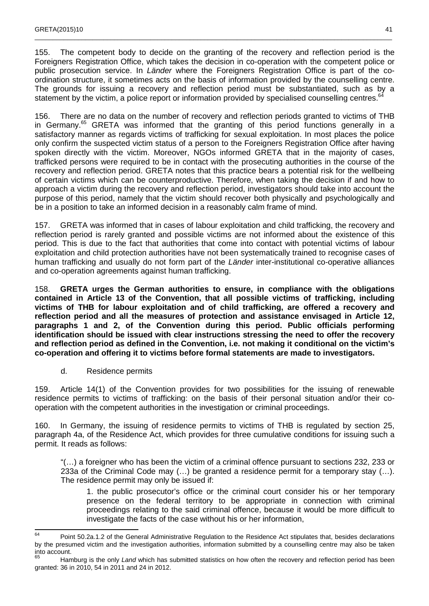155. The competent body to decide on the granting of the recovery and reflection period is the Foreigners Registration Office, which takes the decision in co-operation with the competent police or public prosecution service. In Länder where the Foreigners Registration Office is part of the coordination structure, it sometimes acts on the basis of information provided by the counselling centre. The grounds for issuing a recovery and reflection period must be substantiated, such as by a statement by the victim, a police report or information provided by specialised counselling centres.<sup>64</sup>

\_\_\_\_\_\_\_\_\_\_\_\_\_\_\_\_\_\_\_\_\_\_\_\_\_\_\_\_\_\_\_\_\_\_\_\_\_\_\_\_\_\_\_\_\_\_\_\_\_\_\_\_\_\_\_\_\_\_\_\_\_\_\_\_\_\_\_\_\_\_\_\_\_\_\_\_\_\_\_\_\_\_\_\_\_\_\_\_\_\_\_\_\_\_\_\_\_\_\_

156. There are no data on the number of recovery and reflection periods granted to victims of THB in Germany.<sup>65</sup> GRETA was informed that the granting of this period functions generally in a satisfactory manner as regards victims of trafficking for sexual exploitation. In most places the police only confirm the suspected victim status of a person to the Foreigners Registration Office after having spoken directly with the victim. Moreover, NGOs informed GRETA that in the majority of cases, trafficked persons were required to be in contact with the prosecuting authorities in the course of the recovery and reflection period. GRETA notes that this practice bears a potential risk for the wellbeing of certain victims which can be counterproductive. Therefore, when taking the decision if and how to approach a victim during the recovery and reflection period, investigators should take into account the purpose of this period, namely that the victim should recover both physically and psychologically and be in a position to take an informed decision in a reasonably calm frame of mind.

157. GRETA was informed that in cases of labour exploitation and child trafficking, the recovery and reflection period is rarely granted and possible victims are not informed about the existence of this period. This is due to the fact that authorities that come into contact with potential victims of labour exploitation and child protection authorities have not been systematically trained to recognise cases of human trafficking and usually do not form part of the Länder inter-institutional co-operative alliances and co-operation agreements against human trafficking.

158. **GRETA urges the German authorities to ensure, in compliance with the obligations contained in Article 13 of the Convention, that all possible victims of trafficking, including victims of THB for labour exploitation and of child trafficking, are offered a recovery and reflection period and all the measures of protection and assistance envisaged in Article 12, paragraphs 1 and 2, of the Convention during this period. Public officials performing identification should be issued with clear instructions stressing the need to offer the recovery and reflection period as defined in the Convention, i.e. not making it conditional on the victim's co-operation and offering it to victims before formal statements are made to investigators.** 

d. Residence permits

159. Article 14(1) of the Convention provides for two possibilities for the issuing of renewable residence permits to victims of trafficking: on the basis of their personal situation and/or their cooperation with the competent authorities in the investigation or criminal proceedings.

160. In Germany, the issuing of residence permits to victims of THB is regulated by section 25, paragraph 4a, of the Residence Act, which provides for three cumulative conditions for issuing such a permit. It reads as follows:

"(…) a foreigner who has been the victim of a criminal offence pursuant to sections 232, 233 or 233a of the Criminal Code may (…) be granted a residence permit for a temporary stay (…). The residence permit may only be issued if:

1. the public prosecutor's office or the criminal court consider his or her temporary presence on the federal territory to be appropriate in connection with criminal proceedings relating to the said criminal offence, because it would be more difficult to investigate the facts of the case without his or her information,

 $64$ Point 50.2a.1.2 of the General Administrative Regulation to the Residence Act stipulates that, besides declarations by the presumed victim and the investigation authorities, information submitted by a counselling centre may also be taken into account.

<sup>65</sup> Hamburg is the only Land which has submitted statistics on how often the recovery and reflection period has been granted: 36 in 2010, 54 in 2011 and 24 in 2012.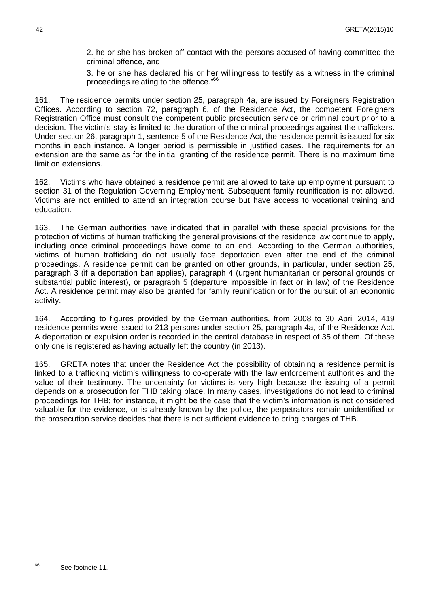2. he or she has broken off contact with the persons accused of having committed the criminal offence, and

3. he or she has declared his or her willingness to testify as a witness in the criminal proceedings relating to the offence."<sup>66</sup>

161. The residence permits under section 25, paragraph 4a, are issued by Foreigners Registration Offices. According to section 72, paragraph 6, of the Residence Act, the competent Foreigners Registration Office must consult the competent public prosecution service or criminal court prior to a decision. The victim's stay is limited to the duration of the criminal proceedings against the traffickers. Under section 26, paragraph 1, sentence 5 of the Residence Act, the residence permit is issued for six months in each instance. A longer period is permissible in justified cases. The requirements for an extension are the same as for the initial granting of the residence permit. There is no maximum time limit on extensions.

\_\_\_\_\_\_\_\_\_\_\_\_\_\_\_\_\_\_\_\_\_\_\_\_\_\_\_\_\_\_\_\_\_\_\_\_\_\_\_\_\_\_\_\_\_\_\_\_\_\_\_\_\_\_\_\_\_\_\_\_\_\_\_\_\_\_\_\_\_\_\_\_\_\_\_\_\_\_\_\_\_\_\_\_\_\_\_\_\_\_\_\_\_\_\_\_\_\_\_

162. Victims who have obtained a residence permit are allowed to take up employment pursuant to section 31 of the Regulation Governing Employment. Subsequent family reunification is not allowed. Victims are not entitled to attend an integration course but have access to vocational training and education.

163. The German authorities have indicated that in parallel with these special provisions for the protection of victims of human trafficking the general provisions of the residence law continue to apply, including once criminal proceedings have come to an end. According to the German authorities, victims of human trafficking do not usually face deportation even after the end of the criminal proceedings. A residence permit can be granted on other grounds, in particular, under section 25, paragraph 3 (if a deportation ban applies), paragraph 4 (urgent humanitarian or personal grounds or substantial public interest), or paragraph 5 (departure impossible in fact or in law) of the Residence Act. A residence permit may also be granted for family reunification or for the pursuit of an economic activity.

164. According to figures provided by the German authorities, from 2008 to 30 April 2014, 419 residence permits were issued to 213 persons under section 25, paragraph 4a, of the Residence Act. A deportation or expulsion order is recorded in the central database in respect of 35 of them. Of these only one is registered as having actually left the country (in 2013).

165. GRETA notes that under the Residence Act the possibility of obtaining a residence permit is linked to a trafficking victim's willingness to co-operate with the law enforcement authorities and the value of their testimony. The uncertainty for victims is very high because the issuing of a permit depends on a prosecution for THB taking place. In many cases, investigations do not lead to criminal proceedings for THB; for instance, it might be the case that the victim's information is not considered valuable for the evidence, or is already known by the police, the perpetrators remain unidentified or the prosecution service decides that there is not sufficient evidence to bring charges of THB.

66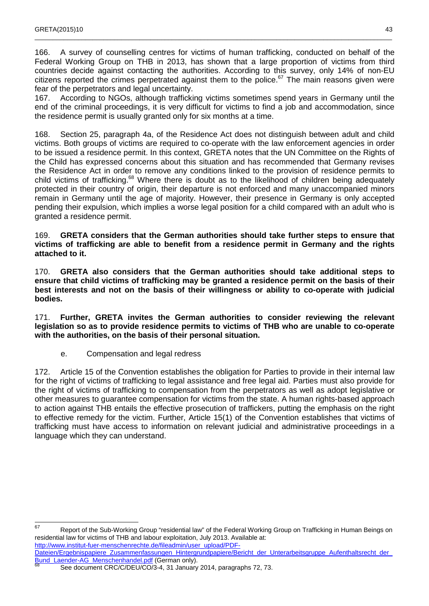166. A survey of counselling centres for victims of human trafficking, conducted on behalf of the Federal Working Group on THB in 2013, has shown that a large proportion of victims from third countries decide against contacting the authorities. According to this survey, only 14% of non-EU citizens reported the crimes perpetrated against them to the police. $67$  The main reasons given were fear of the perpetrators and legal uncertainty.

\_\_\_\_\_\_\_\_\_\_\_\_\_\_\_\_\_\_\_\_\_\_\_\_\_\_\_\_\_\_\_\_\_\_\_\_\_\_\_\_\_\_\_\_\_\_\_\_\_\_\_\_\_\_\_\_\_\_\_\_\_\_\_\_\_\_\_\_\_\_\_\_\_\_\_\_\_\_\_\_\_\_\_\_\_\_\_\_\_\_\_\_\_\_\_\_\_\_\_

167. According to NGOs, although trafficking victims sometimes spend years in Germany until the end of the criminal proceedings, it is very difficult for victims to find a job and accommodation, since the residence permit is usually granted only for six months at a time.

168. Section 25, paragraph 4a, of the Residence Act does not distinguish between adult and child victims. Both groups of victims are required to co-operate with the law enforcement agencies in order to be issued a residence permit. In this context, GRETA notes that the UN Committee on the Rights of the Child has expressed concerns about this situation and has recommended that Germany revises the Residence Act in order to remove any conditions linked to the provision of residence permits to child victims of trafficking.<sup>68</sup> Where there is doubt as to the likelihood of children being adequately protected in their country of origin, their departure is not enforced and many unaccompanied minors remain in Germany until the age of majority. However, their presence in Germany is only accepted pending their expulsion, which implies a worse legal position for a child compared with an adult who is granted a residence permit.

#### 169. **GRETA considers that the German authorities should take further steps to ensure that victims of trafficking are able to benefit from a residence permit in Germany and the rights attached to it.**

170. **GRETA also considers that the German authorities should take additional steps to ensure that child victims of trafficking may be granted a residence permit on the basis of their best interests and not on the basis of their willingness or ability to co-operate with judicial bodies.**

171. **Further, GRETA invites the German authorities to consider reviewing the relevant legislation so as to provide residence permits to victims of THB who are unable to co-operate with the authorities, on the basis of their personal situation.**

e. Compensation and legal redress

172. Article 15 of the Convention establishes the obligation for Parties to provide in their internal law for the right of victims of trafficking to legal assistance and free legal aid. Parties must also provide for the right of victims of trafficking to compensation from the perpetrators as well as adopt legislative or other measures to guarantee compensation for victims from the state. A human rights-based approach to action against THB entails the effective prosecution of traffickers, putting the emphasis on the right to effective remedy for the victim. Further, Article 15(1) of the Convention establishes that victims of trafficking must have access to information on relevant judicial and administrative proceedings in a language which they can understand.

<sup>67</sup> Report of the Sub-Working Group "residential law" of the Federal Working Group on Trafficking in Human Beings on residential law for victims of THB and labour exploitation, July 2013. Available at: http://www.institut-fuer-menschenrechte.de/fileadmin/user\_upload/PDF-

Dateien/Ergebnispapiere\_Zusammenfassungen\_Hintergrundpapiere/Bericht\_der\_Unterarbeitsgruppe\_Aufenthaltsrecht\_der\_ Bund\_Laender-AG\_Menschenhandel.pdf (German only).

See document CRC/C/DEU/CO/3-4, 31 January 2014, paragraphs 72, 73.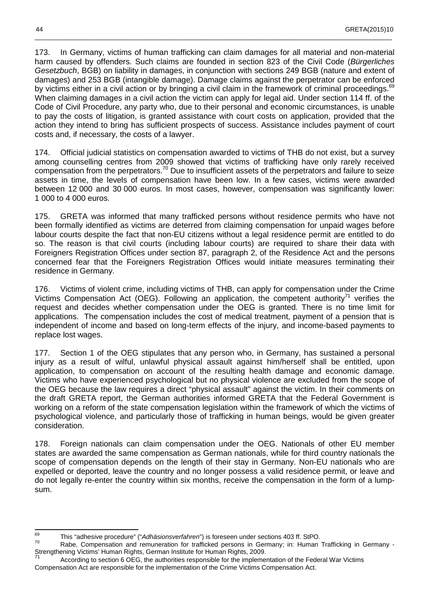173. In Germany, victims of human trafficking can claim damages for all material and non-material harm caused by offenders. Such claims are founded in section 823 of the Civil Code (Bürgerliches Gesetzbuch, BGB) on liability in damages, in conjunction with sections 249 BGB (nature and extent of damages) and 253 BGB (intangible damage). Damage claims against the perpetrator can be enforced by victims either in a civil action or by bringing a civil claim in the framework of criminal proceedings.<sup>69</sup> When claiming damages in a civil action the victim can apply for legal aid. Under section 114 ff. of the Code of Civil Procedure, any party who, due to their personal and economic circumstances, is unable to pay the costs of litigation, is granted assistance with court costs on application, provided that the action they intend to bring has sufficient prospects of success. Assistance includes payment of court costs and, if necessary, the costs of a lawyer.

\_\_\_\_\_\_\_\_\_\_\_\_\_\_\_\_\_\_\_\_\_\_\_\_\_\_\_\_\_\_\_\_\_\_\_\_\_\_\_\_\_\_\_\_\_\_\_\_\_\_\_\_\_\_\_\_\_\_\_\_\_\_\_\_\_\_\_\_\_\_\_\_\_\_\_\_\_\_\_\_\_\_\_\_\_\_\_\_\_\_\_\_\_\_\_\_\_\_\_

174. Official judicial statistics on compensation awarded to victims of THB do not exist, but a survey among counselling centres from 2009 showed that victims of trafficking have only rarely received compensation from the perpetrators.<sup>70</sup> Due to insufficient assets of the perpetrators and failure to seize assets in time, the levels of compensation have been low. In a few cases, victims were awarded between 12 000 and 30 000 euros. In most cases, however, compensation was significantly lower: 1 000 to 4 000 euros.

175. GRETA was informed that many trafficked persons without residence permits who have not been formally identified as victims are deterred from claiming compensation for unpaid wages before labour courts despite the fact that non-EU citizens without a legal residence permit are entitled to do so. The reason is that civil courts (including labour courts) are required to share their data with Foreigners Registration Offices under section 87, paragraph 2, of the Residence Act and the persons concerned fear that the Foreigners Registration Offices would initiate measures terminating their residence in Germany.

176. Victims of violent crime, including victims of THB, can apply for compensation under the Crime Victims Compensation Act (OEG). Following an application, the competent authority<sup>71</sup> verifies the request and decides whether compensation under the OEG is granted. There is no time limit for applications. The compensation includes the cost of medical treatment, payment of a pension that is independent of income and based on long-term effects of the injury, and income-based payments to replace lost wages.

177. Section 1 of the OEG stipulates that any person who, in Germany, has sustained a personal injury as a result of wilful, unlawful physical assault against him/herself shall be entitled, upon application, to compensation on account of the resulting health damage and economic damage. Victims who have experienced psychological but no physical violence are excluded from the scope of the OEG because the law requires a direct "physical assault" against the victim. In their comments on the draft GRETA report, the German authorities informed GRETA that the Federal Government is working on a reform of the state compensation legislation within the framework of which the victims of psychological violence, and particularly those of trafficking in human beings, would be given greater consideration.

178. Foreign nationals can claim compensation under the OEG. Nationals of other EU member states are awarded the same compensation as German nationals, while for third country nationals the scope of compensation depends on the length of their stay in Germany. Non-EU nationals who are expelled or deported, leave the country and no longer possess a valid residence permit, or leave and do not legally re-enter the country within six months, receive the compensation in the form of a lumpsum.

<sup>69</sup>  $^{69}$  This "adhesive procedure" ("Adhäsionsverfahren") is foreseen under sections 403 ff. StPO.

Rabe, Compensation and remuneration for trafficked persons in Germany; in: Human Trafficking in Germany -Strengthening Victims' Human Rights, German Institute for Human Rights, 2009. 71

According to section 6 OEG, the authorities responsible for the implementation of the Federal War Victims Compensation Act are responsible for the implementation of the Crime Victims Compensation Act.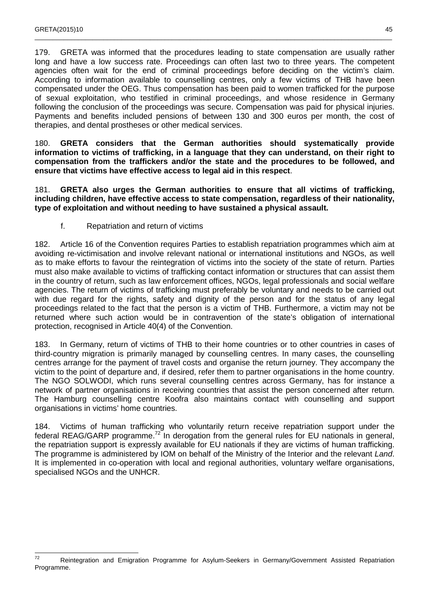179. GRETA was informed that the procedures leading to state compensation are usually rather long and have a low success rate. Proceedings can often last two to three years. The competent agencies often wait for the end of criminal proceedings before deciding on the victim's claim. According to information available to counselling centres, only a few victims of THB have been compensated under the OEG. Thus compensation has been paid to women trafficked for the purpose of sexual exploitation, who testified in criminal proceedings, and whose residence in Germany following the conclusion of the proceedings was secure. Compensation was paid for physical injuries. Payments and benefits included pensions of between 130 and 300 euros per month, the cost of therapies, and dental prostheses or other medical services.

\_\_\_\_\_\_\_\_\_\_\_\_\_\_\_\_\_\_\_\_\_\_\_\_\_\_\_\_\_\_\_\_\_\_\_\_\_\_\_\_\_\_\_\_\_\_\_\_\_\_\_\_\_\_\_\_\_\_\_\_\_\_\_\_\_\_\_\_\_\_\_\_\_\_\_\_\_\_\_\_\_\_\_\_\_\_\_\_\_\_\_\_\_\_\_\_\_\_\_

180. **GRETA considers that the German authorities should systematically provide information to victims of trafficking, in a language that they can understand, on their right to compensation from the traffickers and/or the state and the procedures to be followed, and ensure that victims have effective access to legal aid in this respect**.

181. **GRETA also urges the German authorities to ensure that all victims of trafficking, including children, have effective access to state compensation, regardless of their nationality, type of exploitation and without needing to have sustained a physical assault.**

f. Repatriation and return of victims

182. Article 16 of the Convention requires Parties to establish repatriation programmes which aim at avoiding re-victimisation and involve relevant national or international institutions and NGOs, as well as to make efforts to favour the reintegration of victims into the society of the state of return. Parties must also make available to victims of trafficking contact information or structures that can assist them in the country of return, such as law enforcement offices, NGOs, legal professionals and social welfare agencies. The return of victims of trafficking must preferably be voluntary and needs to be carried out with due regard for the rights, safety and dignity of the person and for the status of any legal proceedings related to the fact that the person is a victim of THB. Furthermore, a victim may not be returned where such action would be in contravention of the state's obligation of international protection, recognised in Article 40(4) of the Convention.

183. In Germany, return of victims of THB to their home countries or to other countries in cases of third-country migration is primarily managed by counselling centres. In many cases, the counselling centres arrange for the payment of travel costs and organise the return journey. They accompany the victim to the point of departure and, if desired, refer them to partner organisations in the home country. The NGO SOLWODI, which runs several counselling centres across Germany, has for instance a network of partner organisations in receiving countries that assist the person concerned after return. The Hamburg counselling centre Koofra also maintains contact with counselling and support organisations in victims' home countries.

184. Victims of human trafficking who voluntarily return receive repatriation support under the federal REAG/GARP programme.<sup>72</sup> In derogation from the general rules for EU nationals in general, the repatriation support is expressly available for EU nationals if they are victims of human trafficking. The programme is administered by IOM on behalf of the Ministry of the Interior and the relevant Land. It is implemented in co-operation with local and regional authorities, voluntary welfare organisations, specialised NGOs and the UNHCR.

 $72$ Reintegration and Emigration Programme for Asylum-Seekers in Germany/Government Assisted Repatriation Programme.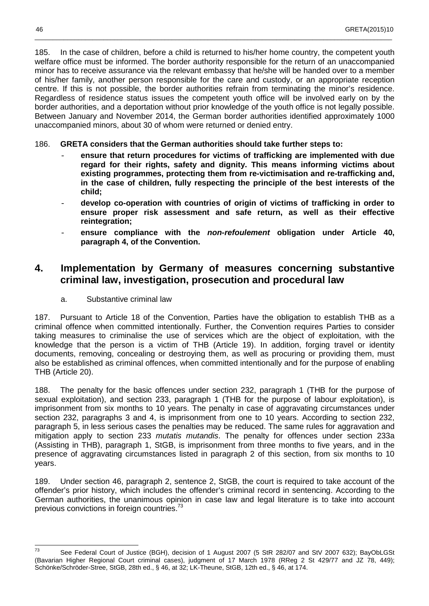185. In the case of children, before a child is returned to his/her home country, the competent youth welfare office must be informed. The border authority responsible for the return of an unaccompanied minor has to receive assurance via the relevant embassy that he/she will be handed over to a member of his/her family, another person responsible for the care and custody, or an appropriate reception centre. If this is not possible, the border authorities refrain from terminating the minor's residence. Regardless of residence status issues the competent youth office will be involved early on by the border authorities, and a deportation without prior knowledge of the youth office is not legally possible. Between January and November 2014, the German border authorities identified approximately 1000 unaccompanied minors, about 30 of whom were returned or denied entry.

\_\_\_\_\_\_\_\_\_\_\_\_\_\_\_\_\_\_\_\_\_\_\_\_\_\_\_\_\_\_\_\_\_\_\_\_\_\_\_\_\_\_\_\_\_\_\_\_\_\_\_\_\_\_\_\_\_\_\_\_\_\_\_\_\_\_\_\_\_\_\_\_\_\_\_\_\_\_\_\_\_\_\_\_\_\_\_\_\_\_\_\_\_\_\_\_\_\_\_

#### 186. **GRETA considers that the German authorities should take further steps to:**

- **ensure that return procedures for victims of trafficking are implemented with due regard for their rights, safety and dignity. This means informing victims about existing programmes, protecting them from re-victimisation and re-trafficking and, in the case of children, fully respecting the principle of the best interests of the child;**
- **develop co-operation with countries of origin of victims of trafficking in order to ensure proper risk assessment and safe return, as well as their effective reintegration;**
- **ensure compliance with the non-refoulement obligation under Article 40, paragraph 4, of the Convention.**

## **4. Implementation by Germany of measures concerning substantive criminal law, investigation, prosecution and procedural law**

a. Substantive criminal law

187. Pursuant to Article 18 of the Convention, Parties have the obligation to establish THB as a criminal offence when committed intentionally. Further, the Convention requires Parties to consider taking measures to criminalise the use of services which are the object of exploitation, with the knowledge that the person is a victim of THB (Article 19). In addition, forging travel or identity documents, removing, concealing or destroying them, as well as procuring or providing them, must also be established as criminal offences, when committed intentionally and for the purpose of enabling THB (Article 20).

188. The penalty for the basic offences under section 232, paragraph 1 (THB for the purpose of sexual exploitation), and section 233, paragraph 1 (THB for the purpose of labour exploitation), is imprisonment from six months to 10 years. The penalty in case of aggravating circumstances under section 232, paragraphs 3 and 4, is imprisonment from one to 10 years. According to section 232, paragraph 5, in less serious cases the penalties may be reduced. The same rules for aggravation and mitigation apply to section 233 mutatis mutandis. The penalty for offences under section 233a (Assisting in THB), paragraph 1, StGB, is imprisonment from three months to five years, and in the presence of aggravating circumstances listed in paragraph 2 of this section, from six months to 10 years.

189. Under section 46, paragraph 2, sentence 2, StGB, the court is required to take account of the offender's prior history, which includes the offender's criminal record in sentencing. According to the German authorities, the unanimous opinion in case law and legal literature is to take into account previous convictions in foreign countries.<sup>73</sup>

 $73$ See Federal Court of Justice (BGH), decision of 1 August 2007 (5 StR 282/07 and StV 2007 632); BayObLGSt (Bavarian Higher Regional Court criminal cases), judgment of 17 March 1978 (RReg 2 St 429/77 and JZ 78, 449); Schönke/Schröder-Stree, StGB, 28th ed., § 46, at 32; LK-Theune, StGB, 12th ed., § 46, at 174.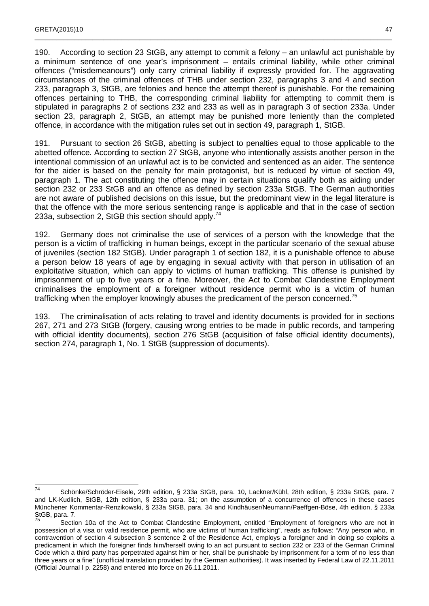190. According to section 23 StGB, any attempt to commit a felony – an unlawful act punishable by a minimum sentence of one year's imprisonment – entails criminal liability, while other criminal offences ("misdemeanours") only carry criminal liability if expressly provided for. The aggravating circumstances of the criminal offences of THB under section 232, paragraphs 3 and 4 and section 233, paragraph 3, StGB, are felonies and hence the attempt thereof is punishable. For the remaining offences pertaining to THB, the corresponding criminal liability for attempting to commit them is stipulated in paragraphs 2 of sections 232 and 233 as well as in paragraph 3 of section 233a. Under section 23, paragraph 2, StGB, an attempt may be punished more leniently than the completed offence, in accordance with the mitigation rules set out in section 49, paragraph 1, StGB.

\_\_\_\_\_\_\_\_\_\_\_\_\_\_\_\_\_\_\_\_\_\_\_\_\_\_\_\_\_\_\_\_\_\_\_\_\_\_\_\_\_\_\_\_\_\_\_\_\_\_\_\_\_\_\_\_\_\_\_\_\_\_\_\_\_\_\_\_\_\_\_\_\_\_\_\_\_\_\_\_\_\_\_\_\_\_\_\_\_\_\_\_\_\_\_\_\_\_\_

191. Pursuant to section 26 StGB, abetting is subject to penalties equal to those applicable to the abetted offence. According to section 27 StGB, anyone who intentionally assists another person in the intentional commission of an unlawful act is to be convicted and sentenced as an aider. The sentence for the aider is based on the penalty for main protagonist, but is reduced by virtue of section 49, paragraph 1. The act constituting the offence may in certain situations qualify both as aiding under section 232 or 233 StGB and an offence as defined by section 233a StGB. The German authorities are not aware of published decisions on this issue, but the predominant view in the legal literature is that the offence with the more serious sentencing range is applicable and that in the case of section 233a, subsection 2, StGB this section should apply.<sup>74</sup>

192. Germany does not criminalise the use of services of a person with the knowledge that the person is a victim of trafficking in human beings, except in the particular scenario of the sexual abuse of juveniles (section 182 StGB). Under paragraph 1 of section 182, it is a punishable offence to abuse a person below 18 years of age by engaging in sexual activity with that person in utilisation of an exploitative situation, which can apply to victims of human trafficking. This offense is punished by imprisonment of up to five years or a fine. Moreover, the Act to Combat Clandestine Employment criminalises the employment of a foreigner without residence permit who is a victim of human trafficking when the employer knowingly abuses the predicament of the person concerned.<sup>75</sup>

193. The criminalisation of acts relating to travel and identity documents is provided for in sections 267, 271 and 273 StGB (forgery, causing wrong entries to be made in public records, and tampering with official identity documents), section 276 StGB (acquisition of false official identity documents), section 274, paragraph 1, No. 1 StGB (suppression of documents).

 74 Schönke/Schröder-Eisele, 29th edition, § 233a StGB, para. 10, Lackner/Kühl, 28th edition, § 233a StGB, para. 7 and LK-Kudlich, StGB, 12th edition, § 233a para. 31; on the assumption of a concurrence of offences in these cases Münchener Kommentar-Renzikowski, § 233a StGB, para. 34 and Kindhäuser/Neumann/Paeffgen-Böse, 4th edition, § 233a StGB, para. 7.

Section 10a of the Act to Combat Clandestine Employment, entitled "Employment of foreigners who are not in possession of a visa or valid residence permit, who are victims of human trafficking", reads as follows: "Any person who, in contravention of section 4 subsection 3 sentence 2 of the Residence Act, employs a foreigner and in doing so exploits a predicament in which the foreigner finds him/herself owing to an act pursuant to section 232 or 233 of the German Criminal Code which a third party has perpetrated against him or her, shall be punishable by imprisonment for a term of no less than three years or a fine" (unofficial translation provided by the German authorities). It was inserted by Federal Law of 22.11.2011 (Official Journal I p. 2258) and entered into force on 26.11.2011.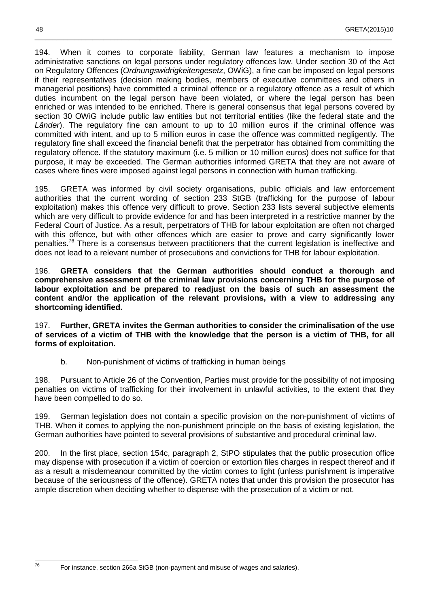194. When it comes to corporate liability, German law features a mechanism to impose administrative sanctions on legal persons under regulatory offences law. Under section 30 of the Act on Regulatory Offences (Ordnungswidrigkeitengesetz, OWiG), a fine can be imposed on legal persons if their representatives (decision making bodies, members of executive committees and others in managerial positions) have committed a criminal offence or a regulatory offence as a result of which duties incumbent on the legal person have been violated, or where the legal person has been enriched or was intended to be enriched. There is general consensus that legal persons covered by section 30 OWiG include public law entities but not territorial entities (like the federal state and the Länder). The regulatory fine can amount to up to 10 million euros if the criminal offence was committed with intent, and up to 5 million euros in case the offence was committed negligently. The regulatory fine shall exceed the financial benefit that the perpetrator has obtained from committing the regulatory offence. If the statutory maximum (i.e. 5 million or 10 million euros) does not suffice for that purpose, it may be exceeded. The German authorities informed GRETA that they are not aware of cases where fines were imposed against legal persons in connection with human trafficking.

\_\_\_\_\_\_\_\_\_\_\_\_\_\_\_\_\_\_\_\_\_\_\_\_\_\_\_\_\_\_\_\_\_\_\_\_\_\_\_\_\_\_\_\_\_\_\_\_\_\_\_\_\_\_\_\_\_\_\_\_\_\_\_\_\_\_\_\_\_\_\_\_\_\_\_\_\_\_\_\_\_\_\_\_\_\_\_\_\_\_\_\_\_\_\_\_\_\_\_

195. GRETA was informed by civil society organisations, public officials and law enforcement authorities that the current wording of section 233 StGB (trafficking for the purpose of labour exploitation) makes this offence very difficult to prove. Section 233 lists several subjective elements which are very difficult to provide evidence for and has been interpreted in a restrictive manner by the Federal Court of Justice. As a result, perpetrators of THB for labour exploitation are often not charged with this offence, but with other offences which are easier to prove and carry significantly lower penalties.<sup>76</sup> There is a consensus between practitioners that the current legislation is ineffective and does not lead to a relevant number of prosecutions and convictions for THB for labour exploitation.

196. **GRETA considers that the German authorities should conduct a thorough and comprehensive assessment of the criminal law provisions concerning THB for the purpose of labour exploitation and be prepared to readjust on the basis of such an assessment the content and/or the application of the relevant provisions, with a view to addressing any shortcoming identified.** 

197. **Further, GRETA invites the German authorities to consider the criminalisation of the use of services of a victim of THB with the knowledge that the person is a victim of THB, for all forms of exploitation.**

b. Non-punishment of victims of trafficking in human beings

198. Pursuant to Article 26 of the Convention, Parties must provide for the possibility of not imposing penalties on victims of trafficking for their involvement in unlawful activities, to the extent that they have been compelled to do so.

199. German legislation does not contain a specific provision on the non-punishment of victims of THB. When it comes to applying the non-punishment principle on the basis of existing legislation, the German authorities have pointed to several provisions of substantive and procedural criminal law.

200. In the first place, section 154c, paragraph 2, StPO stipulates that the public prosecution office may dispense with prosecution if a victim of coercion or extortion files charges in respect thereof and if as a result a misdemeanour committed by the victim comes to light (unless punishment is imperative because of the seriousness of the offence). GRETA notes that under this provision the prosecutor has ample discretion when deciding whether to dispense with the prosecution of a victim or not.

76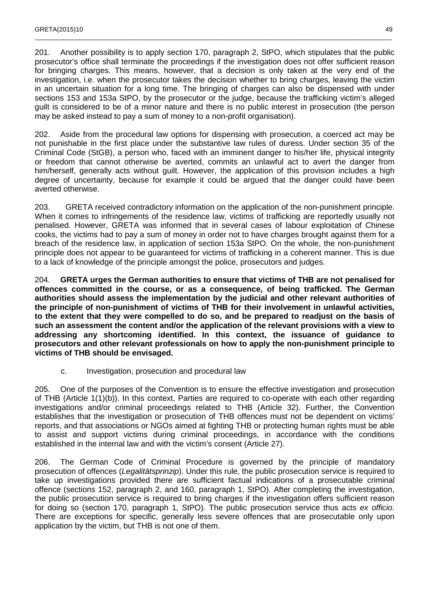201. Another possibility is to apply section 170, paragraph 2, StPO, which stipulates that the public prosecutor's office shall terminate the proceedings if the investigation does not offer sufficient reason for bringing charges. This means, however, that a decision is only taken at the very end of the investigation, i.e. when the prosecutor takes the decision whether to bring charges, leaving the victim in an uncertain situation for a long time. The bringing of charges can also be dispensed with under sections 153 and 153a StPO, by the prosecutor or the judge, because the trafficking victim's alleged guilt is considered to be of a minor nature and there is no public interest in prosecution (the person may be asked instead to pay a sum of money to a non-profit organisation).

\_\_\_\_\_\_\_\_\_\_\_\_\_\_\_\_\_\_\_\_\_\_\_\_\_\_\_\_\_\_\_\_\_\_\_\_\_\_\_\_\_\_\_\_\_\_\_\_\_\_\_\_\_\_\_\_\_\_\_\_\_\_\_\_\_\_\_\_\_\_\_\_\_\_\_\_\_\_\_\_\_\_\_\_\_\_\_\_\_\_\_\_\_\_\_\_\_\_\_

202. Aside from the procedural law options for dispensing with prosecution, a coerced act may be not punishable in the first place under the substantive law rules of duress. Under section 35 of the Criminal Code (StGB), a person who, faced with an imminent danger to his/her life, physical integrity or freedom that cannot otherwise be averted, commits an unlawful act to avert the danger from him/herself, generally acts without guilt. However, the application of this provision includes a high degree of uncertainty, because for example it could be argued that the danger could have been averted otherwise.

203. GRETA received contradictory information on the application of the non-punishment principle. When it comes to infringements of the residence law, victims of trafficking are reportedly usually not penalised. However, GRETA was informed that in several cases of labour exploitation of Chinese cooks, the victims had to pay a sum of money in order not to have charges brought against them for a breach of the residence law, in application of section 153a StPO. On the whole, the non-punishment principle does not appear to be guaranteed for victims of trafficking in a coherent manner. This is due to a lack of knowledge of the principle amongst the police, prosecutors and judges.

204. **GRETA urges the German authorities to ensure that victims of THB are not penalised for offences committed in the course, or as a consequence, of being trafficked. The German authorities should assess the implementation by the judicial and other relevant authorities of the principle of non-punishment of victims of THB for their involvement in unlawful activities, to the extent that they were compelled to do so, and be prepared to readjust on the basis of such an assessment the content and/or the application of the relevant provisions with a view to addressing any shortcoming identified. In this context, the issuance of guidance to prosecutors and other relevant professionals on how to apply the non-punishment principle to victims of THB should be envisaged.** 

#### c. Investigation, prosecution and procedural law

205. One of the purposes of the Convention is to ensure the effective investigation and prosecution of THB (Article 1(1)(b)). In this context, Parties are required to co-operate with each other regarding investigations and/or criminal proceedings related to THB (Article 32). Further, the Convention establishes that the investigation or prosecution of THB offences must not be dependent on victims' reports, and that associations or NGOs aimed at fighting THB or protecting human rights must be able to assist and support victims during criminal proceedings, in accordance with the conditions established in the internal law and with the victim's consent (Article 27).

206. The German Code of Criminal Procedure is governed by the principle of mandatory prosecution of offences (Legalitätsprinzip). Under this rule, the public prosecution service is required to take up investigations provided there are sufficient factual indications of a prosecutable criminal offence (sections 152, paragraph 2, and 160, paragraph 1, StPO). After completing the investigation, the public prosecution service is required to bring charges if the investigation offers sufficient reason for doing so (section 170, paragraph 1, StPO). The public prosecution service thus acts ex officio. There are exceptions for specific, generally less severe offences that are prosecutable only upon application by the victim, but THB is not one of them.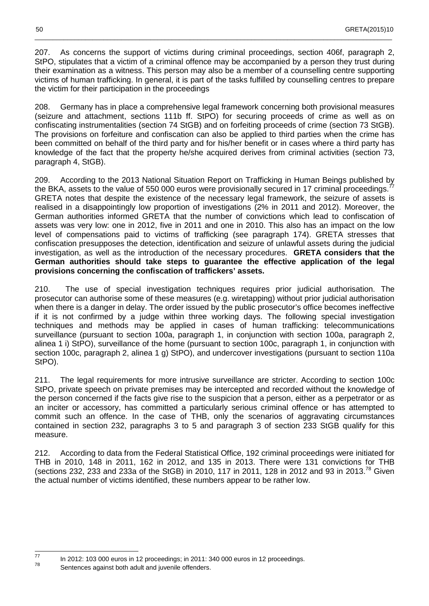207. As concerns the support of victims during criminal proceedings, section 406f, paragraph 2, StPO, stipulates that a victim of a criminal offence may be accompanied by a person they trust during their examination as a witness. This person may also be a member of a counselling centre supporting victims of human trafficking. In general, it is part of the tasks fulfilled by counselling centres to prepare the victim for their participation in the proceedings

\_\_\_\_\_\_\_\_\_\_\_\_\_\_\_\_\_\_\_\_\_\_\_\_\_\_\_\_\_\_\_\_\_\_\_\_\_\_\_\_\_\_\_\_\_\_\_\_\_\_\_\_\_\_\_\_\_\_\_\_\_\_\_\_\_\_\_\_\_\_\_\_\_\_\_\_\_\_\_\_\_\_\_\_\_\_\_\_\_\_\_\_\_\_\_\_\_\_\_

208. Germany has in place a comprehensive legal framework concerning both provisional measures (seizure and attachment, sections 111b ff. StPO) for securing proceeds of crime as well as on confiscating instrumentalities (section 74 StGB) and on forfeiting proceeds of crime (section 73 StGB). The provisions on forfeiture and confiscation can also be applied to third parties when the crime has been committed on behalf of the third party and for his/her benefit or in cases where a third party has knowledge of the fact that the property he/she acquired derives from criminal activities (section 73, paragraph 4, StGB).

209. According to the 2013 National Situation Report on Trafficking in Human Beings published by the BKA, assets to the value of 550 000 euros were provisionally secured in 17 criminal proceedings.<sup>77</sup> GRETA notes that despite the existence of the necessary legal framework, the seizure of assets is realised in a disappointingly low proportion of investigations (2% in 2011 and 2012). Moreover, the German authorities informed GRETA that the number of convictions which lead to confiscation of assets was very low: one in 2012, five in 2011 and one in 2010. This also has an impact on the low level of compensations paid to victims of trafficking (see paragraph 174). GRETA stresses that confiscation presupposes the detection, identification and seizure of unlawful assets during the judicial investigation, as well as the introduction of the necessary procedures. **GRETA considers that the German authorities should take steps to guarantee the effective application of the legal provisions concerning the confiscation of traffickers' assets.**

210. The use of special investigation techniques requires prior judicial authorisation. The prosecutor can authorise some of these measures (e.g. wiretapping) without prior judicial authorisation when there is a danger in delay. The order issued by the public prosecutor's office becomes ineffective if it is not confirmed by a judge within three working days. The following special investigation techniques and methods may be applied in cases of human trafficking: telecommunications surveillance (pursuant to section 100a, paragraph 1, in conjunction with section 100a, paragraph 2, alinea 1 i) StPO), surveillance of the home (pursuant to section 100c, paragraph 1, in conjunction with section 100c, paragraph 2, alinea 1 g) StPO), and undercover investigations (pursuant to section 110a StPO).

211. The legal requirements for more intrusive surveillance are stricter. According to section 100c StPO, private speech on private premises may be intercepted and recorded without the knowledge of the person concerned if the facts give rise to the suspicion that a person, either as a perpetrator or as an inciter or accessory, has committed a particularly serious criminal offence or has attempted to commit such an offence. In the case of THB, only the scenarios of aggravating circumstances contained in section 232, paragraphs 3 to 5 and paragraph 3 of section 233 StGB qualify for this measure.

212. According to data from the Federal Statistical Office, 192 criminal proceedings were initiated for THB in 2010, 148 in 2011, 162 in 2012, and 135 in 2013. There were 131 convictions for THB (sections 232, 233 and 233a of the StGB) in 2010, 117 in 2011, 128 in 2012 and 93 in 2013.<sup>78</sup> Given the actual number of victims identified, these numbers appear to be rather low.

—<br>77

In 2012: 103 000 euros in 12 proceedings; in 2011: 340 000 euros in 12 proceedings.

<sup>78</sup> Sentences against both adult and juvenile offenders.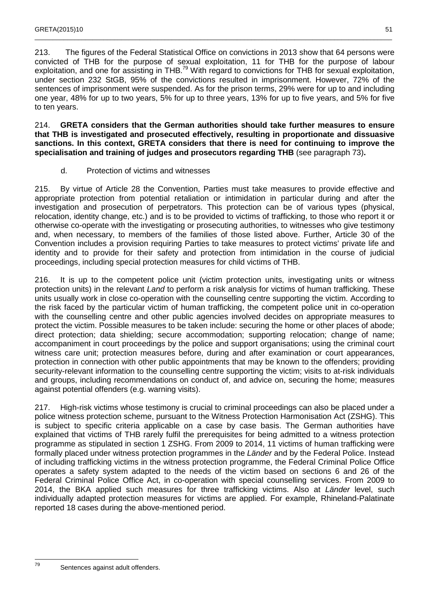213. The figures of the Federal Statistical Office on convictions in 2013 show that 64 persons were convicted of THB for the purpose of sexual exploitation, 11 for THB for the purpose of labour exploitation, and one for assisting in THB.<sup>79</sup> With regard to convictions for THB for sexual exploitation, under section 232 StGB, 95% of the convictions resulted in imprisonment. However, 72% of the sentences of imprisonment were suspended. As for the prison terms, 29% were for up to and including one year, 48% for up to two years, 5% for up to three years, 13% for up to five years, and 5% for five to ten years.

\_\_\_\_\_\_\_\_\_\_\_\_\_\_\_\_\_\_\_\_\_\_\_\_\_\_\_\_\_\_\_\_\_\_\_\_\_\_\_\_\_\_\_\_\_\_\_\_\_\_\_\_\_\_\_\_\_\_\_\_\_\_\_\_\_\_\_\_\_\_\_\_\_\_\_\_\_\_\_\_\_\_\_\_\_\_\_\_\_\_\_\_\_\_\_\_\_\_\_

214. **GRETA considers that the German authorities should take further measures to ensure that THB is investigated and prosecuted effectively, resulting in proportionate and dissuasive sanctions. In this context, GRETA considers that there is need for continuing to improve the specialisation and training of judges and prosecutors regarding THB** (see paragraph 73)**.** 

d. Protection of victims and witnesses

215. By virtue of Article 28 the Convention, Parties must take measures to provide effective and appropriate protection from potential retaliation or intimidation in particular during and after the investigation and prosecution of perpetrators. This protection can be of various types (physical, relocation, identity change, etc.) and is to be provided to victims of trafficking, to those who report it or otherwise co-operate with the investigating or prosecuting authorities, to witnesses who give testimony and, when necessary, to members of the families of those listed above. Further, Article 30 of the Convention includes a provision requiring Parties to take measures to protect victims' private life and identity and to provide for their safety and protection from intimidation in the course of judicial proceedings, including special protection measures for child victims of THB.

216. It is up to the competent police unit (victim protection units, investigating units or witness protection units) in the relevant Land to perform a risk analysis for victims of human trafficking. These units usually work in close co-operation with the counselling centre supporting the victim. According to the risk faced by the particular victim of human trafficking, the competent police unit in co-operation with the counselling centre and other public agencies involved decides on appropriate measures to protect the victim. Possible measures to be taken include: securing the home or other places of abode; direct protection; data shielding; secure accommodation; supporting relocation; change of name; accompaniment in court proceedings by the police and support organisations; using the criminal court witness care unit; protection measures before, during and after examination or court appearances, protection in connection with other public appointments that may be known to the offenders; providing security-relevant information to the counselling centre supporting the victim; visits to at-risk individuals and groups, including recommendations on conduct of, and advice on, securing the home; measures against potential offenders (e.g. warning visits).

217. High-risk victims whose testimony is crucial to criminal proceedings can also be placed under a police witness protection scheme, pursuant to the Witness Protection Harmonisation Act (ZSHG). This is subject to specific criteria applicable on a case by case basis. The German authorities have explained that victims of THB rarely fulfil the prerequisites for being admitted to a witness protection programme as stipulated in section 1 ZSHG. From 2009 to 2014, 11 victims of human trafficking were formally placed under witness protection programmes in the Länder and by the Federal Police. Instead of including trafficking victims in the witness protection programme, the Federal Criminal Police Office operates a safety system adapted to the needs of the victim based on sections 6 and 26 of the Federal Criminal Police Office Act, in co-operation with special counselling services. From 2009 to 2014, the BKA applied such measures for three trafficking victims. Also at Länder level, such individually adapted protection measures for victims are applied. For example, Rhineland-Palatinate reported 18 cases during the above-mentioned period.

Sentences against adult offenders.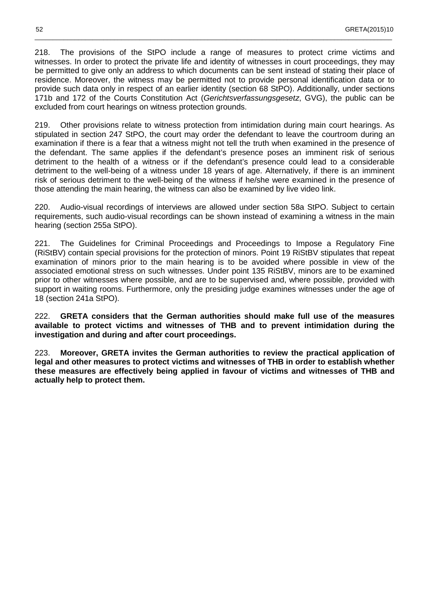218. The provisions of the StPO include a range of measures to protect crime victims and witnesses. In order to protect the private life and identity of witnesses in court proceedings, they may be permitted to give only an address to which documents can be sent instead of stating their place of residence. Moreover, the witness may be permitted not to provide personal identification data or to provide such data only in respect of an earlier identity (section 68 StPO). Additionally, under sections 171b and 172 of the Courts Constitution Act (Gerichtsverfassungsgesetz, GVG), the public can be excluded from court hearings on witness protection grounds.

\_\_\_\_\_\_\_\_\_\_\_\_\_\_\_\_\_\_\_\_\_\_\_\_\_\_\_\_\_\_\_\_\_\_\_\_\_\_\_\_\_\_\_\_\_\_\_\_\_\_\_\_\_\_\_\_\_\_\_\_\_\_\_\_\_\_\_\_\_\_\_\_\_\_\_\_\_\_\_\_\_\_\_\_\_\_\_\_\_\_\_\_\_\_\_\_\_\_\_

219. Other provisions relate to witness protection from intimidation during main court hearings. As stipulated in section 247 StPO, the court may order the defendant to leave the courtroom during an examination if there is a fear that a witness might not tell the truth when examined in the presence of the defendant. The same applies if the defendant's presence poses an imminent risk of serious detriment to the health of a witness or if the defendant's presence could lead to a considerable detriment to the well-being of a witness under 18 years of age. Alternatively, if there is an imminent risk of serious detriment to the well-being of the witness if he/she were examined in the presence of those attending the main hearing, the witness can also be examined by live video link.

220. Audio-visual recordings of interviews are allowed under section 58a StPO. Subject to certain requirements, such audio-visual recordings can be shown instead of examining a witness in the main hearing (section 255a StPO).

The Guidelines for Criminal Proceedings and Proceedings to Impose a Regulatory Fine (RiStBV) contain special provisions for the protection of minors. Point 19 RiStBV stipulates that repeat examination of minors prior to the main hearing is to be avoided where possible in view of the associated emotional stress on such witnesses. Under point 135 RiStBV, minors are to be examined prior to other witnesses where possible, and are to be supervised and, where possible, provided with support in waiting rooms. Furthermore, only the presiding judge examines witnesses under the age of 18 (section 241a StPO).

222. **GRETA considers that the German authorities should make full use of the measures available to protect victims and witnesses of THB and to prevent intimidation during the investigation and during and after court proceedings.** 

223. **Moreover, GRETA invites the German authorities to review the practical application of legal and other measures to protect victims and witnesses of THB in order to establish whether these measures are effectively being applied in favour of victims and witnesses of THB and actually help to protect them.**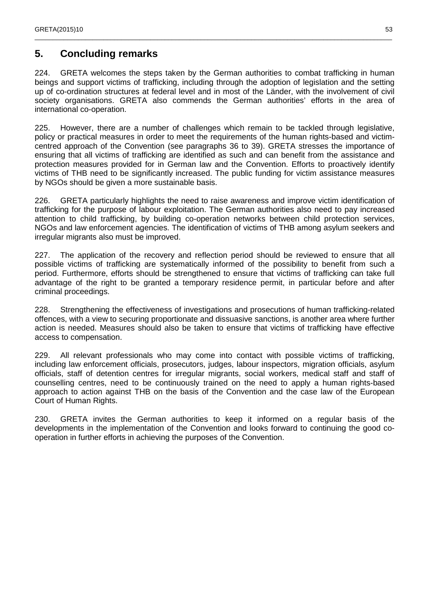## **5. Concluding remarks**

224. GRETA welcomes the steps taken by the German authorities to combat trafficking in human beings and support victims of trafficking, including through the adoption of legislation and the setting up of co-ordination structures at federal level and in most of the Länder, with the involvement of civil society organisations. GRETA also commends the German authorities' efforts in the area of international co-operation.

\_\_\_\_\_\_\_\_\_\_\_\_\_\_\_\_\_\_\_\_\_\_\_\_\_\_\_\_\_\_\_\_\_\_\_\_\_\_\_\_\_\_\_\_\_\_\_\_\_\_\_\_\_\_\_\_\_\_\_\_\_\_\_\_\_\_\_\_\_\_\_\_\_\_\_\_\_\_\_\_\_\_\_\_\_\_\_\_\_\_\_\_\_\_\_\_\_\_\_

225. However, there are a number of challenges which remain to be tackled through legislative, policy or practical measures in order to meet the requirements of the human rights-based and victimcentred approach of the Convention (see paragraphs 36 to 39). GRETA stresses the importance of ensuring that all victims of trafficking are identified as such and can benefit from the assistance and protection measures provided for in German law and the Convention. Efforts to proactively identify victims of THB need to be significantly increased. The public funding for victim assistance measures by NGOs should be given a more sustainable basis.

226. GRETA particularly highlights the need to raise awareness and improve victim identification of trafficking for the purpose of labour exploitation. The German authorities also need to pay increased attention to child trafficking, by building co-operation networks between child protection services, NGOs and law enforcement agencies. The identification of victims of THB among asylum seekers and irregular migrants also must be improved.

227. The application of the recovery and reflection period should be reviewed to ensure that all possible victims of trafficking are systematically informed of the possibility to benefit from such a period. Furthermore, efforts should be strengthened to ensure that victims of trafficking can take full advantage of the right to be granted a temporary residence permit, in particular before and after criminal proceedings.

228. Strengthening the effectiveness of investigations and prosecutions of human trafficking-related offences, with a view to securing proportionate and dissuasive sanctions, is another area where further action is needed. Measures should also be taken to ensure that victims of trafficking have effective access to compensation.

229. All relevant professionals who may come into contact with possible victims of trafficking, including law enforcement officials, prosecutors, judges, labour inspectors, migration officials, asylum officials, staff of detention centres for irregular migrants, social workers, medical staff and staff of counselling centres, need to be continuously trained on the need to apply a human rights-based approach to action against THB on the basis of the Convention and the case law of the European Court of Human Rights.

230. GRETA invites the German authorities to keep it informed on a regular basis of the developments in the implementation of the Convention and looks forward to continuing the good cooperation in further efforts in achieving the purposes of the Convention.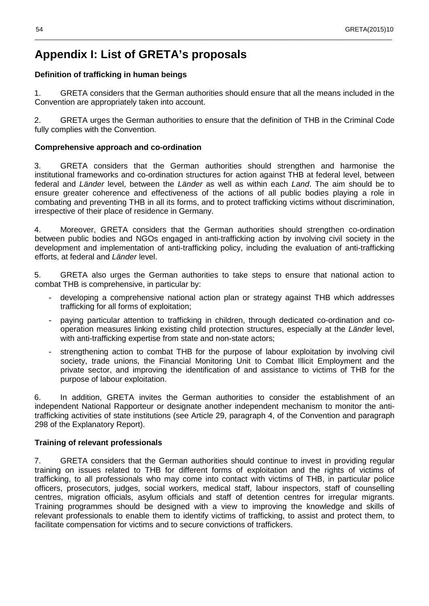## **Appendix I: List of GRETA's proposals**

#### **Definition of trafficking in human beings**

1. GRETA considers that the German authorities should ensure that all the means included in the Convention are appropriately taken into account.

\_\_\_\_\_\_\_\_\_\_\_\_\_\_\_\_\_\_\_\_\_\_\_\_\_\_\_\_\_\_\_\_\_\_\_\_\_\_\_\_\_\_\_\_\_\_\_\_\_\_\_\_\_\_\_\_\_\_\_\_\_\_\_\_\_\_\_\_\_\_\_\_\_\_\_\_\_\_\_\_\_\_\_\_\_\_\_\_\_\_\_\_\_\_\_\_\_\_\_

2. GRETA urges the German authorities to ensure that the definition of THB in the Criminal Code fully complies with the Convention.

#### **Comprehensive approach and co-ordination**

3. GRETA considers that the German authorities should strengthen and harmonise the institutional frameworks and co-ordination structures for action against THB at federal level, between federal and Länder level, between the Länder as well as within each Land. The aim should be to ensure greater coherence and effectiveness of the actions of all public bodies playing a role in combating and preventing THB in all its forms, and to protect trafficking victims without discrimination, irrespective of their place of residence in Germany.

4. Moreover, GRETA considers that the German authorities should strengthen co-ordination between public bodies and NGOs engaged in anti-trafficking action by involving civil society in the development and implementation of anti-trafficking policy, including the evaluation of anti-trafficking efforts, at federal and Länder level.

5. GRETA also urges the German authorities to take steps to ensure that national action to combat THB is comprehensive, in particular by:

- developing a comprehensive national action plan or strategy against THB which addresses trafficking for all forms of exploitation;
- paying particular attention to trafficking in children, through dedicated co-ordination and cooperation measures linking existing child protection structures, especially at the Länder level, with anti-trafficking expertise from state and non-state actors;
- strengthening action to combat THB for the purpose of labour exploitation by involving civil society, trade unions, the Financial Monitoring Unit to Combat Illicit Employment and the private sector, and improving the identification of and assistance to victims of THB for the purpose of labour exploitation.

6. In addition, GRETA invites the German authorities to consider the establishment of an independent National Rapporteur or designate another independent mechanism to monitor the antitrafficking activities of state institutions (see Article 29, paragraph 4, of the Convention and paragraph 298 of the Explanatory Report).

#### **Training of relevant professionals**

7. GRETA considers that the German authorities should continue to invest in providing regular training on issues related to THB for different forms of exploitation and the rights of victims of trafficking, to all professionals who may come into contact with victims of THB, in particular police officers, prosecutors, judges, social workers, medical staff, labour inspectors, staff of counselling centres, migration officials, asylum officials and staff of detention centres for irregular migrants. Training programmes should be designed with a view to improving the knowledge and skills of relevant professionals to enable them to identify victims of trafficking, to assist and protect them, to facilitate compensation for victims and to secure convictions of traffickers.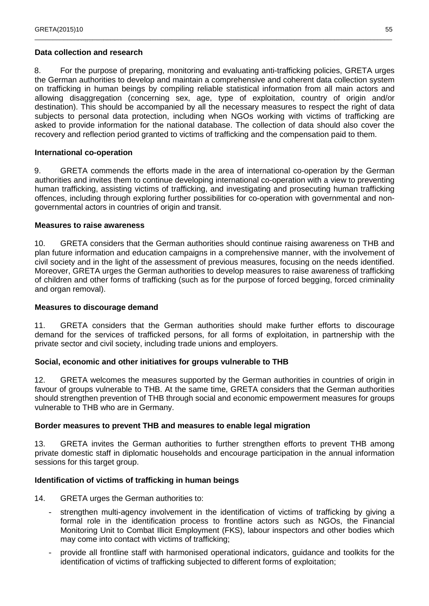#### **Data collection and research**

8. For the purpose of preparing, monitoring and evaluating anti-trafficking policies, GRETA urges the German authorities to develop and maintain a comprehensive and coherent data collection system on trafficking in human beings by compiling reliable statistical information from all main actors and allowing disaggregation (concerning sex, age, type of exploitation, country of origin and/or destination). This should be accompanied by all the necessary measures to respect the right of data subjects to personal data protection, including when NGOs working with victims of trafficking are asked to provide information for the national database. The collection of data should also cover the recovery and reflection period granted to victims of trafficking and the compensation paid to them.

\_\_\_\_\_\_\_\_\_\_\_\_\_\_\_\_\_\_\_\_\_\_\_\_\_\_\_\_\_\_\_\_\_\_\_\_\_\_\_\_\_\_\_\_\_\_\_\_\_\_\_\_\_\_\_\_\_\_\_\_\_\_\_\_\_\_\_\_\_\_\_\_\_\_\_\_\_\_\_\_\_\_\_\_\_\_\_\_\_\_\_\_\_\_\_\_\_\_\_

#### **International co-operation**

9. GRETA commends the efforts made in the area of international co-operation by the German authorities and invites them to continue developing international co-operation with a view to preventing human trafficking, assisting victims of trafficking, and investigating and prosecuting human trafficking offences, including through exploring further possibilities for co-operation with governmental and nongovernmental actors in countries of origin and transit.

#### **Measures to raise awareness**

10. GRETA considers that the German authorities should continue raising awareness on THB and plan future information and education campaigns in a comprehensive manner, with the involvement of civil society and in the light of the assessment of previous measures, focusing on the needs identified. Moreover, GRETA urges the German authorities to develop measures to raise awareness of trafficking of children and other forms of trafficking (such as for the purpose of forced begging, forced criminality and organ removal).

#### **Measures to discourage demand**

11. GRETA considers that the German authorities should make further efforts to discourage demand for the services of trafficked persons, for all forms of exploitation, in partnership with the private sector and civil society, including trade unions and employers.

#### **Social, economic and other initiatives for groups vulnerable to THB**

12. GRETA welcomes the measures supported by the German authorities in countries of origin in favour of groups vulnerable to THB. At the same time, GRETA considers that the German authorities should strengthen prevention of THB through social and economic empowerment measures for groups vulnerable to THB who are in Germany.

#### **Border measures to prevent THB and measures to enable legal migration**

13. GRETA invites the German authorities to further strengthen efforts to prevent THB among private domestic staff in diplomatic households and encourage participation in the annual information sessions for this target group.

#### **Identification of victims of trafficking in human beings**

14. GRETA urges the German authorities to:

- strengthen multi-agency involvement in the identification of victims of trafficking by giving a formal role in the identification process to frontline actors such as NGOs, the Financial Monitoring Unit to Combat Illicit Employment (FKS), labour inspectors and other bodies which may come into contact with victims of trafficking;
- provide all frontline staff with harmonised operational indicators, guidance and toolkits for the identification of victims of trafficking subjected to different forms of exploitation;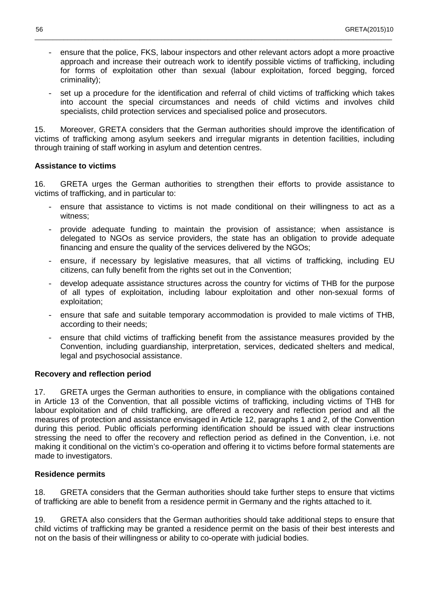- ensure that the police, FKS, labour inspectors and other relevant actors adopt a more proactive approach and increase their outreach work to identify possible victims of trafficking, including for forms of exploitation other than sexual (labour exploitation, forced begging, forced criminality);

\_\_\_\_\_\_\_\_\_\_\_\_\_\_\_\_\_\_\_\_\_\_\_\_\_\_\_\_\_\_\_\_\_\_\_\_\_\_\_\_\_\_\_\_\_\_\_\_\_\_\_\_\_\_\_\_\_\_\_\_\_\_\_\_\_\_\_\_\_\_\_\_\_\_\_\_\_\_\_\_\_\_\_\_\_\_\_\_\_\_\_\_\_\_\_\_\_\_\_

set up a procedure for the identification and referral of child victims of trafficking which takes into account the special circumstances and needs of child victims and involves child specialists, child protection services and specialised police and prosecutors.

15. Moreover, GRETA considers that the German authorities should improve the identification of victims of trafficking among asylum seekers and irregular migrants in detention facilities, including through training of staff working in asylum and detention centres.

#### **Assistance to victims**

16. GRETA urges the German authorities to strengthen their efforts to provide assistance to victims of trafficking, and in particular to:

- ensure that assistance to victims is not made conditional on their willingness to act as a witness;
- provide adequate funding to maintain the provision of assistance; when assistance is delegated to NGOs as service providers, the state has an obligation to provide adequate financing and ensure the quality of the services delivered by the NGOs;
- ensure, if necessary by legislative measures, that all victims of trafficking, including EU citizens, can fully benefit from the rights set out in the Convention;
- develop adequate assistance structures across the country for victims of THB for the purpose of all types of exploitation, including labour exploitation and other non-sexual forms of exploitation;
- ensure that safe and suitable temporary accommodation is provided to male victims of THB, according to their needs;
- ensure that child victims of trafficking benefit from the assistance measures provided by the Convention, including guardianship, interpretation, services, dedicated shelters and medical, legal and psychosocial assistance.

#### **Recovery and reflection period**

17. GRETA urges the German authorities to ensure, in compliance with the obligations contained in Article 13 of the Convention, that all possible victims of trafficking, including victims of THB for labour exploitation and of child trafficking, are offered a recovery and reflection period and all the measures of protection and assistance envisaged in Article 12, paragraphs 1 and 2, of the Convention during this period. Public officials performing identification should be issued with clear instructions stressing the need to offer the recovery and reflection period as defined in the Convention, i.e. not making it conditional on the victim's co-operation and offering it to victims before formal statements are made to investigators.

#### **Residence permits**

18. GRETA considers that the German authorities should take further steps to ensure that victims of trafficking are able to benefit from a residence permit in Germany and the rights attached to it.

19. GRETA also considers that the German authorities should take additional steps to ensure that child victims of trafficking may be granted a residence permit on the basis of their best interests and not on the basis of their willingness or ability to co-operate with judicial bodies.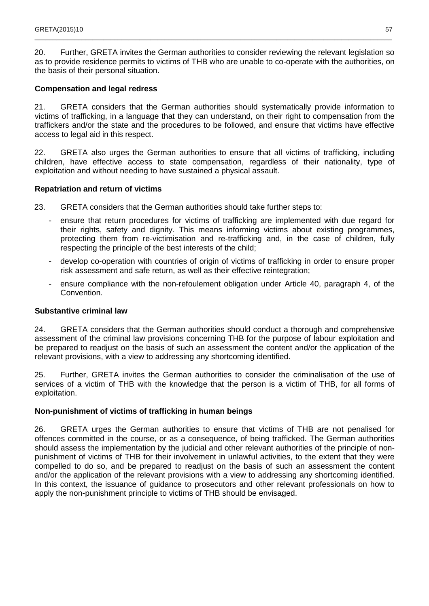20. Further, GRETA invites the German authorities to consider reviewing the relevant legislation so as to provide residence permits to victims of THB who are unable to co-operate with the authorities, on the basis of their personal situation.

\_\_\_\_\_\_\_\_\_\_\_\_\_\_\_\_\_\_\_\_\_\_\_\_\_\_\_\_\_\_\_\_\_\_\_\_\_\_\_\_\_\_\_\_\_\_\_\_\_\_\_\_\_\_\_\_\_\_\_\_\_\_\_\_\_\_\_\_\_\_\_\_\_\_\_\_\_\_\_\_\_\_\_\_\_\_\_\_\_\_\_\_\_\_\_\_\_\_\_

#### **Compensation and legal redress**

21. GRETA considers that the German authorities should systematically provide information to victims of trafficking, in a language that they can understand, on their right to compensation from the traffickers and/or the state and the procedures to be followed, and ensure that victims have effective access to legal aid in this respect.

22. GRETA also urges the German authorities to ensure that all victims of trafficking, including children, have effective access to state compensation, regardless of their nationality, type of exploitation and without needing to have sustained a physical assault.

#### **Repatriation and return of victims**

- 23. GRETA considers that the German authorities should take further steps to:
	- ensure that return procedures for victims of trafficking are implemented with due regard for their rights, safety and dignity. This means informing victims about existing programmes, protecting them from re-victimisation and re-trafficking and, in the case of children, fully respecting the principle of the best interests of the child;
	- develop co-operation with countries of origin of victims of trafficking in order to ensure proper risk assessment and safe return, as well as their effective reintegration;
	- ensure compliance with the non-refoulement obligation under Article 40, paragraph 4, of the Convention.

#### **Substantive criminal law**

24. GRETA considers that the German authorities should conduct a thorough and comprehensive assessment of the criminal law provisions concerning THB for the purpose of labour exploitation and be prepared to readjust on the basis of such an assessment the content and/or the application of the relevant provisions, with a view to addressing any shortcoming identified.

25. Further, GRETA invites the German authorities to consider the criminalisation of the use of services of a victim of THB with the knowledge that the person is a victim of THB, for all forms of exploitation.

#### **Non-punishment of victims of trafficking in human beings**

26. GRETA urges the German authorities to ensure that victims of THB are not penalised for offences committed in the course, or as a consequence, of being trafficked. The German authorities should assess the implementation by the judicial and other relevant authorities of the principle of nonpunishment of victims of THB for their involvement in unlawful activities, to the extent that they were compelled to do so, and be prepared to readjust on the basis of such an assessment the content and/or the application of the relevant provisions with a view to addressing any shortcoming identified. In this context, the issuance of guidance to prosecutors and other relevant professionals on how to apply the non-punishment principle to victims of THB should be envisaged.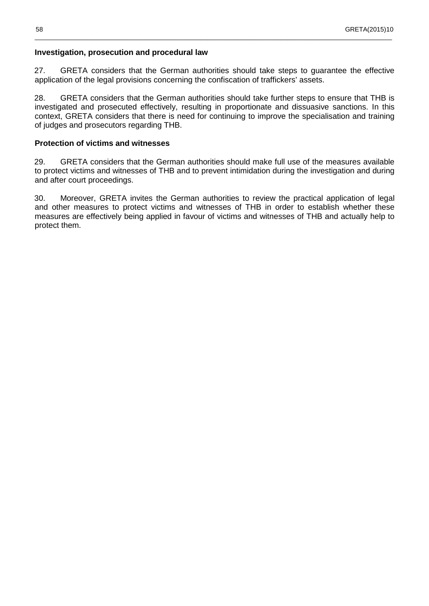#### **Investigation, prosecution and procedural law**

27. GRETA considers that the German authorities should take steps to guarantee the effective application of the legal provisions concerning the confiscation of traffickers' assets.

\_\_\_\_\_\_\_\_\_\_\_\_\_\_\_\_\_\_\_\_\_\_\_\_\_\_\_\_\_\_\_\_\_\_\_\_\_\_\_\_\_\_\_\_\_\_\_\_\_\_\_\_\_\_\_\_\_\_\_\_\_\_\_\_\_\_\_\_\_\_\_\_\_\_\_\_\_\_\_\_\_\_\_\_\_\_\_\_\_\_\_\_\_\_\_\_\_\_\_

28. GRETA considers that the German authorities should take further steps to ensure that THB is investigated and prosecuted effectively, resulting in proportionate and dissuasive sanctions. In this context, GRETA considers that there is need for continuing to improve the specialisation and training of judges and prosecutors regarding THB.

#### **Protection of victims and witnesses**

29. GRETA considers that the German authorities should make full use of the measures available to protect victims and witnesses of THB and to prevent intimidation during the investigation and during and after court proceedings.

30. Moreover, GRETA invites the German authorities to review the practical application of legal and other measures to protect victims and witnesses of THB in order to establish whether these measures are effectively being applied in favour of victims and witnesses of THB and actually help to protect them.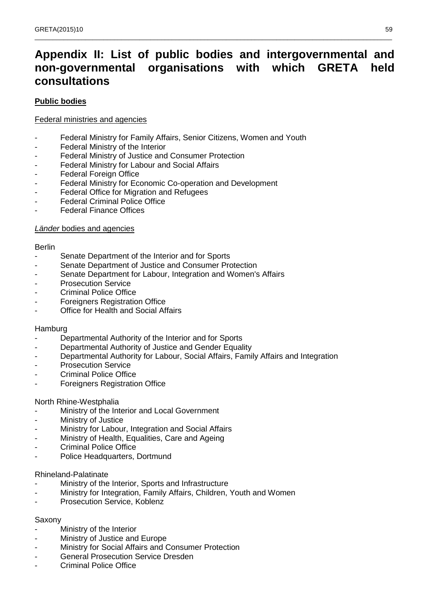## **Appendix II: List of public bodies and intergovernmental and non-governmental organisations with which GRETA held consultations**

\_\_\_\_\_\_\_\_\_\_\_\_\_\_\_\_\_\_\_\_\_\_\_\_\_\_\_\_\_\_\_\_\_\_\_\_\_\_\_\_\_\_\_\_\_\_\_\_\_\_\_\_\_\_\_\_\_\_\_\_\_\_\_\_\_\_\_\_\_\_\_\_\_\_\_\_\_\_\_\_\_\_\_\_\_\_\_\_\_\_\_\_\_\_\_\_\_\_\_

#### **Public bodies**

#### Federal ministries and agencies

- Federal Ministry for Family Affairs, Senior Citizens, Women and Youth
- Federal Ministry of the Interior
- Federal Ministry of Justice and Consumer Protection
- Federal Ministry for Labour and Social Affairs
- Federal Foreign Office
- Federal Ministry for Economic Co-operation and Development
- Federal Office for Migration and Refugees
- Federal Criminal Police Office
- **Federal Finance Offices**

#### Länder bodies and agencies

#### Berlin

- Senate Department of the Interior and for Sports
- Senate Department of Justice and Consumer Protection
- Senate Department for Labour, Integration and Women's Affairs
- Prosecution Service
- Criminal Police Office
- **Foreigners Registration Office**
- Office for Health and Social Affairs

#### Hamburg

- Departmental Authority of the Interior and for Sports
- Departmental Authority of Justice and Gender Equality
- Departmental Authority for Labour, Social Affairs, Family Affairs and Integration
- Prosecution Service
- Criminal Police Office
- **Foreigners Registration Office**

#### North Rhine-Westphalia

- Ministry of the Interior and Local Government
- Ministry of Justice
- Ministry for Labour, Integration and Social Affairs
- Ministry of Health, Equalities, Care and Ageing
- Criminal Police Office
- Police Headquarters, Dortmund

#### Rhineland-Palatinate

- Ministry of the Interior, Sports and Infrastructure
- Ministry for Integration, Family Affairs, Children, Youth and Women
- Prosecution Service, Koblenz

#### Saxony

- Ministry of the Interior
- Ministry of Justice and Europe
- Ministry for Social Affairs and Consumer Protection
- General Prosecution Service Dresden
- Criminal Police Office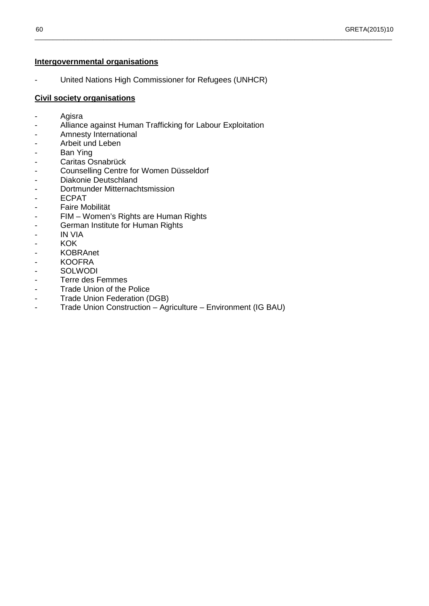#### **Intergovernmental organisations**

- United Nations High Commissioner for Refugees (UNHCR)

\_\_\_\_\_\_\_\_\_\_\_\_\_\_\_\_\_\_\_\_\_\_\_\_\_\_\_\_\_\_\_\_\_\_\_\_\_\_\_\_\_\_\_\_\_\_\_\_\_\_\_\_\_\_\_\_\_\_\_\_\_\_\_\_\_\_\_\_\_\_\_\_\_\_\_\_\_\_\_\_\_\_\_\_\_\_\_\_\_\_\_\_\_\_\_\_\_\_\_

#### **Civil society organisations**

- Agisra
- Alliance against Human Trafficking for Labour Exploitation
- Amnesty International
- Arbeit und Leben
- Ban Ying
- Caritas Osnabrück
- Counselling Centre for Women Düsseldorf
- Diakonie Deutschland
- Dortmunder Mitternachtsmission
- ECPAT
- Faire Mobilität
- FIM Women's Rights are Human Rights
- German Institute for Human Rights
- IN VIA
- KOK
- KOBRAnet
- KOOFRA
- SOLWODI
- Terre des Femmes
- Trade Union of the Police
- Trade Union Federation (DGB)
- Trade Union Construction Agriculture Environment (IG BAU)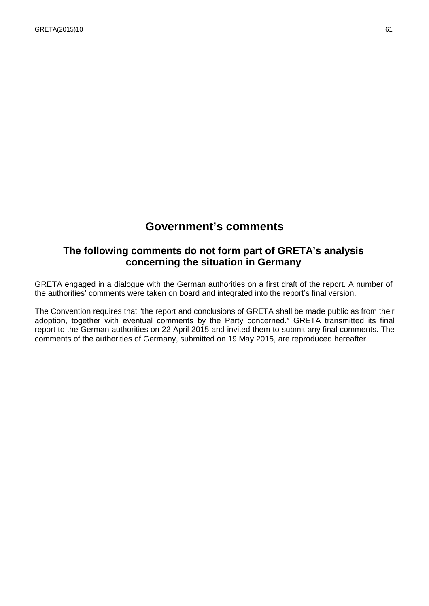## **Government's comments**

\_\_\_\_\_\_\_\_\_\_\_\_\_\_\_\_\_\_\_\_\_\_\_\_\_\_\_\_\_\_\_\_\_\_\_\_\_\_\_\_\_\_\_\_\_\_\_\_\_\_\_\_\_\_\_\_\_\_\_\_\_\_\_\_\_\_\_\_\_\_\_\_\_\_\_\_\_\_\_\_\_\_\_\_\_\_\_\_\_\_\_\_\_\_\_\_\_\_\_

### **The following comments do not form part of GRETA's analysis concerning the situation in Germany**

GRETA engaged in a dialogue with the German authorities on a first draft of the report. A number of the authorities' comments were taken on board and integrated into the report's final version.

The Convention requires that "the report and conclusions of GRETA shall be made public as from their adoption, together with eventual comments by the Party concerned." GRETA transmitted its final report to the German authorities on 22 April 2015 and invited them to submit any final comments. The comments of the authorities of Germany, submitted on 19 May 2015, are reproduced hereafter.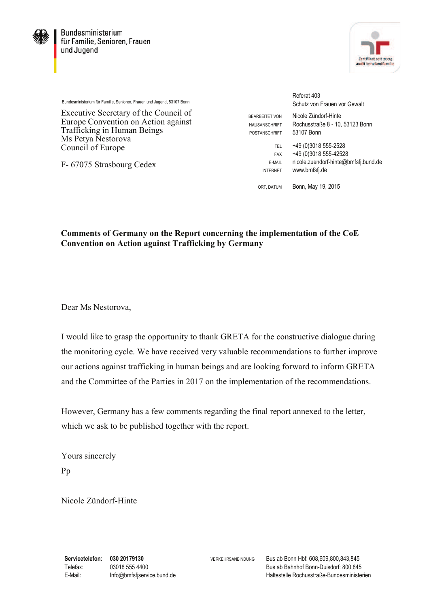



Bundesministerium für Familie, Senioren, Frauen und Jugend, 53107 Bonn

Executive Secretary of the Council of Europe Convention on Action against Trafficking in Human Beings Ms Petya Nestorova Council of Europe

F- 67075 Strasbourg Cedex

Referat 403 Schutz von Frauen vor Gewalt BEARBEITET VON Nicole Zündorf-Hinte HAUSANSCHRIFT Rochusstraße 8 - 10, 53123 Bonn POSTANSCHRIFT 53107 Bonn TEL +49 (0)3018 555-2528 FAX +49 (0)3018 555-42528 E-MAIL nicole.zuendorf-hinte@bmfsfj.bund.de INTERNET www.bmfsfj.de

ORT, DATUM Bonn, May 19, 2015

### **Comments of Germany on the Report concerning the implementation of the CoE Convention on Action against Trafficking by Germany**

Dear Ms Nestorova,

I would like to grasp the opportunity to thank GRETA for the constructive dialogue during the monitoring cycle. We have received very valuable recommendations to further improve our actions against trafficking in human beings and are looking forward to inform GRETA and the Committee of the Parties in 2017 on the implementation of the recommendations.

However, Germany has a few comments regarding the final report annexed to the letter, which we ask to be published together with the report.

Yours sincerely Pp

Nicole Zündorf-Hinte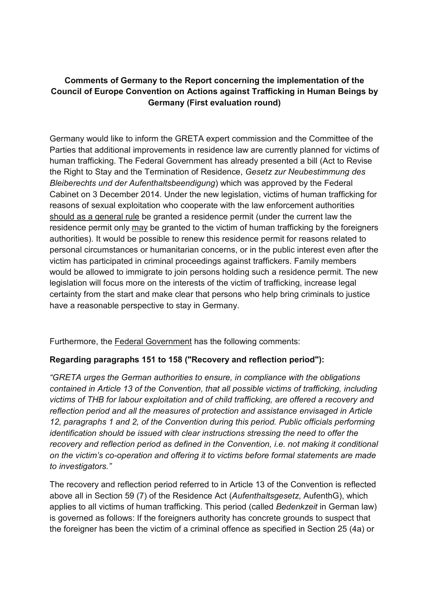### **Comments of Germany to the Report concerning the implementation of the Council of Europe Convention on Actions against Trafficking in Human Beings by Germany (First evaluation round)**

Germany would like to inform the GRETA expert commission and the Committee of the Parties that additional improvements in residence law are currently planned for victims of human trafficking. The Federal Government has already presented a bill (Act to Revise the Right to Stay and the Termination of Residence, *Gesetz zur Neubestimmung des Bleiberechts und der Aufenthaltsbeendigung*) which was approved by the Federal Cabinet on 3 December 2014. Under the new legislation, victims of human trafficking for reasons of sexual exploitation who cooperate with the law enforcement authorities should as a general rule be granted a residence permit (under the current law the residence permit only may be granted to the victim of human trafficking by the foreigners authorities). It would be possible to renew this residence permit for reasons related to personal circumstances or humanitarian concerns, or in the public interest even after the victim has participated in criminal proceedings against traffickers. Family members would be allowed to immigrate to join persons holding such a residence permit. The new legislation will focus more on the interests of the victim of trafficking, increase legal certainty from the start and make clear that persons who help bring criminals to justice have a reasonable perspective to stay in Germany.

Furthermore, the Federal Government has the following comments:

### **Regarding paragraphs 151 to 158 ("Recovery and reflection period"):**

*"GRETA urges the German authorities to ensure, in compliance with the obligations contained in Article 13 of the Convention, that all possible victims of trafficking, including victims of THB for labour exploitation and of child trafficking, are offered a recovery and reflection period and all the measures of protection and assistance envisaged in Article 12, paragraphs 1 and 2, of the Convention during this period. Public officials performing identification should be issued with clear instructions stressing the need to offer the recovery and reflection period as defined in the Convention, i.e. not making it conditional on the victim's co-operation and offering it to victims before formal statements are made to investigators."*

The recovery and reflection period referred to in Article 13 of the Convention is reflected above all in Section 59 (7) of the Residence Act (*Aufenthaltsgesetz*, AufenthG), which applies to all victims of human trafficking. This period (called *Bedenkzeit* in German law) is governed as follows: If the foreigners authority has concrete grounds to suspect that the foreigner has been the victim of a criminal offence as specified in Section 25 (4a) or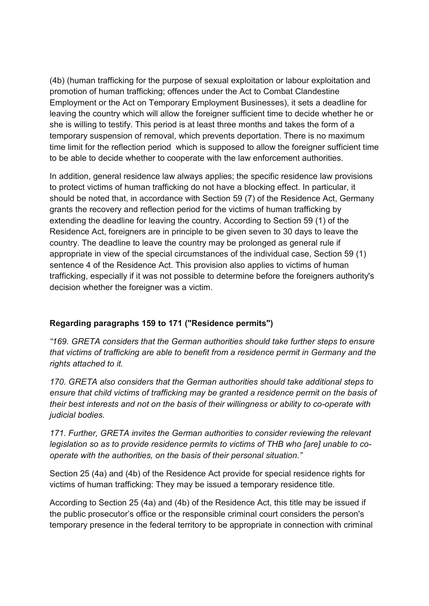(4b) (human trafficking for the purpose of sexual exploitation or labour exploitation and promotion of human trafficking; offences under the Act to Combat Clandestine Employment or the Act on Temporary Employment Businesses), it sets a deadline for leaving the country which will allow the foreigner sufficient time to decide whether he or she is willing to testify. This period is at least three months and takes the form of a temporary suspension of removal, which prevents deportation. There is no maximum time limit for the reflection period which is supposed to allow the foreigner sufficient time to be able to decide whether to cooperate with the law enforcement authorities.

In addition, general residence law always applies; the specific residence law provisions to protect victims of human trafficking do not have a blocking effect. In particular, it should be noted that, in accordance with Section 59 (7) of the Residence Act, Germany grants the recovery and reflection period for the victims of human trafficking by extending the deadline for leaving the country. According to Section 59 (1) of the Residence Act, foreigners are in principle to be given seven to 30 days to leave the country. The deadline to leave the country may be prolonged as general rule if appropriate in view of the special circumstances of the individual case, Section 59 (1) sentence 4 of the Residence Act. This provision also applies to victims of human trafficking, especially if it was not possible to determine before the foreigners authority's decision whether the foreigner was a victim.

### **Regarding paragraphs 159 to 171 ("Residence permits")**

*"169. GRETA considers that the German authorities should take further steps to ensure that victims of trafficking are able to benefit from a residence permit in Germany and the rights attached to it.*

*170. GRETA also considers that the German authorities should take additional steps to ensure that child victims of trafficking may be granted a residence permit on the basis of their best interests and not on the basis of their willingness or ability to co-operate with judicial bodies.*

*171. Further, GRETA invites the German authorities to consider reviewing the relevant legislation so as to provide residence permits to victims of THB who [are] unable to cooperate with the authorities, on the basis of their personal situation."*

Section 25 (4a) and (4b) of the Residence Act provide for special residence rights for victims of human trafficking: They may be issued a temporary residence title.

According to Section 25 (4a) and (4b) of the Residence Act, this title may be issued if the public prosecutor's office or the responsible criminal court considers the person's temporary presence in the federal territory to be appropriate in connection with criminal